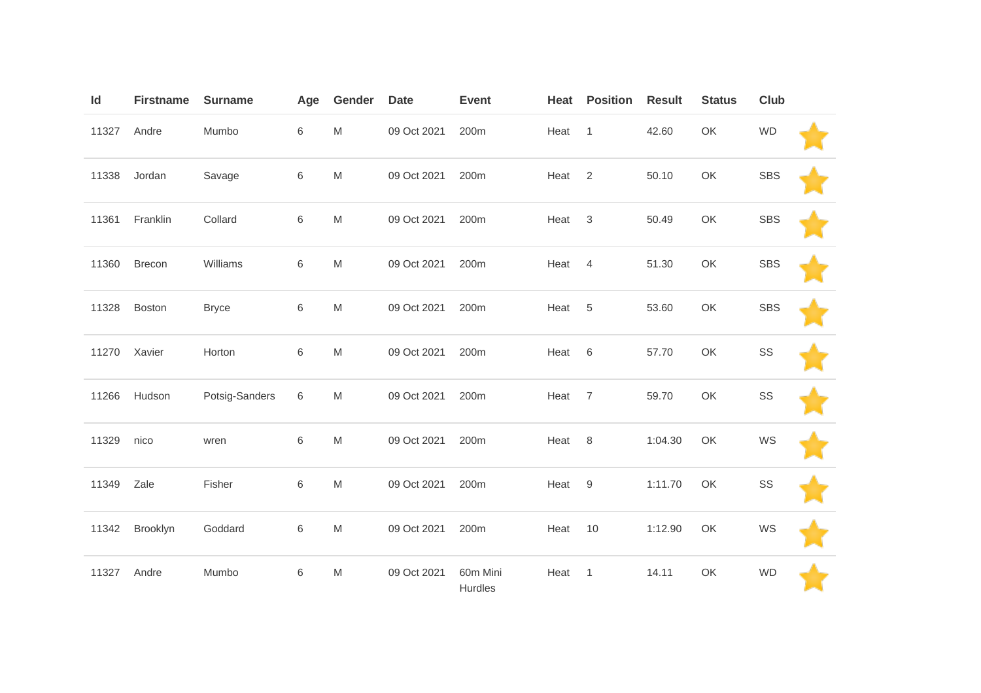| Id    | <b>Firstname</b> | <b>Surname</b> | Age   | Gender    | <b>Date</b> | <b>Event</b>        | Heat | <b>Position</b>  | <b>Result</b> | <b>Status</b> | <b>Club</b> |  |
|-------|------------------|----------------|-------|-----------|-------------|---------------------|------|------------------|---------------|---------------|-------------|--|
| 11327 | Andre            | Mumbo          | $\,6$ | ${\sf M}$ | 09 Oct 2021 | 200m                | Heat | $\overline{1}$   | 42.60         | OK            | <b>WD</b>   |  |
| 11338 | Jordan           | Savage         | $\,6$ | ${\sf M}$ | 09 Oct 2021 | 200m                | Heat | $\overline{2}$   | 50.10         | OK            | <b>SBS</b>  |  |
| 11361 | Franklin         | Collard        | $\,6$ | ${\sf M}$ | 09 Oct 2021 | 200m                | Heat | $\mathbf{3}$     | 50.49         | OK            | <b>SBS</b>  |  |
| 11360 | Brecon           | Williams       | $\,6$ | M         | 09 Oct 2021 | 200m                | Heat | $\overline{4}$   | 51.30         | OK            | <b>SBS</b>  |  |
| 11328 | Boston           | <b>Bryce</b>   | $\,6$ | ${\sf M}$ | 09 Oct 2021 | 200m                | Heat | 5                | 53.60         | OK            | <b>SBS</b>  |  |
| 11270 | Xavier           | Horton         | 6     | ${\sf M}$ | 09 Oct 2021 | 200m                | Heat | 6                | 57.70         | OK            | SS          |  |
| 11266 | Hudson           | Potsig-Sanders | 6     | M         | 09 Oct 2021 | 200m                | Heat | $\overline{7}$   | 59.70         | OK            | SS          |  |
| 11329 | nico             | wren           | $\,6$ | ${\sf M}$ | 09 Oct 2021 | 200m                | Heat | 8                | 1:04.30       | OK            | WS          |  |
| 11349 | Zale             | Fisher         | $\,6$ | ${\sf M}$ | 09 Oct 2021 | 200m                | Heat | $\boldsymbol{9}$ | 1:11.70       | OK            | SS          |  |
| 11342 | Brooklyn         | Goddard        | $\,6$ | ${\sf M}$ | 09 Oct 2021 | 200m                | Heat | 10               | 1:12.90       | OK            | WS          |  |
| 11327 | Andre            | Mumbo          | 6     | M         | 09 Oct 2021 | 60m Mini<br>Hurdles | Heat | $\overline{1}$   | 14.11         | OK            | <b>WD</b>   |  |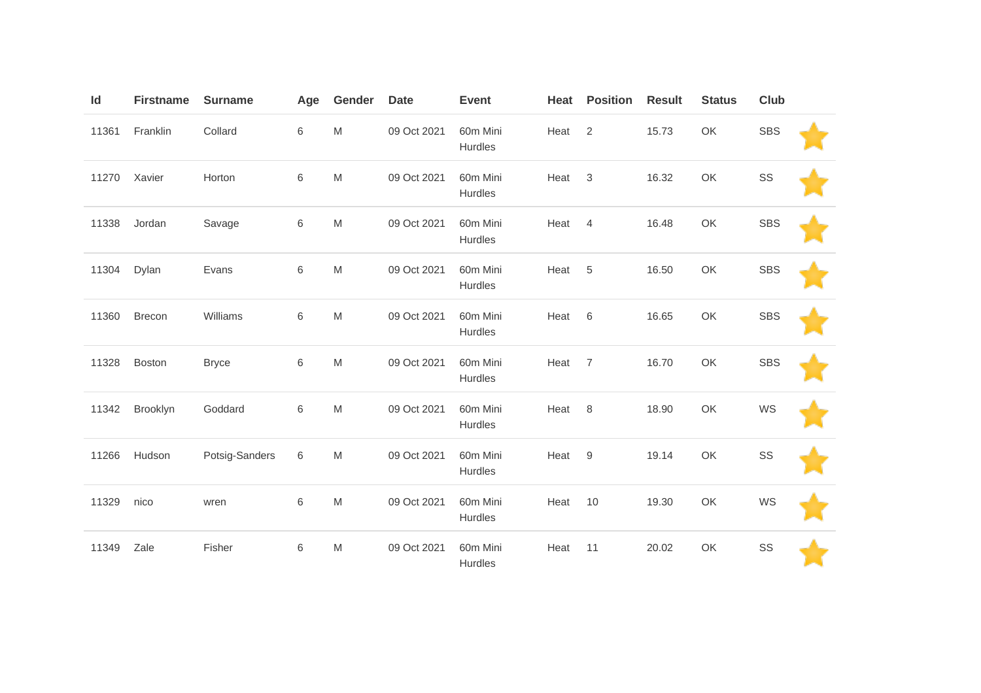| Id    | <b>Firstname</b> | <b>Surname</b> | Age    | Gender                                                                                | <b>Date</b> | <b>Event</b>        | Heat | <b>Position</b>  | <b>Result</b> | <b>Status</b> | Club       |  |
|-------|------------------|----------------|--------|---------------------------------------------------------------------------------------|-------------|---------------------|------|------------------|---------------|---------------|------------|--|
| 11361 | Franklin         | Collard        | 6      | $\mathsf{M}% _{T}=\mathsf{M}_{T}\!\left( a,b\right) ,\ \mathsf{M}_{T}=\mathsf{M}_{T}$ | 09 Oct 2021 | 60m Mini<br>Hurdles | Heat | 2                | 15.73         | OK            | <b>SBS</b> |  |
| 11270 | Xavier           | Horton         | 6      | $\mathsf{M}% _{T}=\mathsf{M}_{T}\!\left( a,b\right) ,\ \mathsf{M}_{T}=\mathsf{M}_{T}$ | 09 Oct 2021 | 60m Mini<br>Hurdles | Heat | 3                | 16.32         | OK            | SS         |  |
| 11338 | Jordan           | Savage         | $\,$ 6 | $\mathsf{M}% _{T}=\mathsf{M}_{T}\!\left( a,b\right) ,\ \mathsf{M}_{T}=\mathsf{M}_{T}$ | 09 Oct 2021 | 60m Mini<br>Hurdles | Heat | $\overline{4}$   | 16.48         | OK            | <b>SBS</b> |  |
| 11304 | Dylan            | Evans          | 6      | ${\sf M}$                                                                             | 09 Oct 2021 | 60m Mini<br>Hurdles | Heat | 5                | 16.50         | OK            | <b>SBS</b> |  |
| 11360 | <b>Brecon</b>    | Williams       | 6      | $\mathsf{M}% _{T}=\mathsf{M}_{T}\!\left( a,b\right) ,\ \mathsf{M}_{T}=\mathsf{M}_{T}$ | 09 Oct 2021 | 60m Mini<br>Hurdles | Heat | 6                | 16.65         | OK            | <b>SBS</b> |  |
| 11328 | Boston           | <b>Bryce</b>   | $\,$ 6 | ${\sf M}$                                                                             | 09 Oct 2021 | 60m Mini<br>Hurdles | Heat | $\overline{7}$   | 16.70         | OK            | <b>SBS</b> |  |
| 11342 | Brooklyn         | Goddard        | 6      | ${\sf M}$                                                                             | 09 Oct 2021 | 60m Mini<br>Hurdles | Heat | 8                | 18.90         | OK            | WS         |  |
| 11266 | Hudson           | Potsig-Sanders | $\,$ 6 | $\mathsf{M}% _{T}=\mathsf{M}_{T}\!\left( a,b\right) ,\ \mathsf{M}_{T}=\mathsf{M}_{T}$ | 09 Oct 2021 | 60m Mini<br>Hurdles | Heat | $\boldsymbol{9}$ | 19.14         | OK            | SS         |  |
| 11329 | nico             | wren           | $\,$ 6 | $\mathsf{M}% _{T}=\mathsf{M}_{T}\!\left( a,b\right) ,\ \mathsf{M}_{T}=\mathsf{M}_{T}$ | 09 Oct 2021 | 60m Mini<br>Hurdles | Heat | 10               | 19.30         | OK            | WS         |  |
| 11349 | Zale             | Fisher         | 6      | ${\sf M}$                                                                             | 09 Oct 2021 | 60m Mini<br>Hurdles | Heat | 11               | 20.02         | OK            | SS         |  |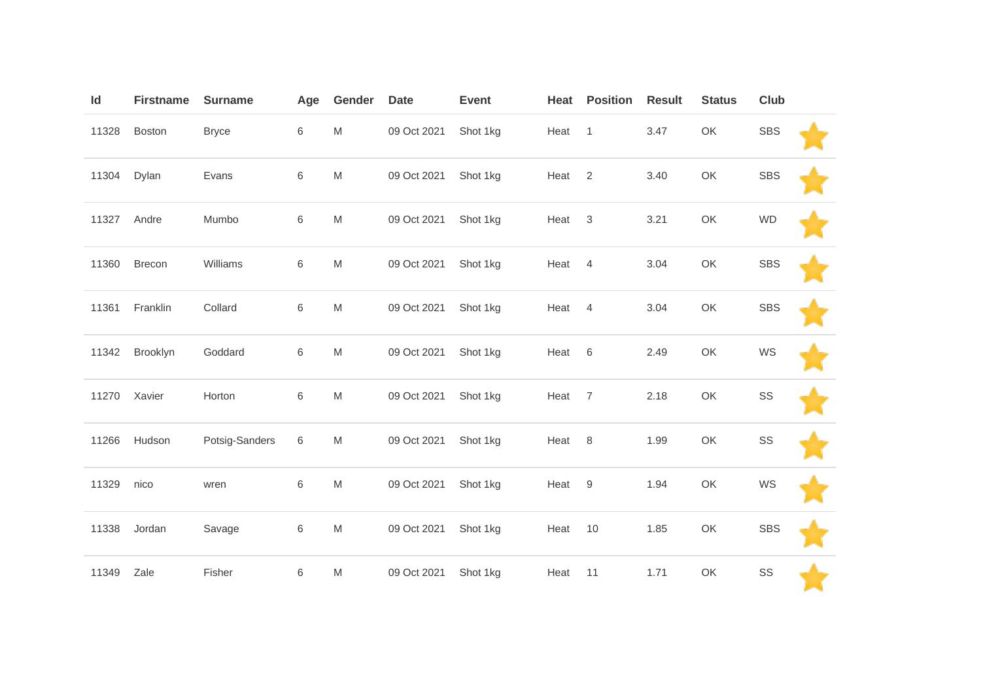| $\mathsf{Id}$ | <b>Firstname</b> | <b>Surname</b> | Age         | Gender                                                                                                     | <b>Date</b> | <b>Event</b> | Heat | <b>Position</b> | <b>Result</b> | <b>Status</b> | Club       |  |
|---------------|------------------|----------------|-------------|------------------------------------------------------------------------------------------------------------|-------------|--------------|------|-----------------|---------------|---------------|------------|--|
| 11328         | <b>Boston</b>    | <b>Bryce</b>   | 6           | M                                                                                                          | 09 Oct 2021 | Shot 1kg     | Heat | $\mathbf{1}$    | 3.47          | OK            | <b>SBS</b> |  |
| 11304         | Dylan            | Evans          | $\,$ 6 $\,$ | M                                                                                                          | 09 Oct 2021 | Shot 1kg     | Heat | $\overline{2}$  | 3.40          | OK            | <b>SBS</b> |  |
| 11327         | Andre            | Mumbo          | 6           | M                                                                                                          | 09 Oct 2021 | Shot 1kg     | Heat | $\mathbf{3}$    | 3.21          | OK            | <b>WD</b>  |  |
| 11360         | Brecon           | Williams       | 6           | M                                                                                                          | 09 Oct 2021 | Shot 1kg     | Heat | $\overline{4}$  | 3.04          | OK            | <b>SBS</b> |  |
| 11361         | Franklin         | Collard        | 6           | M                                                                                                          | 09 Oct 2021 | Shot 1kg     | Heat | $\overline{4}$  | 3.04          | OK            | <b>SBS</b> |  |
| 11342         | Brooklyn         | Goddard        | $\,6\,$     | M                                                                                                          | 09 Oct 2021 | Shot 1kg     | Heat | 6               | 2.49          | OK            | WS         |  |
| 11270         | Xavier           | Horton         | 6           | M                                                                                                          | 09 Oct 2021 | Shot 1kg     | Heat | $\overline{7}$  | 2.18          | OK            | SS         |  |
| 11266         | Hudson           | Potsig-Sanders | 6           | M                                                                                                          | 09 Oct 2021 | Shot 1kg     | Heat | 8               | 1.99          | OK            | SS         |  |
| 11329         | nico             | wren           | $\,$ 6 $\,$ | $\mathsf{M}% _{T}=\mathsf{M}_{T}\!\left( a,b\right) ,\ \mathsf{M}_{T}=\mathsf{M}_{T}\!\left( a,b\right) ,$ | 09 Oct 2021 | Shot 1kg     | Heat | $9\,$           | 1.94          | OK            | WS         |  |
| 11338         | Jordan           | Savage         | 6           | M                                                                                                          | 09 Oct 2021 | Shot 1kg     | Heat | 10              | 1.85          | OK            | <b>SBS</b> |  |
| 11349         | Zale             | Fisher         | $\,$ 6 $\,$ | M                                                                                                          | 09 Oct 2021 | Shot 1kg     | Heat | 11              | 1.71          | OK            | SS         |  |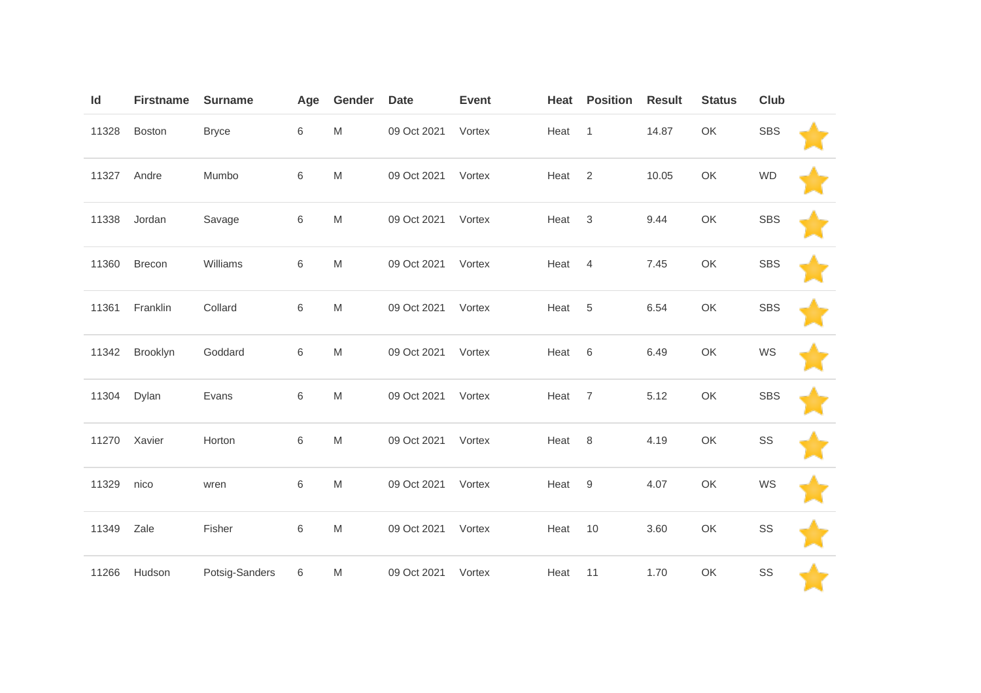| Id    | <b>Firstname</b> | <b>Surname</b> | Age         | Gender | <b>Date</b> | <b>Event</b> | Heat | <b>Position</b> | <b>Result</b> | <b>Status</b> | Club       |  |
|-------|------------------|----------------|-------------|--------|-------------|--------------|------|-----------------|---------------|---------------|------------|--|
| 11328 | <b>Boston</b>    | <b>Bryce</b>   | $\,6\,$     | M      | 09 Oct 2021 | Vortex       | Heat | $\mathbf{1}$    | 14.87         | OK            | <b>SBS</b> |  |
| 11327 | Andre            | Mumbo          | $\,$ 6 $\,$ | M      | 09 Oct 2021 | Vortex       | Heat | $\overline{2}$  | 10.05         | OK            | <b>WD</b>  |  |
| 11338 | Jordan           | Savage         | 6           | M      | 09 Oct 2021 | Vortex       | Heat | 3               | 9.44          | OK            | <b>SBS</b> |  |
| 11360 | Brecon           | Williams       | 6           | M      | 09 Oct 2021 | Vortex       | Heat | $\overline{4}$  | 7.45          | OK            | <b>SBS</b> |  |
| 11361 | Franklin         | Collard        | 6           | M      | 09 Oct 2021 | Vortex       | Heat | 5               | 6.54          | OK            | <b>SBS</b> |  |
| 11342 | Brooklyn         | Goddard        | $\,6$       | M      | 09 Oct 2021 | Vortex       | Heat | $6\,$           | 6.49          | OK            | WS         |  |
| 11304 | Dylan            | Evans          | 6           | M      | 09 Oct 2021 | Vortex       | Heat | $\overline{7}$  | 5.12          | OK            | <b>SBS</b> |  |
| 11270 | Xavier           | Horton         | 6           | M      | 09 Oct 2021 | Vortex       | Heat | 8               | 4.19          | OK            | SS         |  |
| 11329 | nico             | wren           | $\,$ 6 $\,$ | M      | 09 Oct 2021 | Vortex       | Heat | $9\,$           | 4.07          | OK            | WS         |  |
| 11349 | Zale             | Fisher         | 6           | M      | 09 Oct 2021 | Vortex       | Heat | 10              | 3.60          | OK            | SS         |  |
| 11266 | Hudson           | Potsig-Sanders | 6           | M      | 09 Oct 2021 | Vortex       | Heat | 11              | 1.70          | OK            | SS         |  |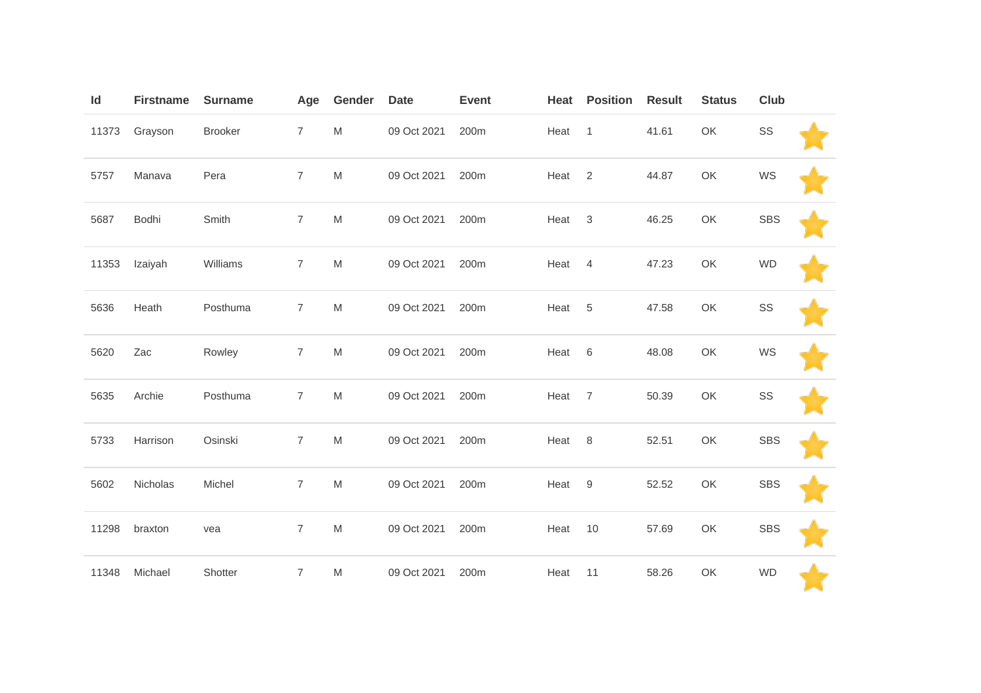| Id    | <b>Firstname</b> | <b>Surname</b> | Age            | Gender    | <b>Date</b> | <b>Event</b> | Heat | <b>Position</b> | <b>Result</b> | <b>Status</b> | Club          |  |
|-------|------------------|----------------|----------------|-----------|-------------|--------------|------|-----------------|---------------|---------------|---------------|--|
| 11373 | Grayson          | Brooker        | $\overline{7}$ | M         | 09 Oct 2021 | 200m         | Heat | $\overline{1}$  | 41.61         | OK            | $\texttt{SS}$ |  |
| 5757  | Manava           | Pera           | $\overline{7}$ | ${\sf M}$ | 09 Oct 2021 | 200m         | Heat | $\overline{2}$  | 44.87         | OK            | WS            |  |
| 5687  | Bodhi            | Smith          | $\overline{7}$ | M         | 09 Oct 2021 | 200m         | Heat | 3               | 46.25         | OK            | <b>SBS</b>    |  |
| 11353 | Izaiyah          | Williams       | $\overline{7}$ | M         | 09 Oct 2021 | 200m         | Heat | $\overline{4}$  | 47.23         | OK            | <b>WD</b>     |  |
| 5636  | Heath            | Posthuma       | $\overline{7}$ | M         | 09 Oct 2021 | 200m         | Heat | 5               | 47.58         | OK            | SS            |  |
| 5620  | Zac              | Rowley         | $\overline{7}$ | M         | 09 Oct 2021 | 200m         | Heat | $\,6$           | 48.08         | OK            | WS            |  |
| 5635  | Archie           | Posthuma       | $\overline{7}$ | M         | 09 Oct 2021 | 200m         | Heat | $\overline{7}$  | 50.39         | OK            | SS            |  |
| 5733  | Harrison         | Osinski        | $\overline{7}$ | M         | 09 Oct 2021 | 200m         | Heat | 8               | 52.51         | OK            | <b>SBS</b>    |  |
| 5602  | Nicholas         | Michel         | $\overline{7}$ | ${\sf M}$ | 09 Oct 2021 | 200m         | Heat | $9\,$           | 52.52         | OK            | <b>SBS</b>    |  |
| 11298 | braxton          | vea            | $\overline{7}$ | M         | 09 Oct 2021 | 200m         | Heat | 10              | 57.69         | OK            | <b>SBS</b>    |  |
| 11348 | Michael          | Shotter        | $\overline{7}$ | M         | 09 Oct 2021 | 200m         | Heat | 11              | 58.26         | OK            | <b>WD</b>     |  |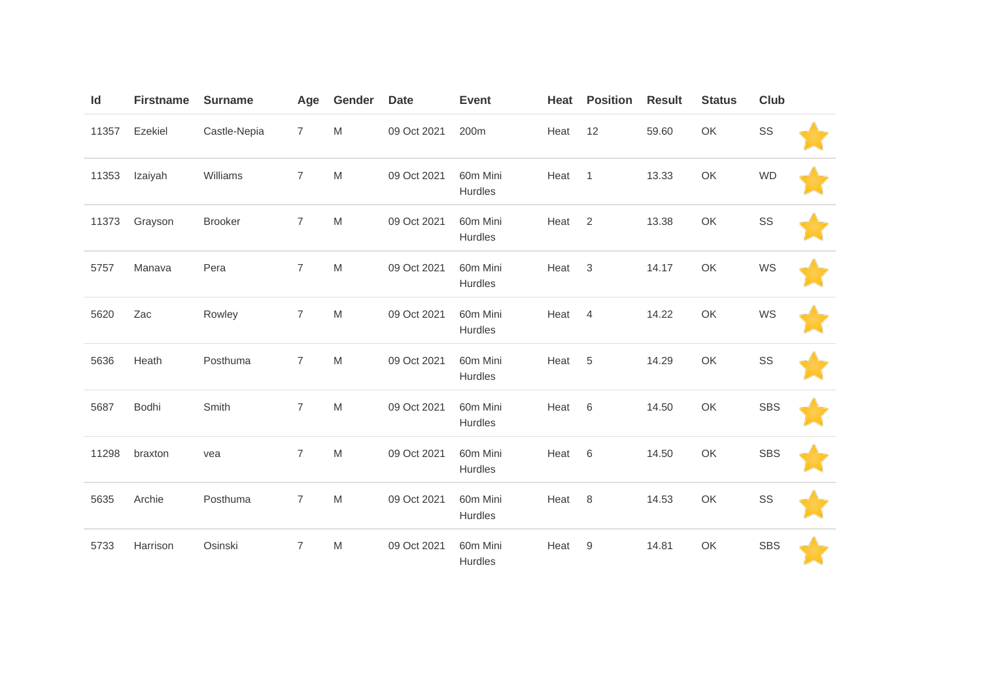| Id    | <b>Firstname</b> | <b>Surname</b> | Age            | Gender                                                                                                     | <b>Date</b> | <b>Event</b>        | Heat | <b>Position</b> | <b>Result</b> | <b>Status</b> | Club       |  |
|-------|------------------|----------------|----------------|------------------------------------------------------------------------------------------------------------|-------------|---------------------|------|-----------------|---------------|---------------|------------|--|
| 11357 | Ezekiel          | Castle-Nepia   | $\overline{7}$ | M                                                                                                          | 09 Oct 2021 | 200m                | Heat | 12              | 59.60         | OK            | SS         |  |
| 11353 | Izaiyah          | Williams       | $\overline{7}$ | $\mathsf{M}% _{T}=\mathsf{M}_{T}\!\left( a,b\right) ,\ \mathsf{M}_{T}=\mathsf{M}_{T}\!\left( a,b\right) ,$ | 09 Oct 2021 | 60m Mini<br>Hurdles | Heat | $\mathbf{1}$    | 13.33         | OK            | <b>WD</b>  |  |
| 11373 | Grayson          | <b>Brooker</b> | $\overline{7}$ | $\mathsf{M}% _{T}=\mathsf{M}_{T}\!\left( a,b\right) ,\ \mathsf{M}_{T}=\mathsf{M}_{T}\!\left( a,b\right) ,$ | 09 Oct 2021 | 60m Mini<br>Hurdles | Heat | $\overline{2}$  | 13.38         | OK            | SS         |  |
| 5757  | Manava           | Pera           | $\overline{7}$ | M                                                                                                          | 09 Oct 2021 | 60m Mini<br>Hurdles | Heat | 3               | 14.17         | OK            | WS         |  |
| 5620  | Zac              | Rowley         | $\overline{7}$ | $\mathsf{M}% _{T}=\mathsf{M}_{T}\!\left( a,b\right) ,\ \mathsf{M}_{T}=\mathsf{M}_{T}\!\left( a,b\right) ,$ | 09 Oct 2021 | 60m Mini<br>Hurdles | Heat | $\overline{4}$  | 14.22         | OK            | WS         |  |
| 5636  | Heath            | Posthuma       | $\overline{7}$ | $\mathsf{M}% _{T}=\mathsf{M}_{T}\!\left( a,b\right) ,\ \mathsf{M}_{T}=\mathsf{M}_{T}\!\left( a,b\right) ,$ | 09 Oct 2021 | 60m Mini<br>Hurdles | Heat | 5               | 14.29         | OK            | SS         |  |
| 5687  | Bodhi            | Smith          | $\overline{7}$ | M                                                                                                          | 09 Oct 2021 | 60m Mini<br>Hurdles | Heat | 6               | 14.50         | OK            | <b>SBS</b> |  |
| 11298 | braxton          | vea            | $\overline{7}$ | $\mathsf{M}% _{T}=\mathsf{M}_{T}\!\left( a,b\right) ,\ \mathsf{M}_{T}=\mathsf{M}_{T}\!\left( a,b\right) ,$ | 09 Oct 2021 | 60m Mini<br>Hurdles | Heat | 6               | 14.50         | OK            | <b>SBS</b> |  |
| 5635  | Archie           | Posthuma       | $\overline{7}$ | ${\sf M}$                                                                                                  | 09 Oct 2021 | 60m Mini<br>Hurdles | Heat | 8               | 14.53         | OK            | SS         |  |
| 5733  | Harrison         | Osinski        | $\overline{7}$ | M                                                                                                          | 09 Oct 2021 | 60m Mini<br>Hurdles | Heat | 9               | 14.81         | OK            | <b>SBS</b> |  |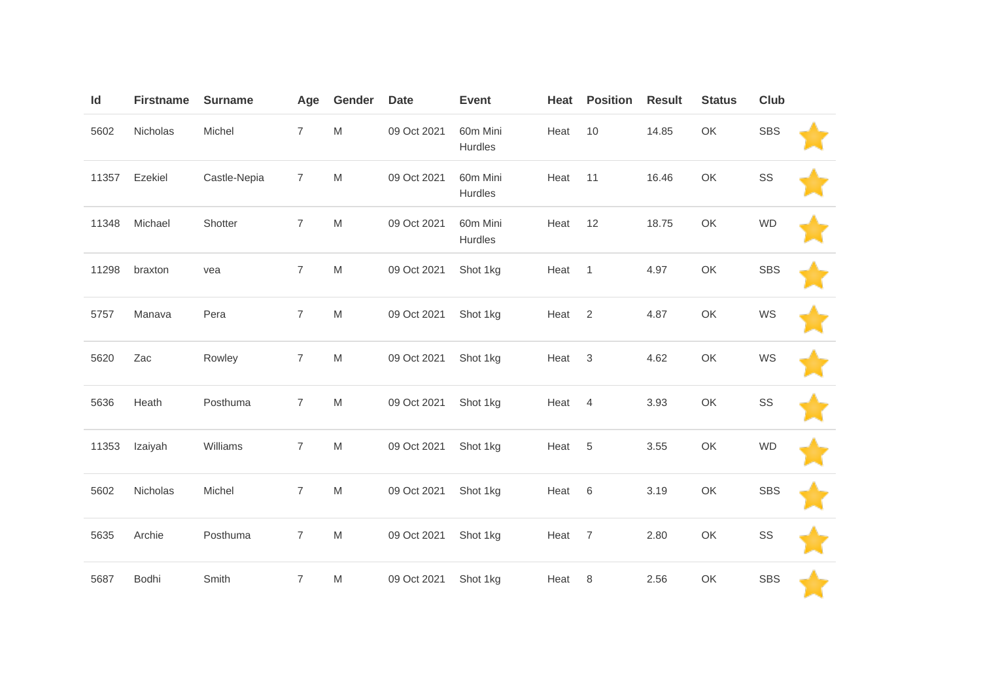| Id    | <b>Firstname</b> | <b>Surname</b> | Age              | Gender                                                                                | <b>Date</b> | <b>Event</b>        | Heat | <b>Position</b> | <b>Result</b> | <b>Status</b> | Club       |  |
|-------|------------------|----------------|------------------|---------------------------------------------------------------------------------------|-------------|---------------------|------|-----------------|---------------|---------------|------------|--|
| 5602  | Nicholas         | Michel         | $\overline{7}$   | ${\sf M}$                                                                             | 09 Oct 2021 | 60m Mini<br>Hurdles | Heat | 10              | 14.85         | OK            | <b>SBS</b> |  |
| 11357 | Ezekiel          | Castle-Nepia   | $\overline{7}$   | ${\sf M}$                                                                             | 09 Oct 2021 | 60m Mini<br>Hurdles | Heat | 11              | 16.46         | OK            | SS         |  |
| 11348 | Michael          | Shotter        | $\overline{7}$   | ${\sf M}$                                                                             | 09 Oct 2021 | 60m Mini<br>Hurdles | Heat | 12              | 18.75         | OK            | <b>WD</b>  |  |
| 11298 | braxton          | vea            | $\boldsymbol{7}$ | ${\sf M}$                                                                             | 09 Oct 2021 | Shot 1kg            | Heat | $\mathbf{1}$    | 4.97          | OK            | <b>SBS</b> |  |
| 5757  | Manava           | Pera           | $\overline{7}$   | ${\sf M}$                                                                             | 09 Oct 2021 | Shot 1kg            | Heat | $\sqrt{2}$      | 4.87          | OK            | WS         |  |
| 5620  | Zac              | Rowley         | $\overline{7}$   | ${\sf M}$                                                                             | 09 Oct 2021 | Shot 1kg            | Heat | 3               | 4.62          | OK            | WS         |  |
| 5636  | Heath            | Posthuma       | $\overline{7}$   | ${\sf M}$                                                                             | 09 Oct 2021 | Shot 1kg            | Heat | $\overline{4}$  | 3.93          | OK            | SS         |  |
| 11353 | Izaiyah          | Williams       | $\overline{7}$   | ${\sf M}$                                                                             | 09 Oct 2021 | Shot 1kg            | Heat | 5               | 3.55          | OK            | <b>WD</b>  |  |
| 5602  | Nicholas         | Michel         | $\overline{7}$   | $\mathsf{M}% _{T}=\mathsf{M}_{T}\!\left( a,b\right) ,\ \mathsf{M}_{T}=\mathsf{M}_{T}$ | 09 Oct 2021 | Shot 1kg            | Heat | 6               | 3.19          | OK            | <b>SBS</b> |  |
| 5635  | Archie           | Posthuma       | $\overline{7}$   | ${\sf M}$                                                                             | 09 Oct 2021 | Shot 1kg            | Heat | $\overline{7}$  | 2.80          | OK            | SS         |  |
| 5687  | Bodhi            | Smith          | $\overline{7}$   | M                                                                                     | 09 Oct 2021 | Shot 1kg            | Heat | 8               | 2.56          | OK            | <b>SBS</b> |  |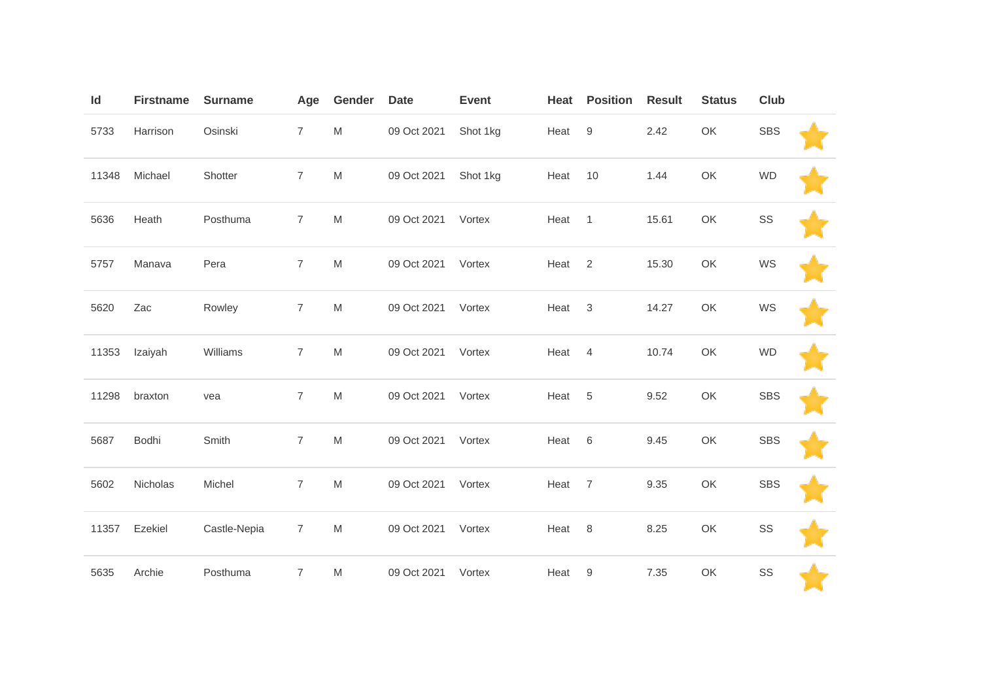| Id    | <b>Firstname</b> | <b>Surname</b> | Age            | Gender                                                                                | <b>Date</b> | <b>Event</b> | Heat | <b>Position</b> | <b>Result</b> | <b>Status</b> | Club       |  |
|-------|------------------|----------------|----------------|---------------------------------------------------------------------------------------|-------------|--------------|------|-----------------|---------------|---------------|------------|--|
| 5733  | Harrison         | Osinski        | $\overline{7}$ | M                                                                                     | 09 Oct 2021 | Shot 1kg     | Heat | $9\,$           | 2.42          | OK            | <b>SBS</b> |  |
| 11348 | Michael          | Shotter        | $\overline{7}$ | ${\sf M}$                                                                             | 09 Oct 2021 | Shot 1kg     | Heat | 10              | 1.44          | OK            | <b>WD</b>  |  |
| 5636  | Heath            | Posthuma       | $\overline{7}$ | M                                                                                     | 09 Oct 2021 | Vortex       | Heat | $\overline{1}$  | 15.61         | OK            | SS         |  |
| 5757  | Manava           | Pera           | $\overline{7}$ | M                                                                                     | 09 Oct 2021 | Vortex       | Heat | 2               | 15.30         | OK            | WS         |  |
| 5620  | Zac              | Rowley         | $\overline{7}$ | ${\sf M}$                                                                             | 09 Oct 2021 | Vortex       | Heat | 3               | 14.27         | OK            | WS         |  |
| 11353 | Izaiyah          | Williams       | $\overline{7}$ | $\mathsf{M}% _{T}=\mathsf{M}_{T}\!\left( a,b\right) ,\ \mathsf{M}_{T}=\mathsf{M}_{T}$ | 09 Oct 2021 | Vortex       | Heat | $\overline{4}$  | 10.74         | OK            | <b>WD</b>  |  |
| 11298 | braxton          | vea            | $\overline{7}$ | ${\sf M}$                                                                             | 09 Oct 2021 | Vortex       | Heat | 5               | 9.52          | OK            | <b>SBS</b> |  |
| 5687  | Bodhi            | Smith          | $\overline{7}$ | ${\sf M}$                                                                             | 09 Oct 2021 | Vortex       | Heat | 6               | 9.45          | OK            | <b>SBS</b> |  |
| 5602  | Nicholas         | Michel         | $\overline{7}$ | ${\sf M}$                                                                             | 09 Oct 2021 | Vortex       | Heat | $\overline{7}$  | 9.35          | OK            | <b>SBS</b> |  |
| 11357 | Ezekiel          | Castle-Nepia   | $\overline{7}$ | M                                                                                     | 09 Oct 2021 | Vortex       | Heat | 8               | 8.25          | OK            | SS         |  |
| 5635  | Archie           | Posthuma       | $\overline{7}$ | M                                                                                     | 09 Oct 2021 | Vortex       | Heat | 9               | 7.35          | OK            | SS         |  |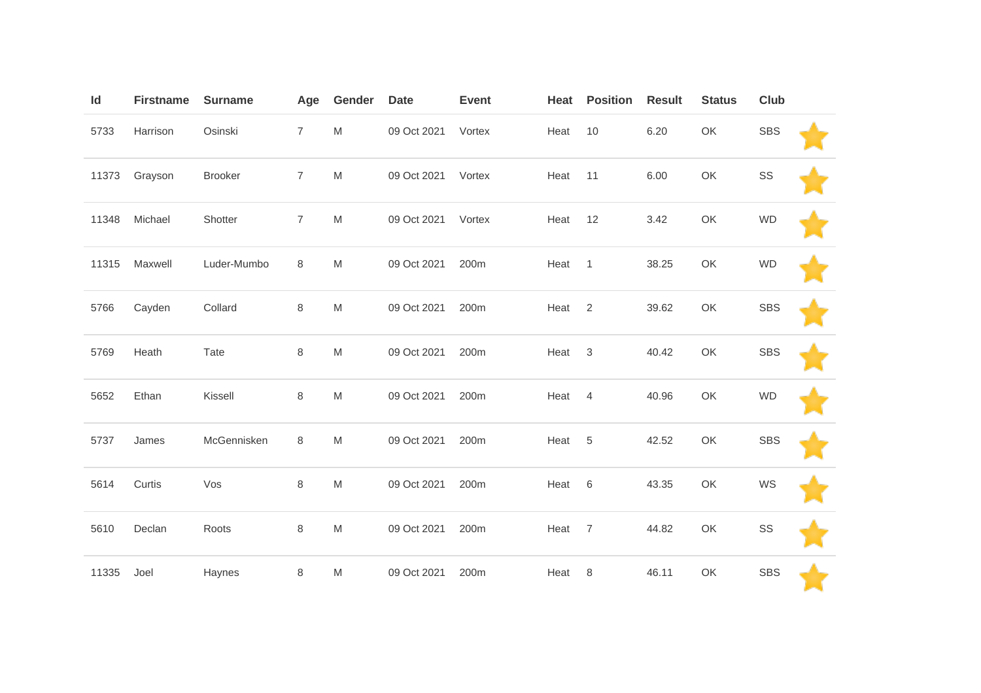| Id    | <b>Firstname</b> | <b>Surname</b> | Age            | Gender                                                                                                     | <b>Date</b> | <b>Event</b> | Heat | <b>Position</b>           | <b>Result</b> | <b>Status</b> | Club       |  |
|-------|------------------|----------------|----------------|------------------------------------------------------------------------------------------------------------|-------------|--------------|------|---------------------------|---------------|---------------|------------|--|
| 5733  | Harrison         | Osinski        | $\overline{7}$ | M                                                                                                          | 09 Oct 2021 | Vortex       | Heat | 10                        | 6.20          | OK            | <b>SBS</b> |  |
| 11373 | Grayson          | <b>Brooker</b> | $\overline{7}$ | M                                                                                                          | 09 Oct 2021 | Vortex       | Heat | 11                        | 6.00          | OK            | SS         |  |
| 11348 | Michael          | Shotter        | $\overline{7}$ | M                                                                                                          | 09 Oct 2021 | Vortex       | Heat | 12                        | 3.42          | OK            | <b>WD</b>  |  |
| 11315 | Maxwell          | Luder-Mumbo    | 8              | M                                                                                                          | 09 Oct 2021 | 200m         | Heat | $\overline{1}$            | 38.25         | OK            | <b>WD</b>  |  |
| 5766  | Cayden           | Collard        | $\,8\,$        | $\mathsf{M}% _{T}=\mathsf{M}_{T}\!\left( a,b\right) ,\ \mathsf{M}_{T}=\mathsf{M}_{T}\!\left( a,b\right) ,$ | 09 Oct 2021 | 200m         | Heat | $\overline{2}$            | 39.62         | OK            | <b>SBS</b> |  |
| 5769  | Heath            | Tate           | $\,8\,$        | M                                                                                                          | 09 Oct 2021 | 200m         | Heat | $\ensuremath{\mathsf{3}}$ | 40.42         | OK            | <b>SBS</b> |  |
| 5652  | Ethan            | Kissell        | 8              | M                                                                                                          | 09 Oct 2021 | 200m         | Heat | $\overline{4}$            | 40.96         | OK            | <b>WD</b>  |  |
| 5737  | James            | McGennisken    | 8              | M                                                                                                          | 09 Oct 2021 | 200m         | Heat | 5                         | 42.52         | OK            | <b>SBS</b> |  |
| 5614  | Curtis           | Vos            | $\,8\,$        | M                                                                                                          | 09 Oct 2021 | 200m         | Heat | 6                         | 43.35         | OK            | WS         |  |
| 5610  | Declan           | Roots          | $\,8\,$        | $\mathsf{M}% _{T}=\mathsf{M}_{T}\!\left( a,b\right) ,\ \mathsf{M}_{T}=\mathsf{M}_{T}\!\left( a,b\right) ,$ | 09 Oct 2021 | 200m         | Heat | $\overline{7}$            | 44.82         | OK            | SS         |  |
| 11335 | Joel             | Haynes         | $\,8\,$        | M                                                                                                          | 09 Oct 2021 | 200m         | Heat | 8                         | 46.11         | OK            | SBS        |  |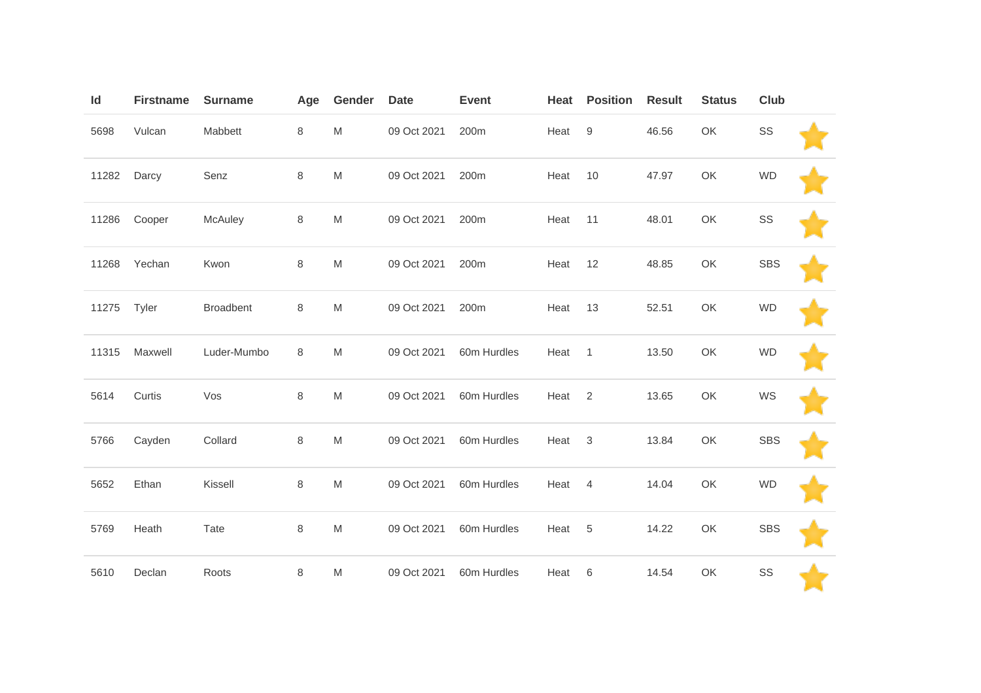| Id    | <b>Firstname</b> | <b>Surname</b>   | Age     | Gender                                                                                                     | <b>Date</b> | <b>Event</b> | Heat | <b>Position</b>  | <b>Result</b> | <b>Status</b> | Club       |  |
|-------|------------------|------------------|---------|------------------------------------------------------------------------------------------------------------|-------------|--------------|------|------------------|---------------|---------------|------------|--|
| 5698  | Vulcan           | Mabbett          | 8       | M                                                                                                          | 09 Oct 2021 | 200m         | Heat | $\boldsymbol{9}$ | 46.56         | OK            | SS         |  |
| 11282 | Darcy            | Senz             | $\,8\,$ | M                                                                                                          | 09 Oct 2021 | 200m         | Heat | 10               | 47.97         | OK            | <b>WD</b>  |  |
| 11286 | Cooper           | McAuley          | $\,8\,$ | M                                                                                                          | 09 Oct 2021 | 200m         | Heat | 11               | 48.01         | OK            | SS         |  |
| 11268 | Yechan           | Kwon             | 8       | M                                                                                                          | 09 Oct 2021 | 200m         | Heat | 12               | 48.85         | OK            | <b>SBS</b> |  |
| 11275 | Tyler            | <b>Broadbent</b> | $\,8\,$ | $\mathsf{M}% _{T}=\mathsf{M}_{T}\!\left( a,b\right) ,\ \mathsf{M}_{T}=\mathsf{M}_{T}\!\left( a,b\right) ,$ | 09 Oct 2021 | 200m         | Heat | 13               | 52.51         | OK            | <b>WD</b>  |  |
| 11315 | Maxwell          | Luder-Mumbo      | 8       | M                                                                                                          | 09 Oct 2021 | 60m Hurdles  | Heat | $\mathbf{1}$     | 13.50         | OK            | <b>WD</b>  |  |
| 5614  | Curtis           | Vos              | 8       | M                                                                                                          | 09 Oct 2021 | 60m Hurdles  | Heat | $\overline{2}$   | 13.65         | OK            | WS         |  |
| 5766  | Cayden           | Collard          | $\,8\,$ | M                                                                                                          | 09 Oct 2021 | 60m Hurdles  | Heat | $\mathbf{3}$     | 13.84         | OK            | <b>SBS</b> |  |
| 5652  | Ethan            | Kissell          | $\,8\,$ | M                                                                                                          | 09 Oct 2021 | 60m Hurdles  | Heat | $\overline{4}$   | 14.04         | OK            | <b>WD</b>  |  |
| 5769  | Heath            | Tate             | $\,8\,$ | M                                                                                                          | 09 Oct 2021 | 60m Hurdles  | Heat | $\overline{5}$   | 14.22         | OK            | <b>SBS</b> |  |
| 5610  | Declan           | Roots            | $\,8\,$ | M                                                                                                          | 09 Oct 2021 | 60m Hurdles  | Heat | 6                | 14.54         | OK            | SS         |  |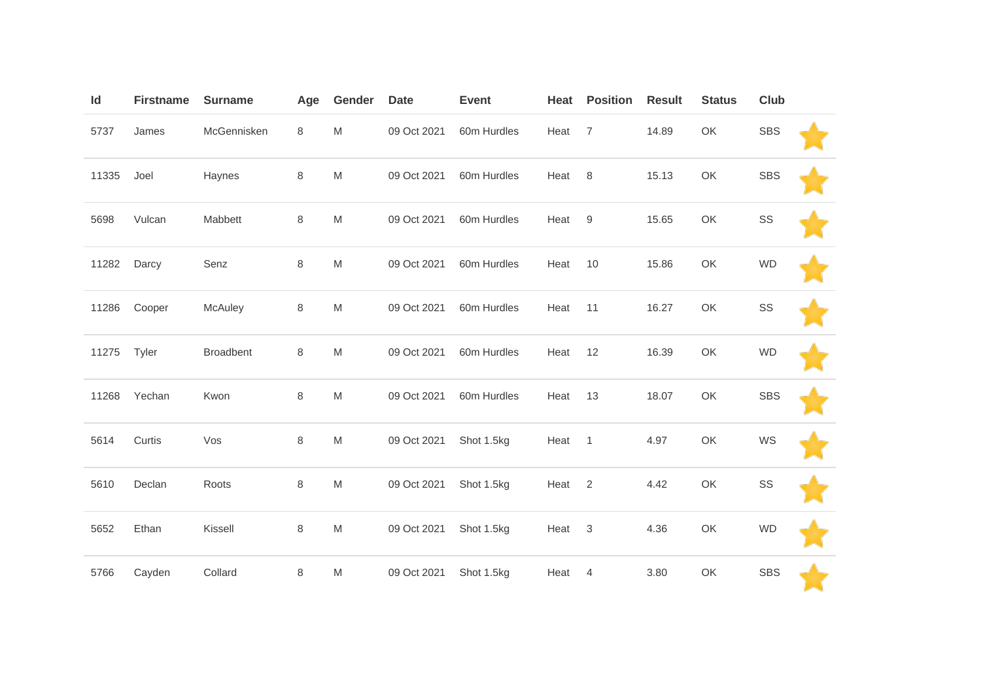| Id    | <b>Firstname</b> | <b>Surname</b> | Age     | Gender    | <b>Date</b> | <b>Event</b> | Heat | <b>Position</b> | <b>Result</b> | <b>Status</b> | Club       |  |
|-------|------------------|----------------|---------|-----------|-------------|--------------|------|-----------------|---------------|---------------|------------|--|
| 5737  | James            | McGennisken    | 8       | ${\sf M}$ | 09 Oct 2021 | 60m Hurdles  | Heat | $\overline{7}$  | 14.89         | OK            | <b>SBS</b> |  |
| 11335 | Joel             | Haynes         | $\,8\,$ | ${\sf M}$ | 09 Oct 2021 | 60m Hurdles  | Heat | 8               | 15.13         | OK            | <b>SBS</b> |  |
| 5698  | Vulcan           | Mabbett        | $\,8\,$ | ${\sf M}$ | 09 Oct 2021 | 60m Hurdles  | Heat | 9               | 15.65         | OK            | SS         |  |
| 11282 | Darcy            | Senz           | $\,8\,$ | ${\sf M}$ | 09 Oct 2021 | 60m Hurdles  | Heat | 10              | 15.86         | OK            | <b>WD</b>  |  |
| 11286 | Cooper           | McAuley        | $\,8\,$ | ${\sf M}$ | 09 Oct 2021 | 60m Hurdles  | Heat | 11              | 16.27         | OK            | SS         |  |
| 11275 | Tyler            | Broadbent      | 8       | ${\sf M}$ | 09 Oct 2021 | 60m Hurdles  | Heat | 12              | 16.39         | OK            | <b>WD</b>  |  |
| 11268 | Yechan           | Kwon           | $\,8\,$ | ${\sf M}$ | 09 Oct 2021 | 60m Hurdles  | Heat | 13              | 18.07         | OK            | <b>SBS</b> |  |
| 5614  | Curtis           | Vos            | $\,8\,$ | ${\sf M}$ | 09 Oct 2021 | Shot 1.5kg   | Heat | $\mathbf{1}$    | 4.97          | OK            | WS         |  |
| 5610  | Declan           | Roots          | $\,8\,$ | ${\sf M}$ | 09 Oct 2021 | Shot 1.5kg   | Heat | $\overline{2}$  | 4.42          | OK            | SS         |  |
| 5652  | Ethan            | Kissell        | $\,8\,$ | ${\sf M}$ | 09 Oct 2021 | Shot 1.5kg   | Heat | 3               | 4.36          | OK            | <b>WD</b>  |  |
| 5766  | Cayden           | Collard        | $\,8\,$ | M         | 09 Oct 2021 | Shot 1.5kg   | Heat | 4               | 3.80          | OK            | <b>SBS</b> |  |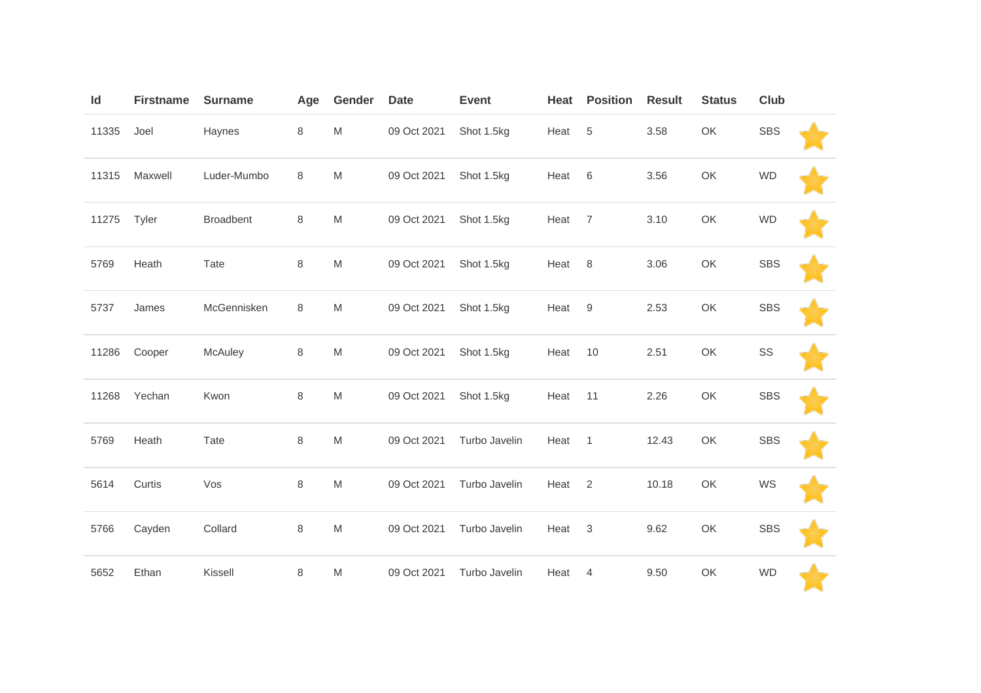| Id    | <b>Firstname</b> | <b>Surname</b>   | Age     | Gender                                                                                                     | <b>Date</b> | <b>Event</b>  | Heat | <b>Position</b> | <b>Result</b> | <b>Status</b> | Club       |  |
|-------|------------------|------------------|---------|------------------------------------------------------------------------------------------------------------|-------------|---------------|------|-----------------|---------------|---------------|------------|--|
| 11335 | Joel             | Haynes           | 8       | M                                                                                                          | 09 Oct 2021 | Shot 1.5kg    | Heat | $\sqrt{5}$      | 3.58          | OK            | <b>SBS</b> |  |
| 11315 | Maxwell          | Luder-Mumbo      | 8       | M                                                                                                          | 09 Oct 2021 | Shot 1.5kg    | Heat | 6               | 3.56          | OK            | <b>WD</b>  |  |
| 11275 | Tyler            | <b>Broadbent</b> | 8       | M                                                                                                          | 09 Oct 2021 | Shot 1.5kg    | Heat | $\overline{7}$  | 3.10          | OK            | <b>WD</b>  |  |
| 5769  | Heath            | Tate             | $\,8\,$ | M                                                                                                          | 09 Oct 2021 | Shot 1.5kg    | Heat | 8               | 3.06          | OK            | <b>SBS</b> |  |
| 5737  | James            | McGennisken      | $\,8\,$ | M                                                                                                          | 09 Oct 2021 | Shot 1.5kg    | Heat | 9               | 2.53          | OK            | <b>SBS</b> |  |
| 11286 | Cooper           | McAuley          | $\,8\,$ | $\mathsf{M}% _{T}=\mathsf{M}_{T}\!\left( a,b\right) ,\ \mathsf{M}_{T}=\mathsf{M}_{T}\!\left( a,b\right) ,$ | 09 Oct 2021 | Shot 1.5kg    | Heat | 10              | 2.51          | OK            | SS         |  |
| 11268 | Yechan           | Kwon             | 8       | M                                                                                                          | 09 Oct 2021 | Shot 1.5kg    | Heat | 11              | 2.26          | OK            | <b>SBS</b> |  |
| 5769  | Heath            | Tate             | $\,8\,$ | $\mathsf{M}% _{T}=\mathsf{M}_{T}\!\left( a,b\right) ,\ \mathsf{M}_{T}=\mathsf{M}_{T}\!\left( a,b\right) ,$ | 09 Oct 2021 | Turbo Javelin | Heat | $\mathbf{1}$    | 12.43         | OK            | <b>SBS</b> |  |
| 5614  | Curtis           | Vos              | $\,8\,$ | M                                                                                                          | 09 Oct 2021 | Turbo Javelin | Heat | 2               | 10.18         | OK            | WS         |  |
| 5766  | Cayden           | Collard          | 8       | M                                                                                                          | 09 Oct 2021 | Turbo Javelin | Heat | $\mathbf{3}$    | 9.62          | OK            | <b>SBS</b> |  |
| 5652  | Ethan            | Kissell          | $\,8\,$ | M                                                                                                          | 09 Oct 2021 | Turbo Javelin | Heat | 4               | 9.50          | OK            | <b>WD</b>  |  |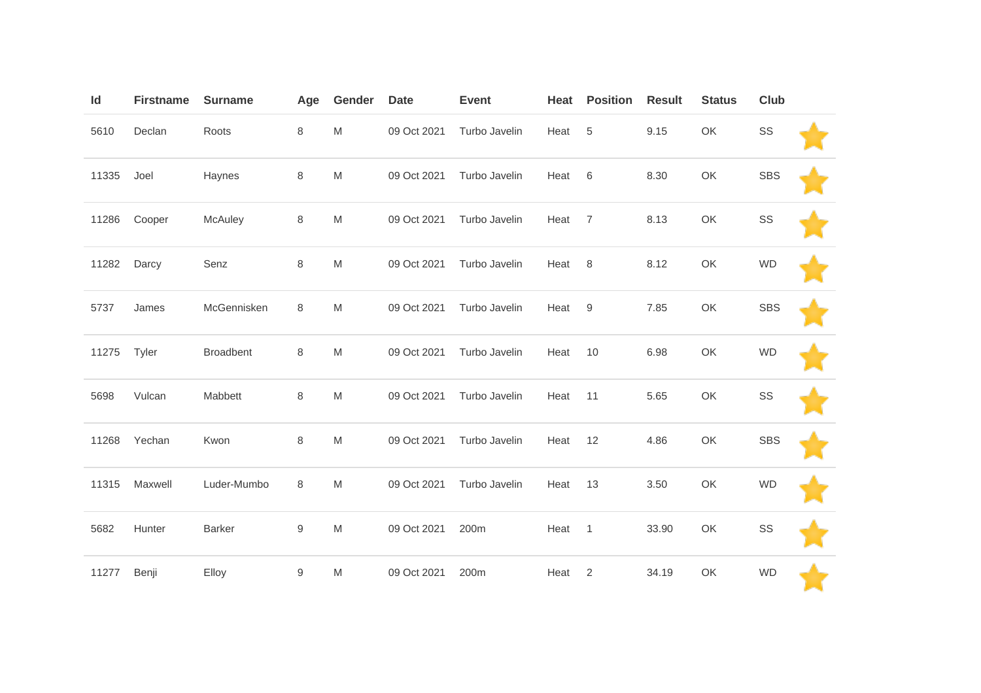| Id    | <b>Firstname</b> | <b>Surname</b>   | Age              | Gender                                                                                                     | <b>Date</b> | <b>Event</b>  | Heat | <b>Position</b> | <b>Result</b> | <b>Status</b> | Club       |  |
|-------|------------------|------------------|------------------|------------------------------------------------------------------------------------------------------------|-------------|---------------|------|-----------------|---------------|---------------|------------|--|
| 5610  | Declan           | Roots            | 8                | M                                                                                                          | 09 Oct 2021 | Turbo Javelin | Heat | $\sqrt{5}$      | 9.15          | OK            | SS         |  |
| 11335 | Joel             | Haynes           | $\,8\,$          | M                                                                                                          | 09 Oct 2021 | Turbo Javelin | Heat | 6               | 8.30          | OK            | <b>SBS</b> |  |
| 11286 | Cooper           | McAuley          | $\,8\,$          | M                                                                                                          | 09 Oct 2021 | Turbo Javelin | Heat | $\overline{7}$  | 8.13          | OK            | SS         |  |
| 11282 | Darcy            | Senz             | $\,8\,$          | M                                                                                                          | 09 Oct 2021 | Turbo Javelin | Heat | 8               | 8.12          | OK            | <b>WD</b>  |  |
| 5737  | James            | McGennisken      | 8                | M                                                                                                          | 09 Oct 2021 | Turbo Javelin | Heat | 9               | 7.85          | OK            | <b>SBS</b> |  |
| 11275 | Tyler            | <b>Broadbent</b> | $\,8\,$          | M                                                                                                          | 09 Oct 2021 | Turbo Javelin | Heat | 10              | 6.98          | OK            | <b>WD</b>  |  |
| 5698  | Vulcan           | Mabbett          | $\,8\,$          | M                                                                                                          | 09 Oct 2021 | Turbo Javelin | Heat | 11              | 5.65          | OK            | SS         |  |
| 11268 | Yechan           | Kwon             | $\,8\,$          | $\mathsf{M}% _{T}=\mathsf{M}_{T}\!\left( a,b\right) ,\ \mathsf{M}_{T}=\mathsf{M}_{T}\!\left( a,b\right) ,$ | 09 Oct 2021 | Turbo Javelin | Heat | 12              | 4.86          | OK            | <b>SBS</b> |  |
| 11315 | Maxwell          | Luder-Mumbo      | 8                | M                                                                                                          | 09 Oct 2021 | Turbo Javelin | Heat | 13              | 3.50          | OK            | <b>WD</b>  |  |
| 5682  | Hunter           | Barker           | $\boldsymbol{9}$ | M                                                                                                          | 09 Oct 2021 | 200m          | Heat | $\mathbf{1}$    | 33.90         | OK            | SS         |  |
| 11277 | Benji            | Elloy            | $\boldsymbol{9}$ | M                                                                                                          | 09 Oct 2021 | 200m          | Heat | 2               | 34.19         | OK            | <b>WD</b>  |  |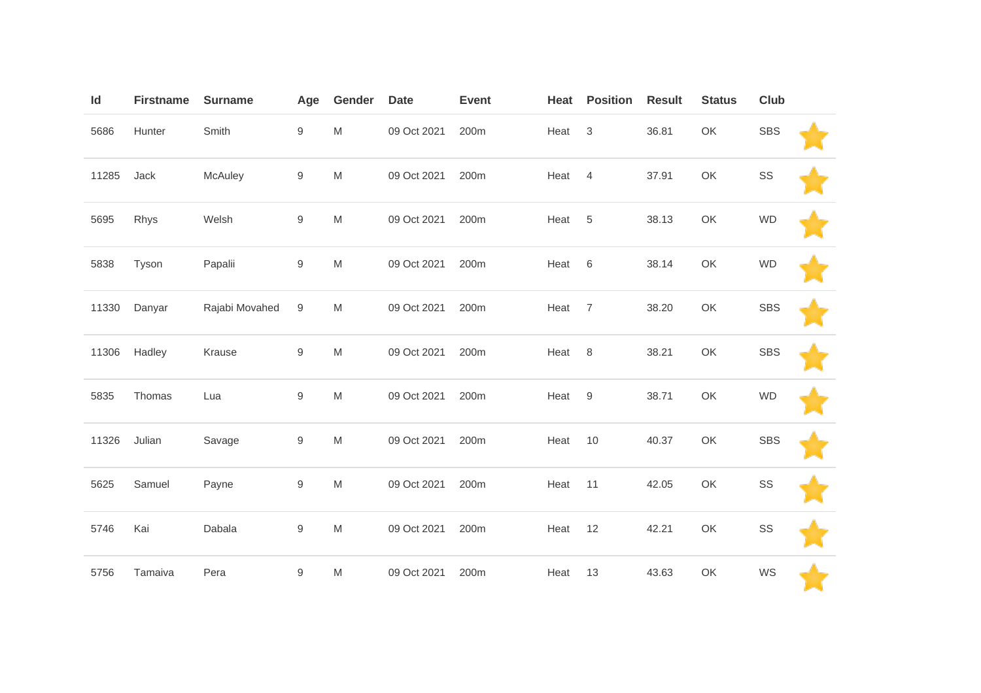| Id    | <b>Firstname</b> | <b>Surname</b> | Age              | Gender                                                                                                     | <b>Date</b> | <b>Event</b> | Heat | <b>Position</b>           | <b>Result</b> | <b>Status</b> | Club       |  |
|-------|------------------|----------------|------------------|------------------------------------------------------------------------------------------------------------|-------------|--------------|------|---------------------------|---------------|---------------|------------|--|
| 5686  | Hunter           | Smith          | $\boldsymbol{9}$ | ${\sf M}$                                                                                                  | 09 Oct 2021 | 200m         | Heat | $\ensuremath{\mathsf{3}}$ | 36.81         | OK            | <b>SBS</b> |  |
| 11285 | Jack             | McAuley        | $\boldsymbol{9}$ | ${\sf M}$                                                                                                  | 09 Oct 2021 | 200m         | Heat | $\overline{4}$            | 37.91         | OK            | SS         |  |
| 5695  | Rhys             | Welsh          | $\boldsymbol{9}$ | $\mathsf{M}% _{T}=\mathsf{M}_{T}\!\left( a,b\right) ,\ \mathsf{M}_{T}=\mathsf{M}_{T}\!\left( a,b\right) ,$ | 09 Oct 2021 | 200m         | Heat | 5                         | 38.13         | OK            | <b>WD</b>  |  |
| 5838  | Tyson            | Papalii        | $\boldsymbol{9}$ | M                                                                                                          | 09 Oct 2021 | 200m         | Heat | $\,6$                     | 38.14         | OK            | <b>WD</b>  |  |
| 11330 | Danyar           | Rajabi Movahed | 9                | M                                                                                                          | 09 Oct 2021 | 200m         | Heat | $\overline{7}$            | 38.20         | OK            | <b>SBS</b> |  |
| 11306 | Hadley           | Krause         | $\boldsymbol{9}$ | ${\sf M}$                                                                                                  | 09 Oct 2021 | 200m         | Heat | 8                         | 38.21         | OK            | <b>SBS</b> |  |
| 5835  | Thomas           | Lua            | $\boldsymbol{9}$ | ${\sf M}$                                                                                                  | 09 Oct 2021 | 200m         | Heat | $9\,$                     | 38.71         | OK            | <b>WD</b>  |  |
| 11326 | Julian           | Savage         | $\boldsymbol{9}$ | ${\sf M}$                                                                                                  | 09 Oct 2021 | 200m         | Heat | 10                        | 40.37         | OK            | <b>SBS</b> |  |
| 5625  | Samuel           | Payne          | $\hbox{9}$       | ${\sf M}$                                                                                                  | 09 Oct 2021 | 200m         | Heat | 11                        | 42.05         | OK            | SS         |  |
| 5746  | Kai              | Dabala         | $\boldsymbol{9}$ | ${\sf M}$                                                                                                  | 09 Oct 2021 | 200m         | Heat | 12                        | 42.21         | OK            | SS         |  |
| 5756  | Tamaiva          | Pera           | $\boldsymbol{9}$ | ${\sf M}$                                                                                                  | 09 Oct 2021 | 200m         | Heat | 13                        | 43.63         | OK            | WS         |  |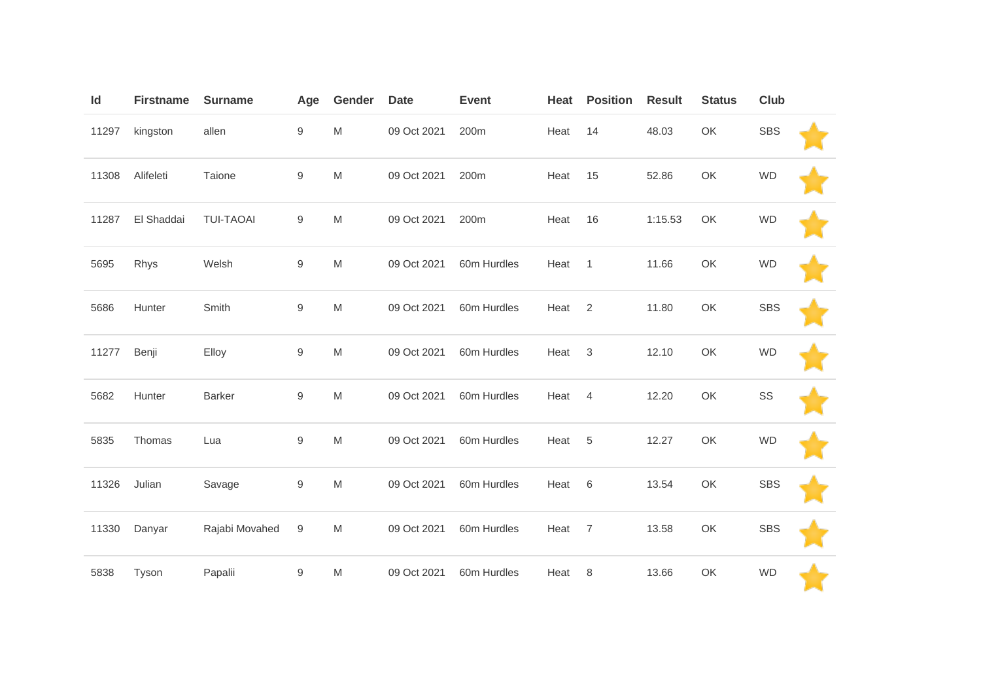| Id    | <b>Firstname</b> | <b>Surname</b>   | Age              | Gender                                                                                                     | <b>Date</b> | <b>Event</b> | Heat | <b>Position</b> | <b>Result</b> | <b>Status</b> | Club       |  |
|-------|------------------|------------------|------------------|------------------------------------------------------------------------------------------------------------|-------------|--------------|------|-----------------|---------------|---------------|------------|--|
| 11297 | kingston         | allen            | $\boldsymbol{9}$ | $\mathsf{M}% _{T}=\mathsf{M}_{T}\!\left( a,b\right) ,\ \mathsf{M}_{T}=\mathsf{M}_{T}\!\left( a,b\right) ,$ | 09 Oct 2021 | 200m         | Heat | 14              | 48.03         | OK            | <b>SBS</b> |  |
| 11308 | Alifeleti        | Taione           | 9                | M                                                                                                          | 09 Oct 2021 | 200m         | Heat | 15              | 52.86         | OK            | <b>WD</b>  |  |
| 11287 | El Shaddai       | <b>TUI-TAOAI</b> | 9                | M                                                                                                          | 09 Oct 2021 | 200m         | Heat | 16              | 1:15.53       | OK            | <b>WD</b>  |  |
| 5695  | Rhys             | Welsh            | $\hbox{9}$       | M                                                                                                          | 09 Oct 2021 | 60m Hurdles  | Heat | $\overline{1}$  | 11.66         | OK            | <b>WD</b>  |  |
| 5686  | Hunter           | Smith            | $\boldsymbol{9}$ | M                                                                                                          | 09 Oct 2021 | 60m Hurdles  | Heat | $\overline{2}$  | 11.80         | OK            | <b>SBS</b> |  |
| 11277 | Benji            | Elloy            | $9\,$            | M                                                                                                          | 09 Oct 2021 | 60m Hurdles  | Heat | $\sqrt{3}$      | 12.10         | OK            | <b>WD</b>  |  |
| 5682  | Hunter           | <b>Barker</b>    | $\boldsymbol{9}$ | M                                                                                                          | 09 Oct 2021 | 60m Hurdles  | Heat | $\overline{4}$  | 12.20         | OK            | SS         |  |
| 5835  | Thomas           | Lua              | $\boldsymbol{9}$ | M                                                                                                          | 09 Oct 2021 | 60m Hurdles  | Heat | 5               | 12.27         | OK            | <b>WD</b>  |  |
| 11326 | Julian           | Savage           | $\boldsymbol{9}$ | M                                                                                                          | 09 Oct 2021 | 60m Hurdles  | Heat | $6\,$           | 13.54         | OK            | <b>SBS</b> |  |
| 11330 | Danyar           | Rajabi Movahed   | 9                | M                                                                                                          | 09 Oct 2021 | 60m Hurdles  | Heat | $\overline{7}$  | 13.58         | OK            | <b>SBS</b> |  |
| 5838  | Tyson            | Papalii          | $\boldsymbol{9}$ | M                                                                                                          | 09 Oct 2021 | 60m Hurdles  | Heat | 8               | 13.66         | OK            | <b>WD</b>  |  |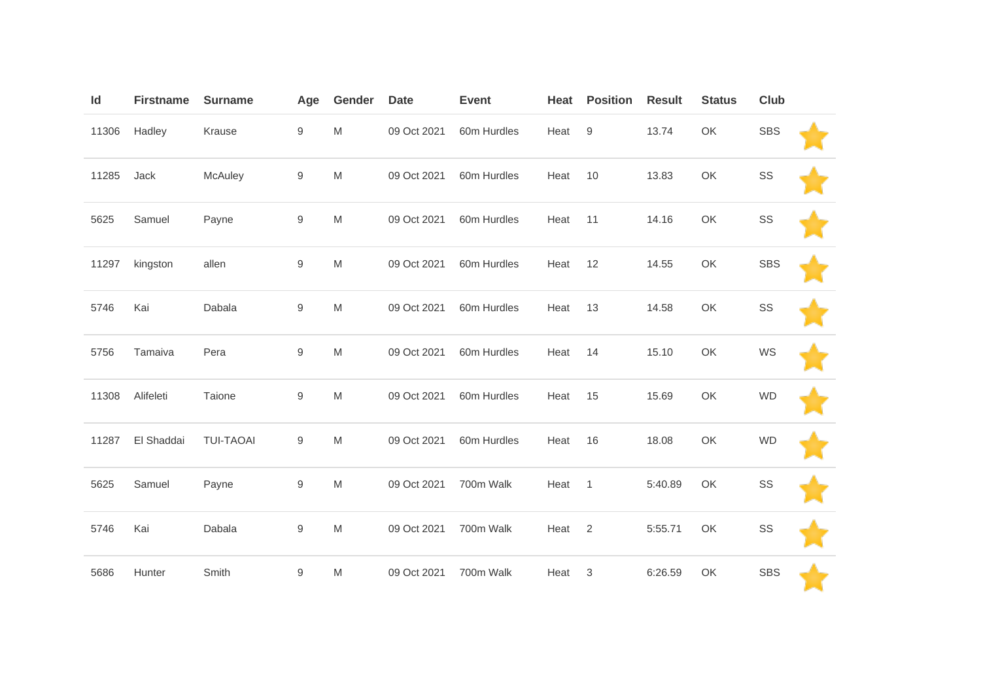| Id    | <b>Firstname</b> | <b>Surname</b>   | Age              | Gender                                                                                                     | <b>Date</b> | <b>Event</b> | Heat | <b>Position</b>  | <b>Result</b> | <b>Status</b> | Club       |  |
|-------|------------------|------------------|------------------|------------------------------------------------------------------------------------------------------------|-------------|--------------|------|------------------|---------------|---------------|------------|--|
| 11306 | Hadley           | Krause           | $\boldsymbol{9}$ | M                                                                                                          | 09 Oct 2021 | 60m Hurdles  | Heat | $\boldsymbol{9}$ | 13.74         | OK            | <b>SBS</b> |  |
| 11285 | Jack             | McAuley          | $\boldsymbol{9}$ | ${\sf M}$                                                                                                  | 09 Oct 2021 | 60m Hurdles  | Heat | 10               | 13.83         | OK            | SS         |  |
| 5625  | Samuel           | Payne            | $\boldsymbol{9}$ | ${\sf M}$                                                                                                  | 09 Oct 2021 | 60m Hurdles  | Heat | 11               | 14.16         | OK            | SS         |  |
| 11297 | kingston         | allen            | $\boldsymbol{9}$ | ${\sf M}$                                                                                                  | 09 Oct 2021 | 60m Hurdles  | Heat | 12               | 14.55         | OK            | <b>SBS</b> |  |
| 5746  | Kai              | Dabala           | 9                | ${\sf M}$                                                                                                  | 09 Oct 2021 | 60m Hurdles  | Heat | 13               | 14.58         | OK            | SS         |  |
| 5756  | Tamaiva          | Pera             | $\boldsymbol{9}$ | $\mathsf{M}% _{T}=\mathsf{M}_{T}\!\left( a,b\right) ,\ \mathsf{M}_{T}=\mathsf{M}_{T}\!\left( a,b\right) ,$ | 09 Oct 2021 | 60m Hurdles  | Heat | 14               | 15.10         | OK            | WS         |  |
| 11308 | Alifeleti        | Taione           | $\boldsymbol{9}$ | ${\sf M}$                                                                                                  | 09 Oct 2021 | 60m Hurdles  | Heat | 15               | 15.69         | OK            | <b>WD</b>  |  |
| 11287 | El Shaddai       | <b>TUI-TAOAI</b> | $\boldsymbol{9}$ | ${\sf M}$                                                                                                  | 09 Oct 2021 | 60m Hurdles  | Heat | 16               | 18.08         | OK            | <b>WD</b>  |  |
| 5625  | Samuel           | Payne            | $\boldsymbol{9}$ | $\mathsf{M}% _{T}=\mathsf{M}_{T}\!\left( a,b\right) ,\ \mathsf{M}_{T}=\mathsf{M}_{T}$                      | 09 Oct 2021 | 700m Walk    | Heat | $\mathbf{1}$     | 5:40.89       | OK            | SS         |  |
| 5746  | Kai              | Dabala           | $\boldsymbol{9}$ | ${\sf M}$                                                                                                  | 09 Oct 2021 | 700m Walk    | Heat | $\overline{2}$   | 5:55.71       | OK            | SS         |  |
| 5686  | Hunter           | Smith            | $\boldsymbol{9}$ | ${\sf M}$                                                                                                  | 09 Oct 2021 | 700m Walk    | Heat | $\sqrt{3}$       | 6:26.59       | OK            | <b>SBS</b> |  |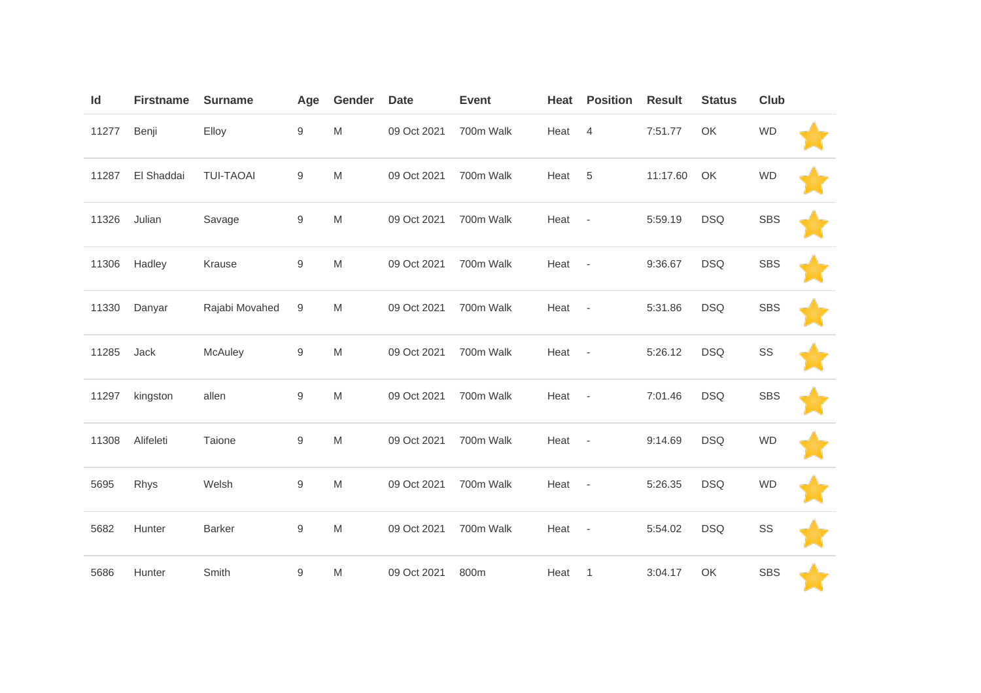| Id    | <b>Firstname</b> | <b>Surname</b>   | Age              | Gender                                                                                                     | <b>Date</b> | <b>Event</b> | Heat   | <b>Position</b>          | <b>Result</b> | <b>Status</b> | Club       |  |
|-------|------------------|------------------|------------------|------------------------------------------------------------------------------------------------------------|-------------|--------------|--------|--------------------------|---------------|---------------|------------|--|
| 11277 | Benji            | Elloy            | $\boldsymbol{9}$ | M                                                                                                          | 09 Oct 2021 | 700m Walk    | Heat   | $\overline{4}$           | 7:51.77       | OK            | <b>WD</b>  |  |
| 11287 | El Shaddai       | <b>TUI-TAOAI</b> | 9                | M                                                                                                          | 09 Oct 2021 | 700m Walk    | Heat   | 5                        | 11:17.60      | OK            | <b>WD</b>  |  |
| 11326 | Julian           | Savage           | $\boldsymbol{9}$ | M                                                                                                          | 09 Oct 2021 | 700m Walk    | Heat   | $\overline{\phantom{a}}$ | 5:59.19       | <b>DSQ</b>    | <b>SBS</b> |  |
| 11306 | Hadley           | Krause           | $\hbox{9}$       | M                                                                                                          | 09 Oct 2021 | 700m Walk    | Heat - |                          | 9:36.67       | <b>DSQ</b>    | <b>SBS</b> |  |
| 11330 | Danyar           | Rajabi Movahed   | 9                | M                                                                                                          | 09 Oct 2021 | 700m Walk    | Heat   | $\overline{\phantom{a}}$ | 5:31.86       | <b>DSQ</b>    | <b>SBS</b> |  |
| 11285 | Jack             | McAuley          | $\boldsymbol{9}$ | $\mathsf{M}% _{T}=\mathsf{M}_{T}\!\left( a,b\right) ,\ \mathsf{M}_{T}=\mathsf{M}_{T}\!\left( a,b\right) ,$ | 09 Oct 2021 | 700m Walk    | Heat   | $\sim$ $-$               | 5:26.12       | <b>DSQ</b>    | SS         |  |
| 11297 | kingston         | allen            | $\boldsymbol{9}$ | M                                                                                                          | 09 Oct 2021 | 700m Walk    | Heat   | $\overline{\phantom{a}}$ | 7:01.46       | <b>DSQ</b>    | <b>SBS</b> |  |
| 11308 | Alifeleti        | Taione           | $\hbox{9}$       | $\mathsf{M}% _{T}=\mathsf{M}_{T}\!\left( a,b\right) ,\ \mathsf{M}_{T}=\mathsf{M}_{T}\!\left( a,b\right) ,$ | 09 Oct 2021 | 700m Walk    | Heat   | $\overline{\phantom{a}}$ | 9:14.69       | <b>DSQ</b>    | <b>WD</b>  |  |
| 5695  | Rhys             | Welsh            | $\hbox{9}$       | M                                                                                                          | 09 Oct 2021 | 700m Walk    | Heat - |                          | 5:26.35       | <b>DSQ</b>    | <b>WD</b>  |  |
| 5682  | Hunter           | <b>Barker</b>    | $\boldsymbol{9}$ | M                                                                                                          | 09 Oct 2021 | 700m Walk    | Heat   | $\overline{\phantom{a}}$ | 5:54.02       | <b>DSQ</b>    | SS         |  |
| 5686  | Hunter           | Smith            | $\boldsymbol{9}$ | M                                                                                                          | 09 Oct 2021 | 800m         | Heat   | $\mathbf{1}$             | 3:04.17       | OK            | <b>SBS</b> |  |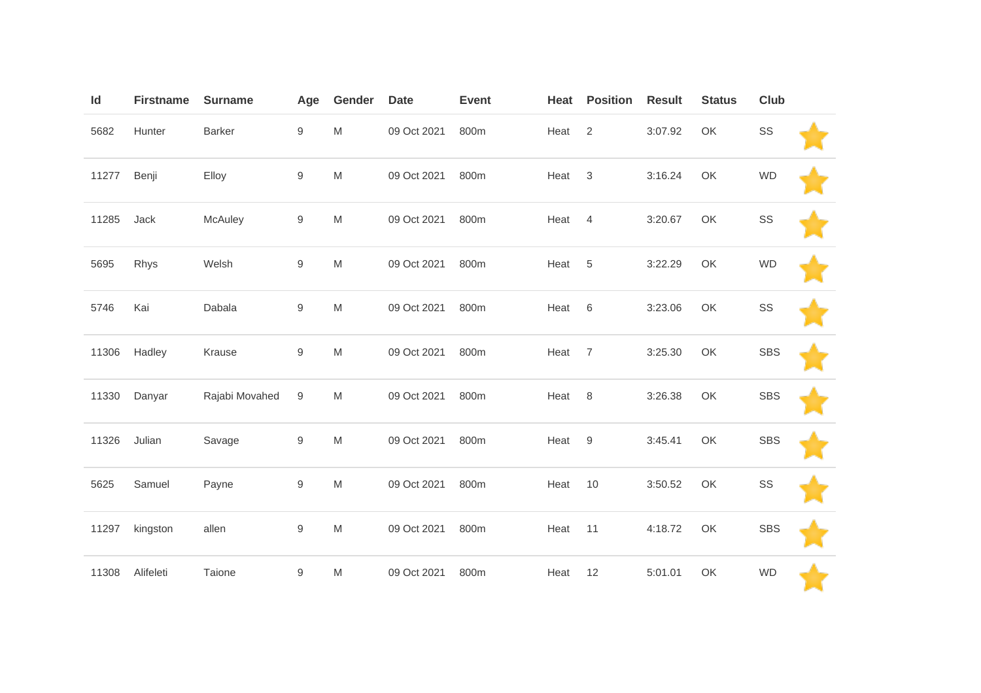| Id    | <b>Firstname</b> | <b>Surname</b> | Age              | Gender                                                                                                     | <b>Date</b> | <b>Event</b> | Heat | <b>Position</b>           | <b>Result</b> | <b>Status</b> | <b>Club</b> |  |
|-------|------------------|----------------|------------------|------------------------------------------------------------------------------------------------------------|-------------|--------------|------|---------------------------|---------------|---------------|-------------|--|
| 5682  | Hunter           | Barker         | $\hbox{9}$       | $\mathsf{M}% _{T}=\mathsf{M}_{T}\!\left( a,b\right) ,\ \mathsf{M}_{T}=\mathsf{M}_{T}\!\left( a,b\right) ,$ | 09 Oct 2021 | 800m         | Heat | 2                         | 3:07.92       | OK            | SS          |  |
| 11277 | Benji            | Elloy          | $\hbox{9}$       | M                                                                                                          | 09 Oct 2021 | 800m         | Heat | $\ensuremath{\mathsf{3}}$ | 3:16.24       | OK            | <b>WD</b>   |  |
| 11285 | Jack             | McAuley        | $\boldsymbol{9}$ | $\mathsf{M}% _{T}=\mathsf{M}_{T}\!\left( a,b\right) ,\ \mathsf{M}_{T}=\mathsf{M}_{T}\!\left( a,b\right) ,$ | 09 Oct 2021 | 800m         | Heat | $\overline{4}$            | 3:20.67       | OK            | SS          |  |
| 5695  | Rhys             | Welsh          | $\mathsf 9$      | M                                                                                                          | 09 Oct 2021 | 800m         | Heat | 5                         | 3:22.29       | OK            | <b>WD</b>   |  |
| 5746  | Kai              | Dabala         | $\boldsymbol{9}$ | $\mathsf{M}% _{T}=\mathsf{M}_{T}\!\left( a,b\right) ,\ \mathsf{M}_{T}=\mathsf{M}_{T}\!\left( a,b\right) ,$ | 09 Oct 2021 | 800m         | Heat | 6                         | 3:23.06       | OK            | SS          |  |
| 11306 | Hadley           | Krause         | $\boldsymbol{9}$ | M                                                                                                          | 09 Oct 2021 | 800m         | Heat | $\overline{7}$            | 3:25.30       | OK            | <b>SBS</b>  |  |
| 11330 | Danyar           | Rajabi Movahed | 9                | M                                                                                                          | 09 Oct 2021 | 800m         | Heat | 8                         | 3:26.38       | OK            | <b>SBS</b>  |  |
| 11326 | Julian           | Savage         | $\boldsymbol{9}$ | M                                                                                                          | 09 Oct 2021 | 800m         | Heat | $\boldsymbol{9}$          | 3:45.41       | OK            | <b>SBS</b>  |  |
| 5625  | Samuel           | Payne          | $\hbox{9}$       | M                                                                                                          | 09 Oct 2021 | 800m         | Heat | 10                        | 3:50.52       | OK            | SS          |  |
| 11297 | kingston         | allen          | $\mathsf 9$      | M                                                                                                          | 09 Oct 2021 | 800m         | Heat | 11                        | 4:18.72       | OK            | <b>SBS</b>  |  |
| 11308 | Alifeleti        | Taione         | $\boldsymbol{9}$ | M                                                                                                          | 09 Oct 2021 | 800m         | Heat | 12                        | 5:01.01       | OK            | <b>WD</b>   |  |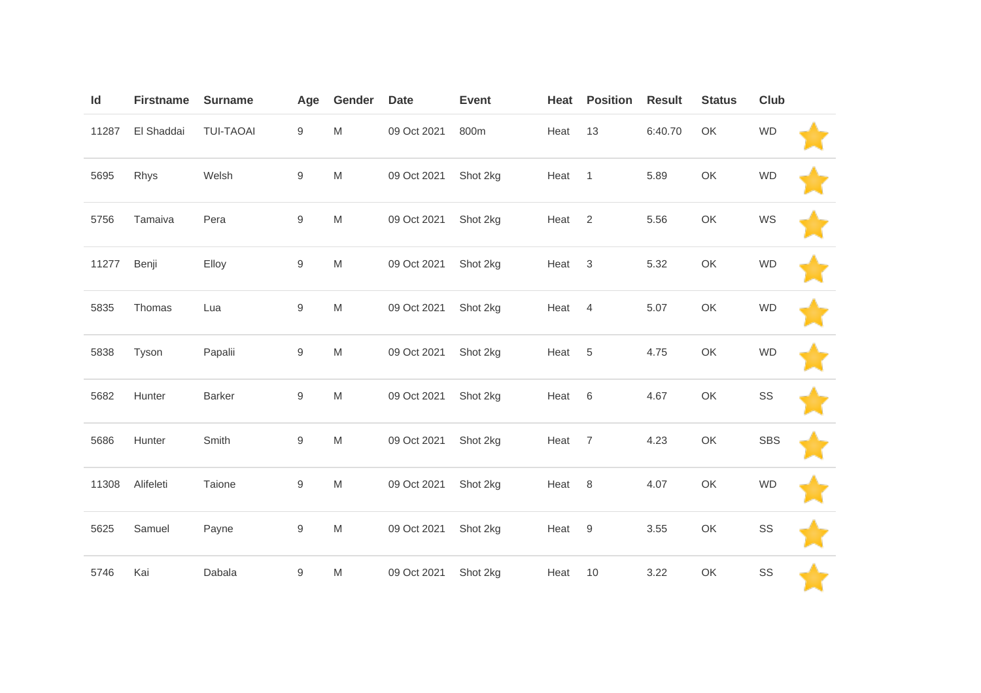| Id    | <b>Firstname</b> | <b>Surname</b>   | Age              | Gender                                                                                                     | <b>Date</b> | <b>Event</b> | Heat | <b>Position</b> | <b>Result</b> | <b>Status</b> | Club       |  |
|-------|------------------|------------------|------------------|------------------------------------------------------------------------------------------------------------|-------------|--------------|------|-----------------|---------------|---------------|------------|--|
| 11287 | El Shaddai       | <b>TUI-TAOAI</b> | $\boldsymbol{9}$ | $\mathsf{M}% _{T}=\mathsf{M}_{T}\!\left( a,b\right) ,\ \mathsf{M}_{T}=\mathsf{M}_{T}\!\left( a,b\right) ,$ | 09 Oct 2021 | 800m         | Heat | 13              | 6:40.70       | OK            | <b>WD</b>  |  |
| 5695  | Rhys             | Welsh            | $\boldsymbol{9}$ | ${\sf M}$                                                                                                  | 09 Oct 2021 | Shot 2kg     | Heat | $\mathbf{1}$    | 5.89          | OK            | <b>WD</b>  |  |
| 5756  | Tamaiva          | Pera             | $\boldsymbol{9}$ | ${\sf M}$                                                                                                  | 09 Oct 2021 | Shot 2kg     | Heat | $\overline{2}$  | 5.56          | OK            | WS         |  |
| 11277 | Benji            | Elloy            | $\boldsymbol{9}$ | $\mathsf{M}% _{T}=\mathsf{M}_{T}\!\left( a,b\right) ,\ \mathsf{M}_{T}=\mathsf{M}_{T}\!\left( a,b\right) ,$ | 09 Oct 2021 | Shot 2kg     | Heat | $\mathbf 3$     | 5.32          | OK            | <b>WD</b>  |  |
| 5835  | Thomas           | Lua              | $\boldsymbol{9}$ | ${\sf M}$                                                                                                  | 09 Oct 2021 | Shot 2kg     | Heat | $\overline{4}$  | 5.07          | OK            | <b>WD</b>  |  |
| 5838  | Tyson            | Papalii          | $\hbox{9}$       | ${\sf M}$                                                                                                  | 09 Oct 2021 | Shot 2kg     | Heat | $\,$ 5 $\,$     | 4.75          | OK            | <b>WD</b>  |  |
| 5682  | Hunter           | <b>Barker</b>    | $\boldsymbol{9}$ | ${\sf M}$                                                                                                  | 09 Oct 2021 | Shot 2kg     | Heat | $\,6$           | 4.67          | OK            | SS         |  |
| 5686  | Hunter           | Smith            | $\boldsymbol{9}$ | $\mathsf{M}% _{T}=\mathsf{M}_{T}\!\left( a,b\right) ,\ \mathsf{M}_{T}=\mathsf{M}_{T}\!\left( a,b\right) ,$ | 09 Oct 2021 | Shot 2kg     | Heat | $\overline{7}$  | 4.23          | OK            | <b>SBS</b> |  |
| 11308 | Alifeleti        | Taione           | $\boldsymbol{9}$ | ${\sf M}$                                                                                                  | 09 Oct 2021 | Shot 2kg     | Heat | 8               | 4.07          | OK            | <b>WD</b>  |  |
| 5625  | Samuel           | Payne            | $\boldsymbol{9}$ | M                                                                                                          | 09 Oct 2021 | Shot 2kg     | Heat | $9\,$           | 3.55          | OK            | SS         |  |
| 5746  | Kai              | Dabala           | $\boldsymbol{9}$ | M                                                                                                          | 09 Oct 2021 | Shot 2kg     | Heat | 10              | 3.22          | OK            | SS         |  |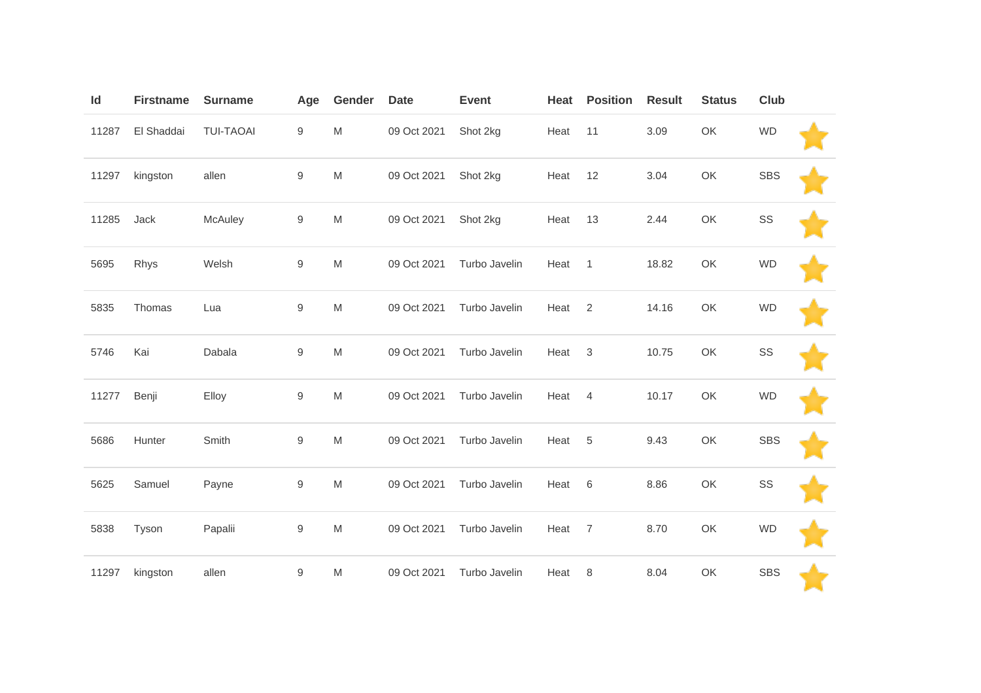| Id    | <b>Firstname</b> | <b>Surname</b>   | Age              | Gender                                                                                                     | <b>Date</b> | <b>Event</b>  | Heat | <b>Position</b> | <b>Result</b> | <b>Status</b> | Club       |  |
|-------|------------------|------------------|------------------|------------------------------------------------------------------------------------------------------------|-------------|---------------|------|-----------------|---------------|---------------|------------|--|
| 11287 | El Shaddai       | <b>TUI-TAOAI</b> | $\boldsymbol{9}$ | $\mathsf{M}% _{T}=\mathsf{M}_{T}\!\left( a,b\right) ,\ \mathsf{M}_{T}=\mathsf{M}_{T}\!\left( a,b\right) ,$ | 09 Oct 2021 | Shot 2kg      | Heat | 11              | 3.09          | OK            | <b>WD</b>  |  |
| 11297 | kingston         | allen            | $\boldsymbol{9}$ | ${\sf M}$                                                                                                  | 09 Oct 2021 | Shot 2kg      | Heat | 12              | 3.04          | OK            | <b>SBS</b> |  |
| 11285 | Jack             | McAuley          | $\boldsymbol{9}$ | ${\sf M}$                                                                                                  | 09 Oct 2021 | Shot 2kg      | Heat | 13              | 2.44          | OK            | SS         |  |
| 5695  | Rhys             | Welsh            | $\boldsymbol{9}$ | ${\sf M}$                                                                                                  | 09 Oct 2021 | Turbo Javelin | Heat | $\overline{1}$  | 18.82         | OK            | <b>WD</b>  |  |
| 5835  | Thomas           | Lua              | $\boldsymbol{9}$ | $\mathsf{M}% _{T}=\mathsf{M}_{T}\!\left( a,b\right) ,\ \mathsf{M}_{T}=\mathsf{M}_{T}\!\left( a,b\right) ,$ | 09 Oct 2021 | Turbo Javelin | Heat | 2               | 14.16         | OK            | <b>WD</b>  |  |
| 5746  | Kai              | Dabala           | $\boldsymbol{9}$ | ${\sf M}$                                                                                                  | 09 Oct 2021 | Turbo Javelin | Heat | $\sqrt{3}$      | 10.75         | OK            | SS         |  |
| 11277 | Benji            | Elloy            | $\boldsymbol{9}$ | $\mathsf{M}% _{T}=\mathsf{M}_{T}\!\left( a,b\right) ,\ \mathsf{M}_{T}=\mathsf{M}_{T}\!\left( a,b\right) ,$ | 09 Oct 2021 | Turbo Javelin | Heat | $\overline{4}$  | 10.17         | OK            | <b>WD</b>  |  |
| 5686  | Hunter           | Smith            | $\boldsymbol{9}$ | $\mathsf{M}% _{T}=\mathsf{M}_{T}\!\left( a,b\right) ,\ \mathsf{M}_{T}=\mathsf{M}_{T}$                      | 09 Oct 2021 | Turbo Javelin | Heat | 5               | 9.43          | OK            | <b>SBS</b> |  |
| 5625  | Samuel           | Payne            | $\boldsymbol{9}$ | ${\sf M}$                                                                                                  | 09 Oct 2021 | Turbo Javelin | Heat | 6               | 8.86          | OK            | SS         |  |
| 5838  | Tyson            | Papalii          | $\boldsymbol{9}$ | $\mathsf{M}% _{T}=\mathsf{M}_{T}\!\left( a,b\right) ,\ \mathsf{M}_{T}=\mathsf{M}_{T}$                      | 09 Oct 2021 | Turbo Javelin | Heat | $\overline{7}$  | 8.70          | OK            | <b>WD</b>  |  |
| 11297 | kingston         | allen            | $\boldsymbol{9}$ | ${\sf M}$                                                                                                  | 09 Oct 2021 | Turbo Javelin | Heat | 8               | 8.04          | OK            | <b>SBS</b> |  |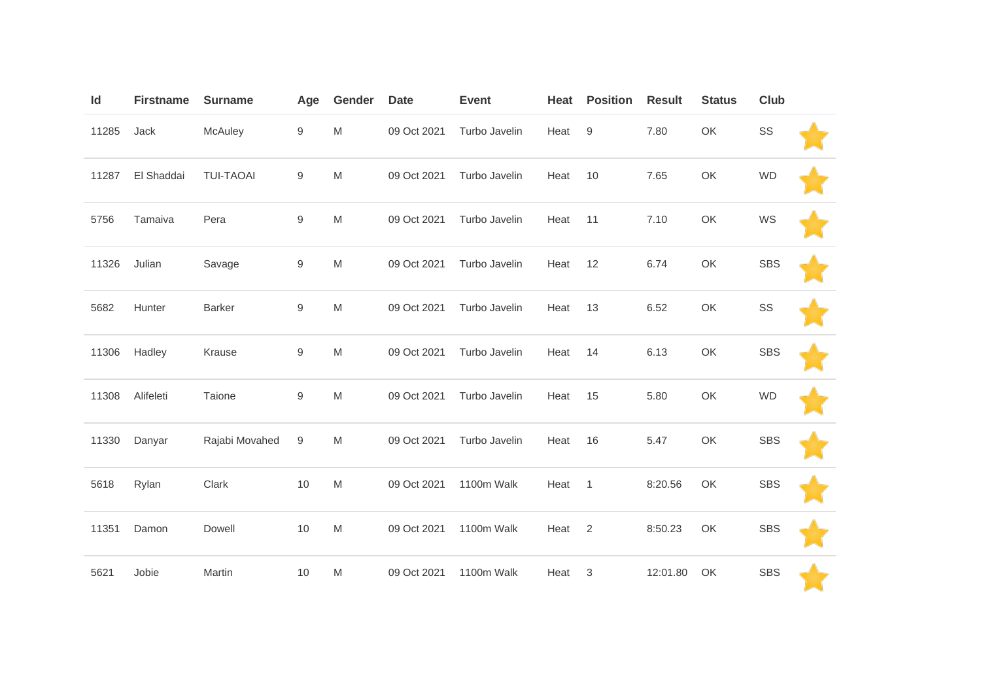| Id    | <b>Firstname</b> | <b>Surname</b>   | Age              | Gender                                                                                                     | <b>Date</b> | <b>Event</b>  | Heat | <b>Position</b>  | <b>Result</b> | <b>Status</b> | Club       |  |
|-------|------------------|------------------|------------------|------------------------------------------------------------------------------------------------------------|-------------|---------------|------|------------------|---------------|---------------|------------|--|
| 11285 | Jack             | McAuley          | $\boldsymbol{9}$ | M                                                                                                          | 09 Oct 2021 | Turbo Javelin | Heat | $\boldsymbol{9}$ | 7.80          | OK            | SS         |  |
| 11287 | El Shaddai       | <b>TUI-TAOAI</b> | 9                | M                                                                                                          | 09 Oct 2021 | Turbo Javelin | Heat | 10               | 7.65          | OK            | <b>WD</b>  |  |
| 5756  | Tamaiva          | Pera             | $\hbox{9}$       | M                                                                                                          | 09 Oct 2021 | Turbo Javelin | Heat | 11               | 7.10          | OK            | WS         |  |
| 11326 | Julian           | Savage           | $\hbox{9}$       | M                                                                                                          | 09 Oct 2021 | Turbo Javelin | Heat | 12               | 6.74          | OK            | <b>SBS</b> |  |
| 5682  | Hunter           | <b>Barker</b>    | $\boldsymbol{9}$ | M                                                                                                          | 09 Oct 2021 | Turbo Javelin | Heat | 13               | 6.52          | OK            | SS         |  |
| 11306 | Hadley           | Krause           | $\boldsymbol{9}$ | $\mathsf{M}% _{T}=\mathsf{M}_{T}\!\left( a,b\right) ,\ \mathsf{M}_{T}=\mathsf{M}_{T}\!\left( a,b\right) ,$ | 09 Oct 2021 | Turbo Javelin | Heat | 14               | 6.13          | OK            | <b>SBS</b> |  |
| 11308 | Alifeleti        | Taione           | $\boldsymbol{9}$ | M                                                                                                          | 09 Oct 2021 | Turbo Javelin | Heat | 15               | 5.80          | OK            | <b>WD</b>  |  |
| 11330 | Danyar           | Rajabi Movahed   | $\boldsymbol{9}$ | $\mathsf{M}% _{T}=\mathsf{M}_{T}\!\left( a,b\right) ,\ \mathsf{M}_{T}=\mathsf{M}_{T}\!\left( a,b\right) ,$ | 09 Oct 2021 | Turbo Javelin | Heat | 16               | 5.47          | OK            | <b>SBS</b> |  |
| 5618  | Rylan            | Clark            | 10               | M                                                                                                          | 09 Oct 2021 | 1100m Walk    | Heat | $\mathbf{1}$     | 8:20.56       | OK            | <b>SBS</b> |  |
| 11351 | Damon            | Dowell           | 10               | M                                                                                                          | 09 Oct 2021 | 1100m Walk    | Heat | $\overline{2}$   | 8:50.23       | OK            | <b>SBS</b> |  |
| 5621  | Jobie            | Martin           | 10               | M                                                                                                          | 09 Oct 2021 | 1100m Walk    | Heat | 3                | 12:01.80      | OK            | <b>SBS</b> |  |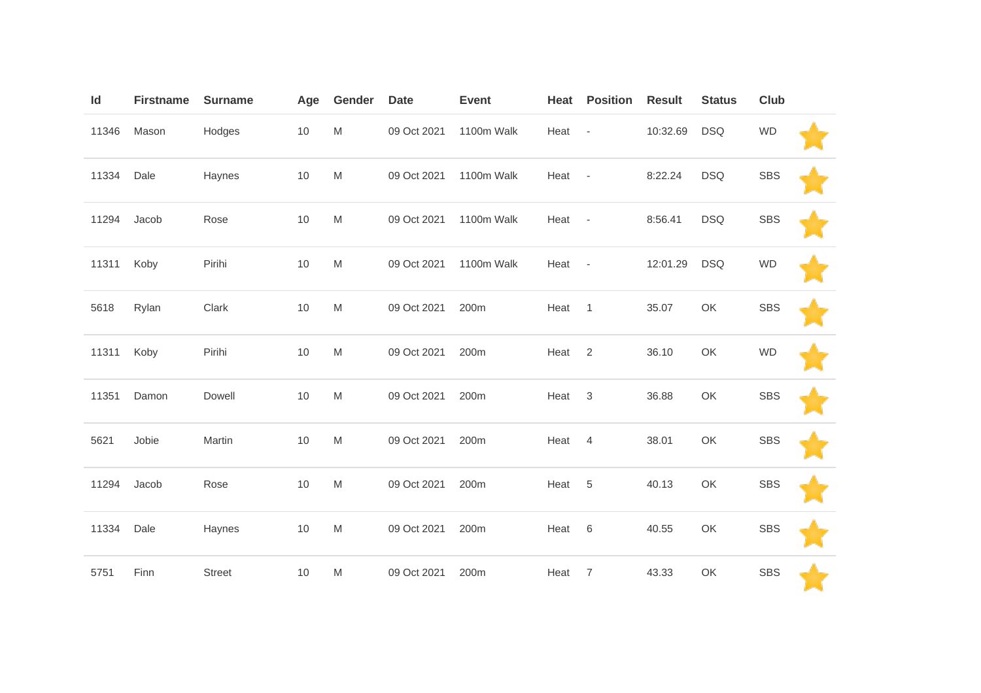| Id    | <b>Firstname</b> | <b>Surname</b> | Age  | Gender                                                                                                     | <b>Date</b> | <b>Event</b> | Heat   | <b>Position</b>          | <b>Result</b> | <b>Status</b> | Club       |  |
|-------|------------------|----------------|------|------------------------------------------------------------------------------------------------------------|-------------|--------------|--------|--------------------------|---------------|---------------|------------|--|
| 11346 | Mason            | Hodges         | 10   | M                                                                                                          | 09 Oct 2021 | 1100m Walk   | Heat   | $\overline{\phantom{a}}$ | 10:32.69      | <b>DSQ</b>    | <b>WD</b>  |  |
| 11334 | Dale             | Haynes         | $10$ | M                                                                                                          | 09 Oct 2021 | 1100m Walk   | Heat   | $\overline{\phantom{a}}$ | 8:22.24       | <b>DSQ</b>    | <b>SBS</b> |  |
| 11294 | Jacob            | Rose           | 10   | M                                                                                                          | 09 Oct 2021 | 1100m Walk   | Heat   | $\sim$ $-$               | 8:56.41       | <b>DSQ</b>    | <b>SBS</b> |  |
| 11311 | Koby             | Pirihi         | 10   | M                                                                                                          | 09 Oct 2021 | 1100m Walk   | Heat - |                          | 12:01.29      | <b>DSQ</b>    | <b>WD</b>  |  |
| 5618  | Rylan            | Clark          | 10   | M                                                                                                          | 09 Oct 2021 | 200m         | Heat   | $\mathbf{1}$             | 35.07         | OK            | <b>SBS</b> |  |
| 11311 | Koby             | Pirihi         | 10   | M                                                                                                          | 09 Oct 2021 | 200m         | Heat   | 2                        | 36.10         | OK            | <b>WD</b>  |  |
| 11351 | Damon            | Dowell         | 10   | M                                                                                                          | 09 Oct 2021 | 200m         | Heat   | $\mathbf{3}$             | 36.88         | OK            | <b>SBS</b> |  |
| 5621  | Jobie            | Martin         | 10   | $\mathsf{M}% _{T}=\mathsf{M}_{T}\!\left( a,b\right) ,\ \mathsf{M}_{T}=\mathsf{M}_{T}\!\left( a,b\right) ,$ | 09 Oct 2021 | 200m         | Heat   | $\overline{4}$           | 38.01         | OK            | <b>SBS</b> |  |
| 11294 | Jacob            | Rose           | 10   | M                                                                                                          | 09 Oct 2021 | 200m         | Heat   | $\overline{5}$           | 40.13         | OK            | <b>SBS</b> |  |
| 11334 | Dale             | Haynes         | 10   | M                                                                                                          | 09 Oct 2021 | 200m         | Heat   | $\,6$                    | 40.55         | OK            | <b>SBS</b> |  |
| 5751  | Finn             | Street         | 10   | M                                                                                                          | 09 Oct 2021 | 200m         | Heat   | $\overline{7}$           | 43.33         | OK            | SBS        |  |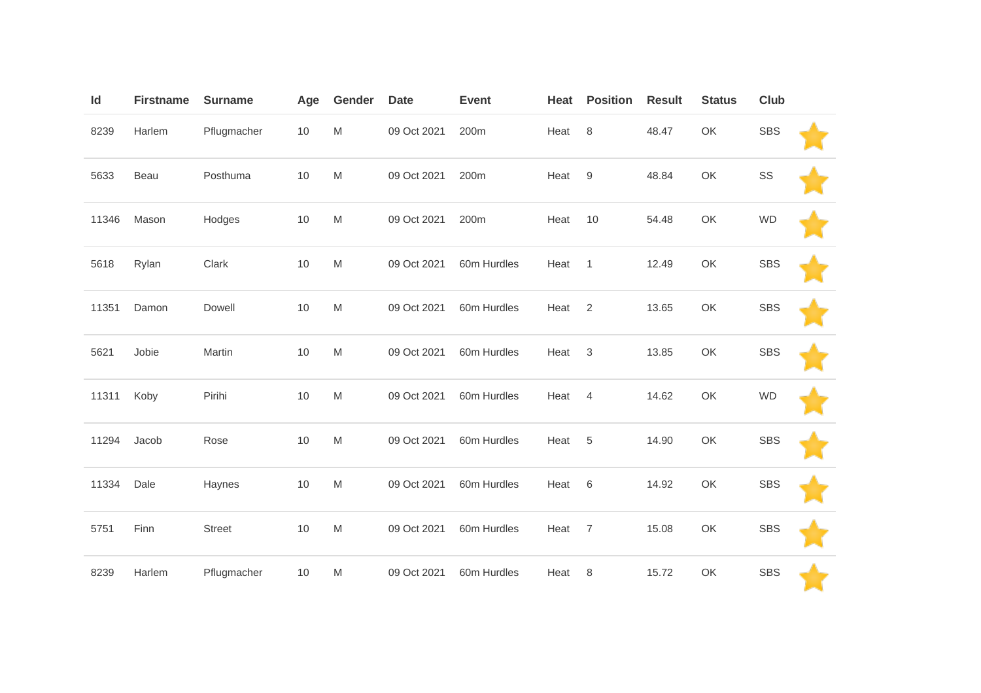| Id    | <b>Firstname</b> | <b>Surname</b> | Age  | Gender                                                                                                     | <b>Date</b> | <b>Event</b> | Heat | <b>Position</b>  | <b>Result</b> | <b>Status</b> | Club       |  |
|-------|------------------|----------------|------|------------------------------------------------------------------------------------------------------------|-------------|--------------|------|------------------|---------------|---------------|------------|--|
| 8239  | Harlem           | Pflugmacher    | $10$ | $\mathsf{M}% _{T}=\mathsf{M}_{T}\!\left( a,b\right) ,\ \mathsf{M}_{T}=\mathsf{M}_{T}\!\left( a,b\right) ,$ | 09 Oct 2021 | 200m         | Heat | 8                | 48.47         | OK            | <b>SBS</b> |  |
| 5633  | Beau             | Posthuma       | 10   | $\mathsf{M}% _{T}=\mathsf{M}_{T}\!\left( a,b\right) ,\ \mathsf{M}_{T}=\mathsf{M}_{T}$                      | 09 Oct 2021 | 200m         | Heat | $\boldsymbol{9}$ | 48.84         | OK            | SS         |  |
| 11346 | Mason            | Hodges         | 10   | ${\sf M}$                                                                                                  | 09 Oct 2021 | 200m         | Heat | 10               | 54.48         | OK            | <b>WD</b>  |  |
| 5618  | Rylan            | Clark          | 10   | ${\sf M}$                                                                                                  | 09 Oct 2021 | 60m Hurdles  | Heat | $\overline{1}$   | 12.49         | OK            | <b>SBS</b> |  |
| 11351 | Damon            | Dowell         | 10   | ${\sf M}$                                                                                                  | 09 Oct 2021 | 60m Hurdles  | Heat | $\overline{2}$   | 13.65         | OK            | <b>SBS</b> |  |
| 5621  | Jobie            | Martin         | 10   | $\mathsf{M}% _{T}=\mathsf{M}_{T}\!\left( a,b\right) ,\ \mathsf{M}_{T}=\mathsf{M}_{T}$                      | 09 Oct 2021 | 60m Hurdles  | Heat | $\sqrt{3}$       | 13.85         | OK            | <b>SBS</b> |  |
| 11311 | Koby             | Pirihi         | 10   | $\mathsf{M}% _{T}=\mathsf{M}_{T}\!\left( a,b\right) ,\ \mathsf{M}_{T}=\mathsf{M}_{T}\!\left( a,b\right) ,$ | 09 Oct 2021 | 60m Hurdles  | Heat | $\overline{4}$   | 14.62         | OK            | <b>WD</b>  |  |
| 11294 | Jacob            | Rose           | 10   | ${\sf M}$                                                                                                  | 09 Oct 2021 | 60m Hurdles  | Heat | 5                | 14.90         | OK            | <b>SBS</b> |  |
| 11334 | Dale             | Haynes         | 10   | M                                                                                                          | 09 Oct 2021 | 60m Hurdles  | Heat | 6                | 14.92         | OK            | <b>SBS</b> |  |
| 5751  | Finn             | <b>Street</b>  | 10   | ${\sf M}$                                                                                                  | 09 Oct 2021 | 60m Hurdles  | Heat | $\overline{7}$   | 15.08         | OK            | <b>SBS</b> |  |
| 8239  | Harlem           | Pflugmacher    | 10   | ${\sf M}$                                                                                                  | 09 Oct 2021 | 60m Hurdles  | Heat | 8                | 15.72         | OK            | <b>SBS</b> |  |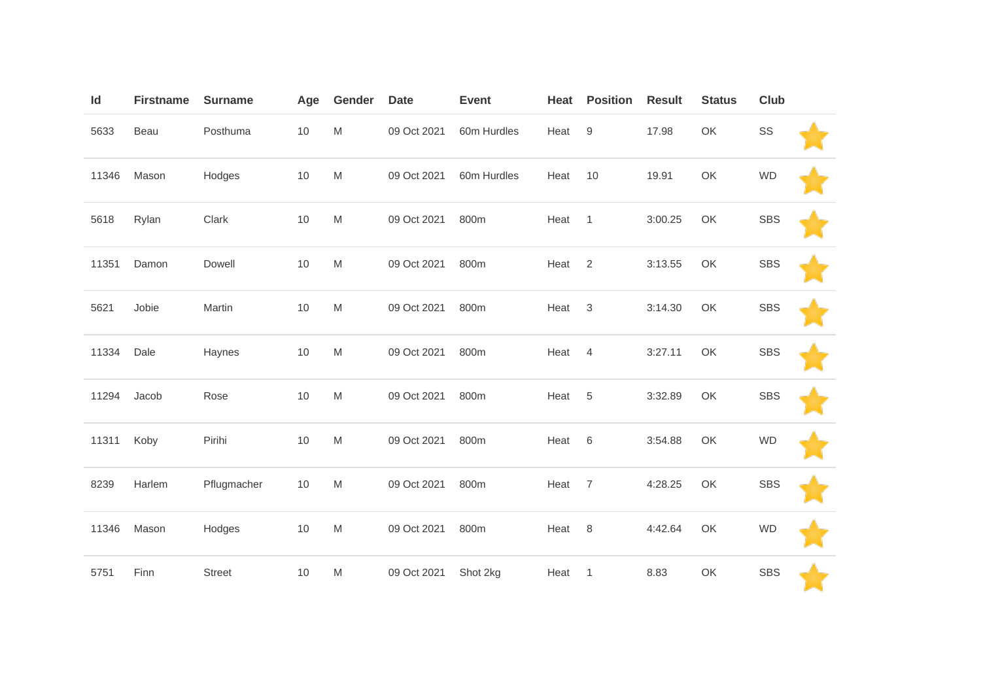| Id    | <b>Firstname</b> | <b>Surname</b> | Age | Gender | <b>Date</b> | <b>Event</b> | Heat | <b>Position</b>  | <b>Result</b> | <b>Status</b> | Club       |  |
|-------|------------------|----------------|-----|--------|-------------|--------------|------|------------------|---------------|---------------|------------|--|
| 5633  | Beau             | Posthuma       | 10  | M      | 09 Oct 2021 | 60m Hurdles  | Heat | $\boldsymbol{9}$ | 17.98         | OK            | SS         |  |
| 11346 | Mason            | Hodges         | 10  | M      | 09 Oct 2021 | 60m Hurdles  | Heat | 10               | 19.91         | OK            | <b>WD</b>  |  |
| 5618  | Rylan            | Clark          | 10  | M      | 09 Oct 2021 | 800m         | Heat | $\mathbf{1}$     | 3:00.25       | OK            | <b>SBS</b> |  |
| 11351 | Damon            | Dowell         | 10  | M      | 09 Oct 2021 | 800m         | Heat | 2                | 3:13.55       | OK            | <b>SBS</b> |  |
| 5621  | Jobie            | Martin         | 10  | M      | 09 Oct 2021 | 800m         | Heat | $\sqrt{3}$       | 3:14.30       | OK            | <b>SBS</b> |  |
| 11334 | Dale             | Haynes         | 10  | M      | 09 Oct 2021 | 800m         | Heat | $\overline{4}$   | 3:27.11       | OK            | <b>SBS</b> |  |
| 11294 | Jacob            | Rose           | 10  | M      | 09 Oct 2021 | 800m         | Heat | 5                | 3:32.89       | OK            | <b>SBS</b> |  |
| 11311 | Koby             | Pirihi         | 10  | M      | 09 Oct 2021 | 800m         | Heat | 6                | 3:54.88       | OK            | <b>WD</b>  |  |
| 8239  | Harlem           | Pflugmacher    | 10  | M      | 09 Oct 2021 | 800m         | Heat | $\overline{7}$   | 4:28.25       | OK            | <b>SBS</b> |  |
| 11346 | Mason            | Hodges         | 10  | M      | 09 Oct 2021 | 800m         | Heat | 8                | 4:42.64       | OK            | <b>WD</b>  |  |
| 5751  | Finn             | <b>Street</b>  | 10  | M      | 09 Oct 2021 | Shot 2kg     | Heat | $\mathbf{1}$     | 8.83          | OK            | <b>SBS</b> |  |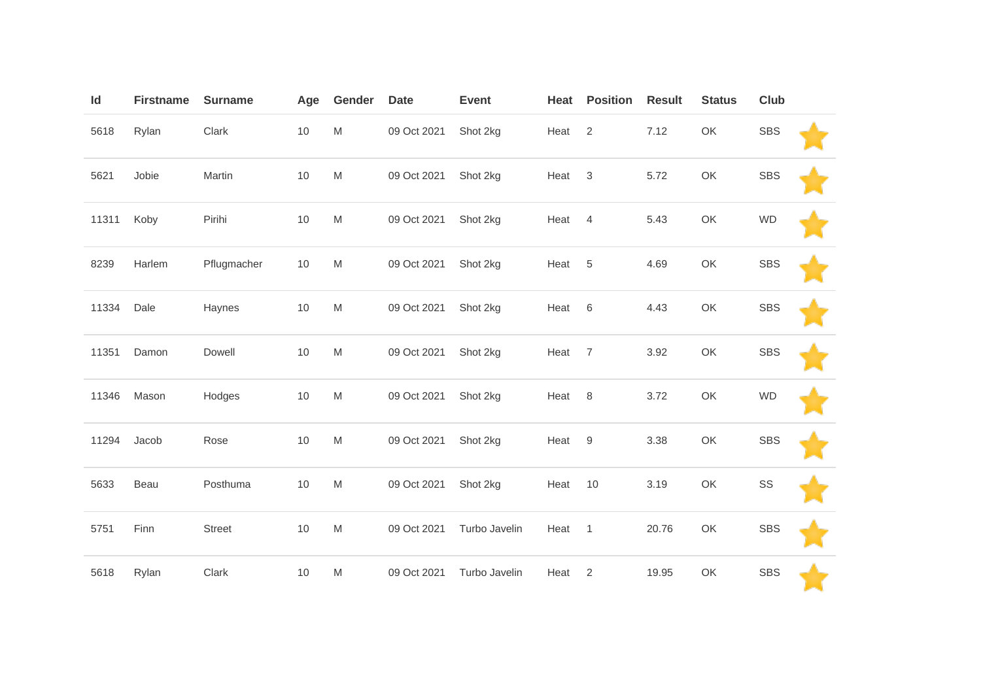| Id    | <b>Firstname</b> | <b>Surname</b> | Age  | Gender                                                                                                     | <b>Date</b> | <b>Event</b>  | Heat | <b>Position</b> | <b>Result</b> | <b>Status</b> | Club       |  |
|-------|------------------|----------------|------|------------------------------------------------------------------------------------------------------------|-------------|---------------|------|-----------------|---------------|---------------|------------|--|
| 5618  | Rylan            | Clark          | $10$ | M                                                                                                          | 09 Oct 2021 | Shot 2kg      | Heat | 2               | 7.12          | OK            | <b>SBS</b> |  |
| 5621  | Jobie            | Martin         | $10$ | $\mathsf{M}% _{T}=\mathsf{M}_{T}\!\left( a,b\right) ,\ \mathsf{M}_{T}=\mathsf{M}_{T}\!\left( a,b\right) ,$ | 09 Oct 2021 | Shot 2kg      | Heat | $\mathfrak{Z}$  | 5.72          | OK            | <b>SBS</b> |  |
| 11311 | Koby             | Pirihi         | 10   | M                                                                                                          | 09 Oct 2021 | Shot 2kg      | Heat | $\overline{4}$  | 5.43          | OK            | <b>WD</b>  |  |
| 8239  | Harlem           | Pflugmacher    | 10   | M                                                                                                          | 09 Oct 2021 | Shot 2kg      | Heat | 5               | 4.69          | OK            | <b>SBS</b> |  |
| 11334 | Dale             | Haynes         | 10   | M                                                                                                          | 09 Oct 2021 | Shot 2kg      | Heat | 6               | 4.43          | OK            | <b>SBS</b> |  |
| 11351 | Damon            | Dowell         | 10   | M                                                                                                          | 09 Oct 2021 | Shot 2kg      | Heat | $\overline{7}$  | 3.92          | OK            | <b>SBS</b> |  |
| 11346 | Mason            | Hodges         | 10   | M                                                                                                          | 09 Oct 2021 | Shot 2kg      | Heat | 8               | 3.72          | OK            | <b>WD</b>  |  |
| 11294 | Jacob            | Rose           | 10   | M                                                                                                          | 09 Oct 2021 | Shot 2kg      | Heat | $9\,$           | 3.38          | OK            | <b>SBS</b> |  |
| 5633  | Beau             | Posthuma       | $10$ | M                                                                                                          | 09 Oct 2021 | Shot 2kg      | Heat | 10              | 3.19          | OK            | SS         |  |
| 5751  | Finn             | <b>Street</b>  | 10   | M                                                                                                          | 09 Oct 2021 | Turbo Javelin | Heat | $\overline{1}$  | 20.76         | OK            | <b>SBS</b> |  |
| 5618  | Rylan            | Clark          | 10   | M                                                                                                          | 09 Oct 2021 | Turbo Javelin | Heat | 2               | 19.95         | OK            | <b>SBS</b> |  |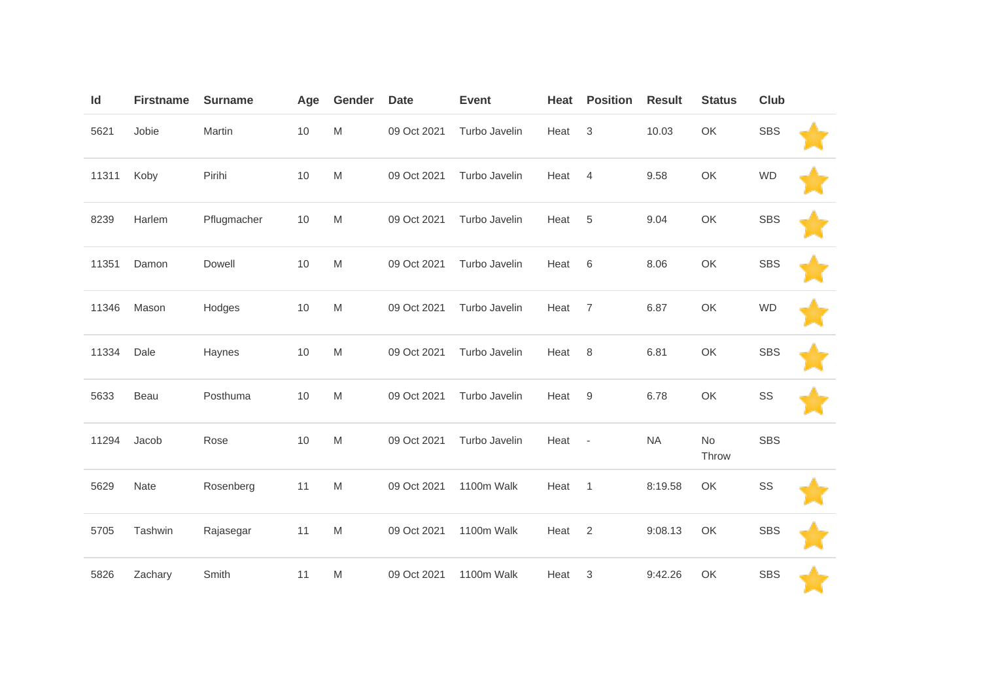| Id    | <b>Firstname</b> | <b>Surname</b> | Age | Gender                                                                                                     | <b>Date</b> | <b>Event</b>  | Heat | <b>Position</b>          | <b>Result</b> | <b>Status</b> | <b>Club</b> |  |
|-------|------------------|----------------|-----|------------------------------------------------------------------------------------------------------------|-------------|---------------|------|--------------------------|---------------|---------------|-------------|--|
| 5621  | Jobie            | Martin         | 10  | $\mathsf{M}% _{T}=\mathsf{M}_{T}\!\left( a,b\right) ,\ \mathsf{M}_{T}=\mathsf{M}_{T}\!\left( a,b\right) ,$ | 09 Oct 2021 | Turbo Javelin | Heat | $\mathfrak{S}$           | 10.03         | OK            | <b>SBS</b>  |  |
| 11311 | Koby             | Pirihi         | 10  | M                                                                                                          | 09 Oct 2021 | Turbo Javelin | Heat | $\overline{4}$           | 9.58          | OK            | <b>WD</b>   |  |
| 8239  | Harlem           | Pflugmacher    | 10  | $\mathsf{M}% _{T}=\mathsf{M}_{T}\!\left( a,b\right) ,\ \mathsf{M}_{T}=\mathsf{M}_{T}\!\left( a,b\right) ,$ | 09 Oct 2021 | Turbo Javelin | Heat | 5                        | 9.04          | OK            | <b>SBS</b>  |  |
| 11351 | Damon            | Dowell         | 10  | M                                                                                                          | 09 Oct 2021 | Turbo Javelin | Heat | 6                        | 8.06          | OK            | <b>SBS</b>  |  |
| 11346 | Mason            | Hodges         | 10  | $\mathsf{M}% _{T}=\mathsf{M}_{T}\!\left( a,b\right) ,\ \mathsf{M}_{T}=\mathsf{M}_{T}\!\left( a,b\right) ,$ | 09 Oct 2021 | Turbo Javelin | Heat | $\overline{7}$           | 6.87          | OK            | <b>WD</b>   |  |
| 11334 | Dale             | Haynes         | 10  | M                                                                                                          | 09 Oct 2021 | Turbo Javelin | Heat | 8                        | 6.81          | OK            | <b>SBS</b>  |  |
| 5633  | Beau             | Posthuma       | 10  | M                                                                                                          | 09 Oct 2021 | Turbo Javelin | Heat | 9                        | 6.78          | OK            | SS          |  |
| 11294 | Jacob            | Rose           | 10  | M                                                                                                          | 09 Oct 2021 | Turbo Javelin | Heat | $\overline{\phantom{a}}$ | <b>NA</b>     | No<br>Throw   | <b>SBS</b>  |  |
| 5629  | Nate             | Rosenberg      | 11  | M                                                                                                          | 09 Oct 2021 | 1100m Walk    | Heat | $\mathbf{1}$             | 8:19.58       | OK            | SS          |  |
| 5705  | Tashwin          | Rajasegar      | 11  | M                                                                                                          | 09 Oct 2021 | 1100m Walk    | Heat | 2                        | 9:08.13       | OK            | <b>SBS</b>  |  |
| 5826  | Zachary          | Smith          | 11  | M                                                                                                          | 09 Oct 2021 | 1100m Walk    | Heat | 3                        | 9:42.26       | OK            | <b>SBS</b>  |  |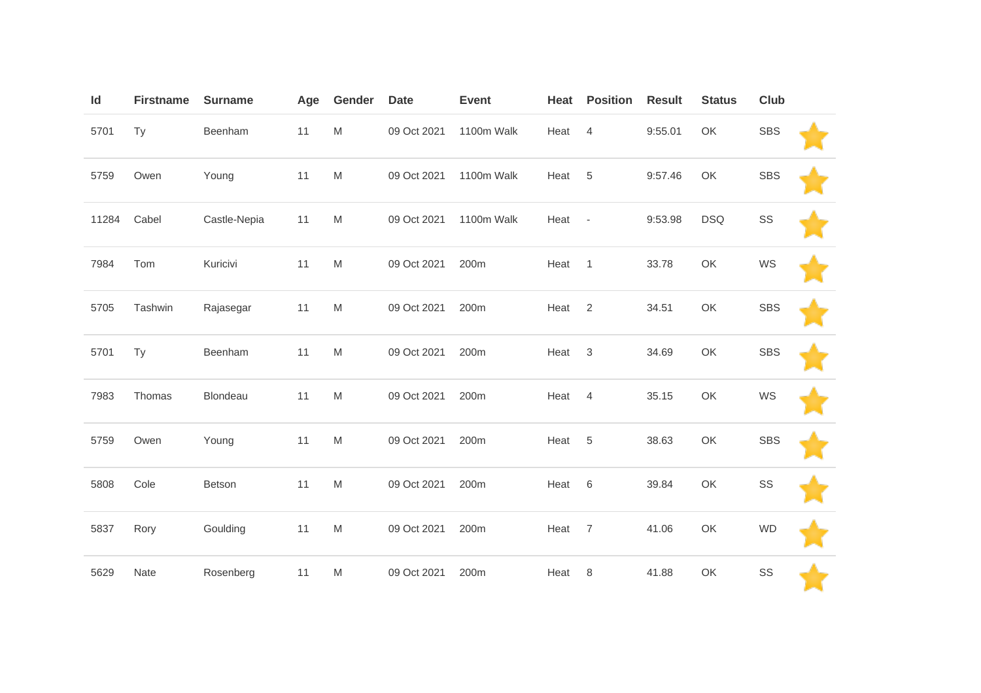| Id    | <b>Firstname</b> | <b>Surname</b> | Age | Gender                                                                                                     | <b>Date</b> | <b>Event</b> | Heat | <b>Position</b>          | <b>Result</b> | <b>Status</b> | Club       |  |
|-------|------------------|----------------|-----|------------------------------------------------------------------------------------------------------------|-------------|--------------|------|--------------------------|---------------|---------------|------------|--|
| 5701  | Ty               | Beenham        | 11  | M                                                                                                          | 09 Oct 2021 | 1100m Walk   | Heat | $\overline{4}$           | 9:55.01       | OK            | <b>SBS</b> |  |
| 5759  | Owen             | Young          | 11  | M                                                                                                          | 09 Oct 2021 | 1100m Walk   | Heat | 5                        | 9:57.46       | OK            | <b>SBS</b> |  |
| 11284 | Cabel            | Castle-Nepia   | 11  | M                                                                                                          | 09 Oct 2021 | 1100m Walk   | Heat | $\overline{\phantom{a}}$ | 9:53.98       | <b>DSQ</b>    | SS         |  |
| 7984  | Tom              | Kuricivi       | 11  | M                                                                                                          | 09 Oct 2021 | 200m         | Heat | $\overline{1}$           | 33.78         | OK            | WS         |  |
| 5705  | Tashwin          | Rajasegar      | 11  | M                                                                                                          | 09 Oct 2021 | 200m         | Heat | $\overline{2}$           | 34.51         | OK            | <b>SBS</b> |  |
| 5701  | Ty               | Beenham        | 11  | $\mathsf{M}% _{T}=\mathsf{M}_{T}\!\left( a,b\right) ,\ \mathsf{M}_{T}=\mathsf{M}_{T}\!\left( a,b\right) ,$ | 09 Oct 2021 | 200m         | Heat | $\sqrt{3}$               | 34.69         | OK            | <b>SBS</b> |  |
| 7983  | Thomas           | Blondeau       | 11  | M                                                                                                          | 09 Oct 2021 | 200m         | Heat | $\overline{4}$           | 35.15         | OK            | WS         |  |
| 5759  | Owen             | Young          | 11  | $\mathsf{M}% _{T}=\mathsf{M}_{T}\!\left( a,b\right) ,\ \mathsf{M}_{T}=\mathsf{M}_{T}\!\left( a,b\right) ,$ | 09 Oct 2021 | 200m         | Heat | 5                        | 38.63         | OK            | <b>SBS</b> |  |
| 5808  | Cole             | Betson         | 11  | M                                                                                                          | 09 Oct 2021 | 200m         | Heat | $\,6$                    | 39.84         | OK            | SS         |  |
| 5837  | Rory             | Goulding       | 11  | M                                                                                                          | 09 Oct 2021 | 200m         | Heat | $\overline{7}$           | 41.06         | OK            | <b>WD</b>  |  |
| 5629  | Nate             | Rosenberg      | 11  | M                                                                                                          | 09 Oct 2021 | 200m         | Heat | 8                        | 41.88         | OK            | SS         |  |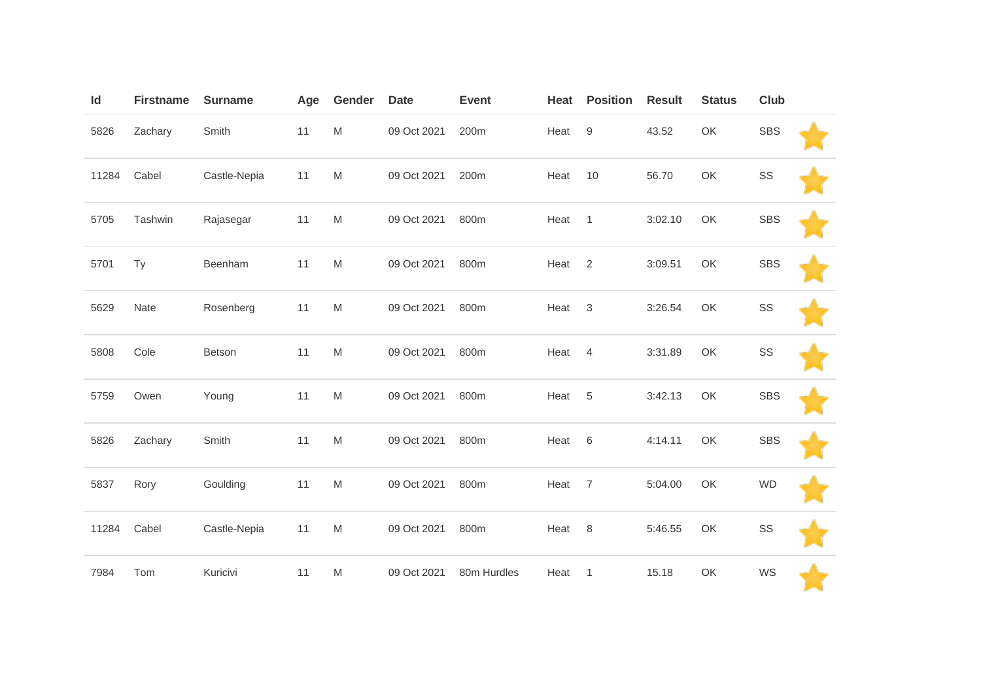| Id    | <b>Firstname</b> | <b>Surname</b> | Age | Gender                                                                                                     | <b>Date</b> | <b>Event</b> | Heat | <b>Position</b>  | <b>Result</b> | <b>Status</b> | Club       |  |
|-------|------------------|----------------|-----|------------------------------------------------------------------------------------------------------------|-------------|--------------|------|------------------|---------------|---------------|------------|--|
| 5826  | Zachary          | Smith          | 11  | $\mathsf{M}% _{T}=\mathsf{M}_{T}\!\left( a,b\right) ,\ \mathsf{M}_{T}=\mathsf{M}_{T}\!\left( a,b\right) ,$ | 09 Oct 2021 | 200m         | Heat | $\boldsymbol{9}$ | 43.52         | OK            | <b>SBS</b> |  |
| 11284 | Cabel            | Castle-Nepia   | 11  | ${\sf M}$                                                                                                  | 09 Oct 2021 | 200m         | Heat | 10               | 56.70         | OK            | SS         |  |
| 5705  | Tashwin          | Rajasegar      | 11  | ${\sf M}$                                                                                                  | 09 Oct 2021 | 800m         | Heat | $\mathbf{1}$     | 3:02.10       | OK            | <b>SBS</b> |  |
| 5701  | Ty               | Beenham        | 11  | ${\sf M}$                                                                                                  | 09 Oct 2021 | 800m         | Heat | $\overline{2}$   | 3:09.51       | OK            | <b>SBS</b> |  |
| 5629  | Nate             | Rosenberg      | 11  | ${\sf M}$                                                                                                  | 09 Oct 2021 | 800m         | Heat | $\sqrt{3}$       | 3:26.54       | OK            | SS         |  |
| 5808  | Cole             | Betson         | 11  | ${\sf M}$                                                                                                  | 09 Oct 2021 | 800m         | Heat | $\overline{4}$   | 3:31.89       | OK            | SS         |  |
| 5759  | Owen             | Young          | 11  | ${\sf M}$                                                                                                  | 09 Oct 2021 | 800m         | Heat | 5                | 3:42.13       | OK            | <b>SBS</b> |  |
| 5826  | Zachary          | Smith          | 11  | ${\sf M}$                                                                                                  | 09 Oct 2021 | 800m         | Heat | 6                | 4:14.11       | OK            | <b>SBS</b> |  |
| 5837  | Rory             | Goulding       | 11  | M                                                                                                          | 09 Oct 2021 | 800m         | Heat | $\overline{7}$   | 5:04.00       | OK            | <b>WD</b>  |  |
| 11284 | Cabel            | Castle-Nepia   | 11  | ${\sf M}$                                                                                                  | 09 Oct 2021 | 800m         | Heat | 8                | 5:46.55       | OK            | SS         |  |
| 7984  | Tom              | Kuricivi       | 11  | ${\sf M}$                                                                                                  | 09 Oct 2021 | 80m Hurdles  | Heat | $\mathbf{1}$     | 15.18         | OK            | WS         |  |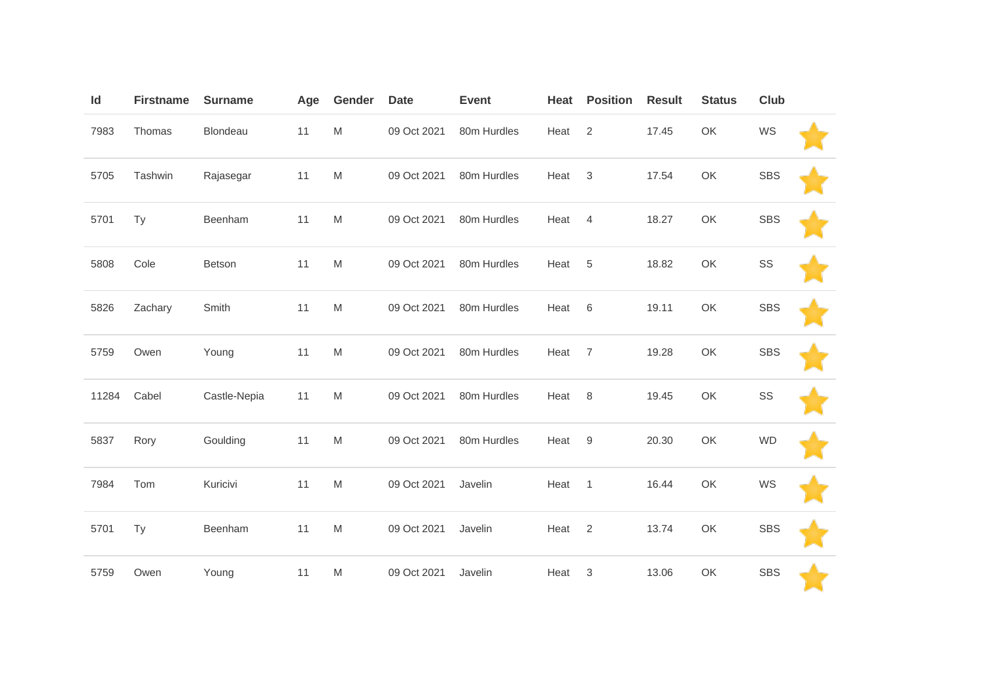| Id    | <b>Firstname</b> | <b>Surname</b> | Age | Gender | <b>Date</b> | <b>Event</b> | Heat | <b>Position</b> | <b>Result</b> | <b>Status</b> | Club       |  |
|-------|------------------|----------------|-----|--------|-------------|--------------|------|-----------------|---------------|---------------|------------|--|
| 7983  | Thomas           | Blondeau       | 11  | M      | 09 Oct 2021 | 80m Hurdles  | Heat | 2               | 17.45         | OK            | WS         |  |
| 5705  | Tashwin          | Rajasegar      | 11  | M      | 09 Oct 2021 | 80m Hurdles  | Heat | $\mathfrak{Z}$  | 17.54         | OK            | <b>SBS</b> |  |
| 5701  | Ty               | Beenham        | 11  | M      | 09 Oct 2021 | 80m Hurdles  | Heat | $\overline{4}$  | 18.27         | OK            | <b>SBS</b> |  |
| 5808  | Cole             | Betson         | 11  | M      | 09 Oct 2021 | 80m Hurdles  | Heat | 5               | 18.82         | OK            | SS         |  |
| 5826  | Zachary          | Smith          | 11  | M      | 09 Oct 2021 | 80m Hurdles  | Heat | $\,6$           | 19.11         | OK            | <b>SBS</b> |  |
| 5759  | Owen             | Young          | 11  | M      | 09 Oct 2021 | 80m Hurdles  | Heat | $\overline{7}$  | 19.28         | OK            | <b>SBS</b> |  |
| 11284 | Cabel            | Castle-Nepia   | 11  | M      | 09 Oct 2021 | 80m Hurdles  | Heat | 8               | 19.45         | OK            | SS         |  |
| 5837  | Rory             | Goulding       | 11  | M      | 09 Oct 2021 | 80m Hurdles  | Heat | $9\,$           | 20.30         | OK            | <b>WD</b>  |  |
| 7984  | Tom              | Kuricivi       | 11  | M      | 09 Oct 2021 | Javelin      | Heat | $\mathbf{1}$    | 16.44         | OK            | WS         |  |
| 5701  | Ty               | Beenham        | 11  | M      | 09 Oct 2021 | Javelin      | Heat | 2               | 13.74         | OK            | <b>SBS</b> |  |
| 5759  | Owen             | Young          | 11  | M      | 09 Oct 2021 | Javelin      | Heat | 3               | 13.06         | OK            | <b>SBS</b> |  |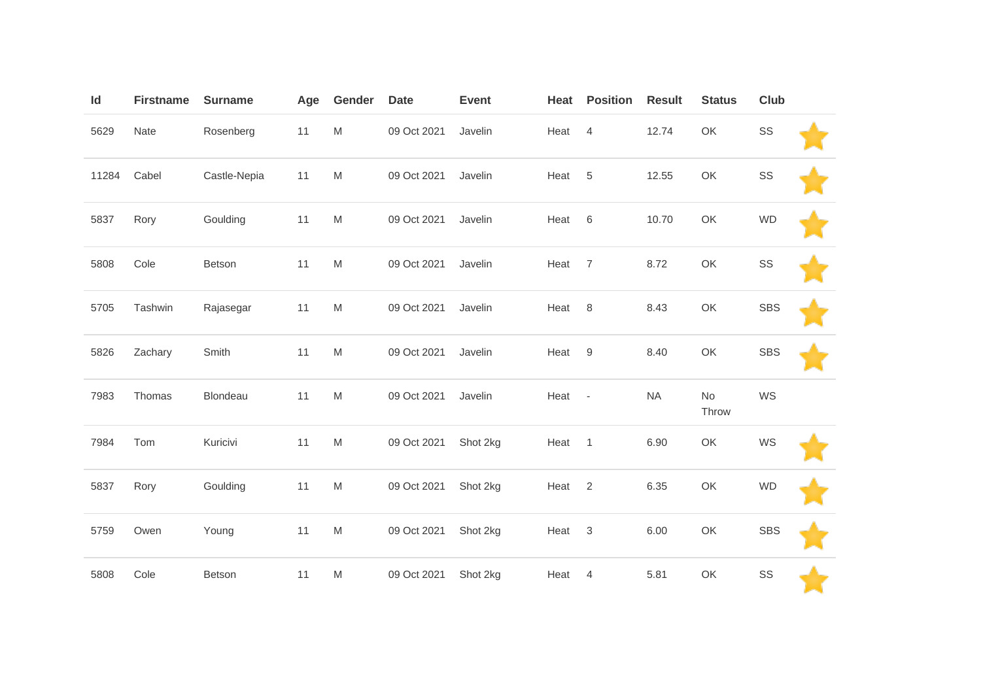| Id    | <b>Firstname</b> | <b>Surname</b> | Age | Gender                                                                                                     | <b>Date</b> | <b>Event</b> | Heat | <b>Position</b>          | <b>Result</b> | <b>Status</b> | <b>Club</b> |  |
|-------|------------------|----------------|-----|------------------------------------------------------------------------------------------------------------|-------------|--------------|------|--------------------------|---------------|---------------|-------------|--|
| 5629  | Nate             | Rosenberg      | 11  | $\mathsf{M}% _{T}=\mathsf{M}_{T}\!\left( a,b\right) ,\ \mathsf{M}_{T}=\mathsf{M}_{T}\!\left( a,b\right) ,$ | 09 Oct 2021 | Javelin      | Heat | $\overline{4}$           | 12.74         | OK            | SS          |  |
| 11284 | Cabel            | Castle-Nepia   | 11  | M                                                                                                          | 09 Oct 2021 | Javelin      | Heat | 5                        | 12.55         | OK            | SS          |  |
| 5837  | Rory             | Goulding       | 11  | M                                                                                                          | 09 Oct 2021 | Javelin      | Heat | $\,6\,$                  | 10.70         | OK            | <b>WD</b>   |  |
| 5808  | Cole             | Betson         | 11  | M                                                                                                          | 09 Oct 2021 | Javelin      | Heat | $\overline{7}$           | 8.72          | OK            | SS          |  |
| 5705  | Tashwin          | Rajasegar      | 11  | M                                                                                                          | 09 Oct 2021 | Javelin      | Heat | 8                        | 8.43          | OK            | <b>SBS</b>  |  |
| 5826  | Zachary          | Smith          | 11  | M                                                                                                          | 09 Oct 2021 | Javelin      | Heat | $9$                      | 8.40          | OK            | <b>SBS</b>  |  |
| 7983  | Thomas           | Blondeau       | 11  | $\mathsf{M}% _{T}=\mathsf{M}_{T}\!\left( a,b\right) ,\ \mathsf{M}_{T}=\mathsf{M}_{T}\!\left( a,b\right) ,$ | 09 Oct 2021 | Javelin      | Heat | $\overline{\phantom{a}}$ | <b>NA</b>     | No<br>Throw   | WS          |  |
| 7984  | Tom              | Kuricivi       | 11  | M                                                                                                          | 09 Oct 2021 | Shot 2kg     | Heat | $\mathbf{1}$             | 6.90          | OK            | WS          |  |
| 5837  | Rory             | Goulding       | 11  | $\mathsf{M}% _{T}=\mathsf{M}_{T}\!\left( a,b\right) ,\ \mathsf{M}_{T}=\mathsf{M}_{T}\!\left( a,b\right) ,$ | 09 Oct 2021 | Shot 2kg     | Heat | 2                        | 6.35          | OK            | <b>WD</b>   |  |
| 5759  | Owen             | Young          | 11  | M                                                                                                          | 09 Oct 2021 | Shot 2kg     | Heat | 3                        | 6.00          | OK            | <b>SBS</b>  |  |
| 5808  | Cole             | Betson         | 11  | M                                                                                                          | 09 Oct 2021 | Shot 2kg     | Heat | 4                        | 5.81          | OK            | SS          |  |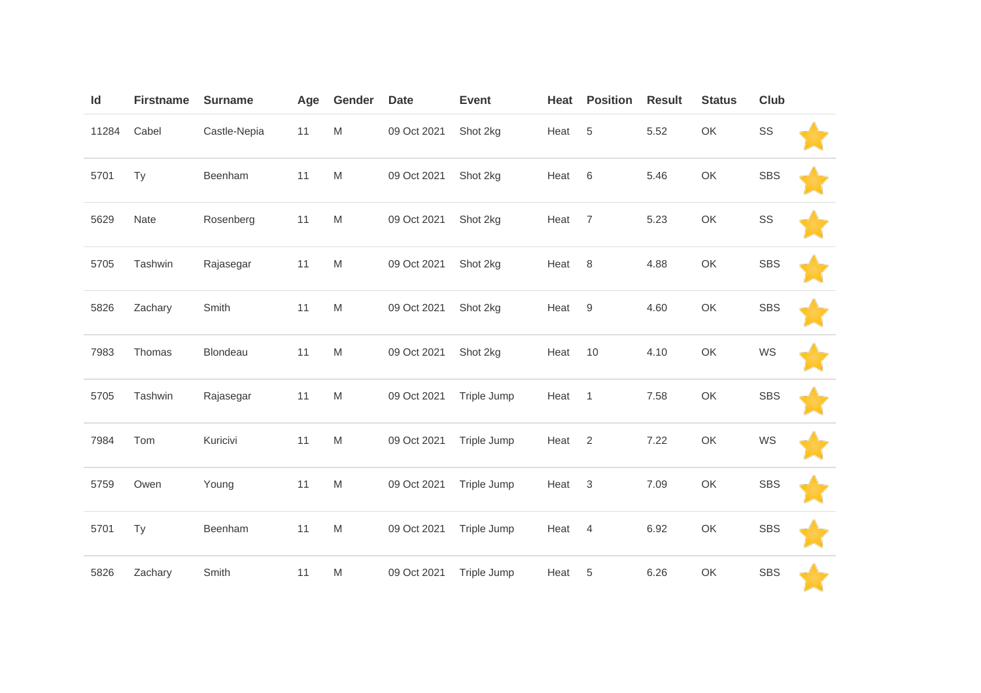| Id    | <b>Firstname</b> | <b>Surname</b> | Age | Gender                                                                                                     | <b>Date</b> | <b>Event</b> | Heat | <b>Position</b> | <b>Result</b> | <b>Status</b> | Club       |  |
|-------|------------------|----------------|-----|------------------------------------------------------------------------------------------------------------|-------------|--------------|------|-----------------|---------------|---------------|------------|--|
| 11284 | Cabel            | Castle-Nepia   | 11  | ${\sf M}$                                                                                                  | 09 Oct 2021 | Shot 2kg     | Heat | 5               | 5.52          | OK            | SS         |  |
| 5701  | Ty               | Beenham        | 11  | ${\sf M}$                                                                                                  | 09 Oct 2021 | Shot 2kg     | Heat | $6\,$           | 5.46          | OK            | <b>SBS</b> |  |
| 5629  | Nate             | Rosenberg      | 11  | ${\sf M}$                                                                                                  | 09 Oct 2021 | Shot 2kg     | Heat | $\overline{7}$  | 5.23          | OK            | SS         |  |
| 5705  | Tashwin          | Rajasegar      | 11  | ${\sf M}$                                                                                                  | 09 Oct 2021 | Shot 2kg     | Heat | 8               | 4.88          | OK            | <b>SBS</b> |  |
| 5826  | Zachary          | Smith          | 11  | ${\sf M}$                                                                                                  | 09 Oct 2021 | Shot 2kg     | Heat | 9               | 4.60          | OK            | <b>SBS</b> |  |
| 7983  | Thomas           | Blondeau       | 11  | $\mathsf{M}% _{T}=\mathsf{M}_{T}\!\left( a,b\right) ,\ \mathsf{M}_{T}=\mathsf{M}_{T}\!\left( a,b\right) ,$ | 09 Oct 2021 | Shot 2kg     | Heat | 10              | 4.10          | OK            | WS         |  |
| 5705  | Tashwin          | Rajasegar      | 11  | ${\sf M}$                                                                                                  | 09 Oct 2021 | Triple Jump  | Heat | $\overline{1}$  | 7.58          | OK            | <b>SBS</b> |  |
| 7984  | Tom              | Kuricivi       | 11  | $\mathsf{M}% _{T}=\mathsf{M}_{T}\!\left( a,b\right) ,\ \mathsf{M}_{T}=\mathsf{M}_{T}\!\left( a,b\right) ,$ | 09 Oct 2021 | Triple Jump  | Heat | $\overline{2}$  | 7.22          | OK            | WS         |  |
| 5759  | Owen             | Young          | 11  | ${\sf M}$                                                                                                  | 09 Oct 2021 | Triple Jump  | Heat | $\mathbf{3}$    | 7.09          | OK            | <b>SBS</b> |  |
| 5701  | Ty               | Beenham        | 11  | ${\sf M}$                                                                                                  | 09 Oct 2021 | Triple Jump  | Heat | $\overline{4}$  | 6.92          | OK            | <b>SBS</b> |  |
| 5826  | Zachary          | Smith          | 11  | ${\sf M}$                                                                                                  | 09 Oct 2021 | Triple Jump  | Heat | 5               | 6.26          | OK            | <b>SBS</b> |  |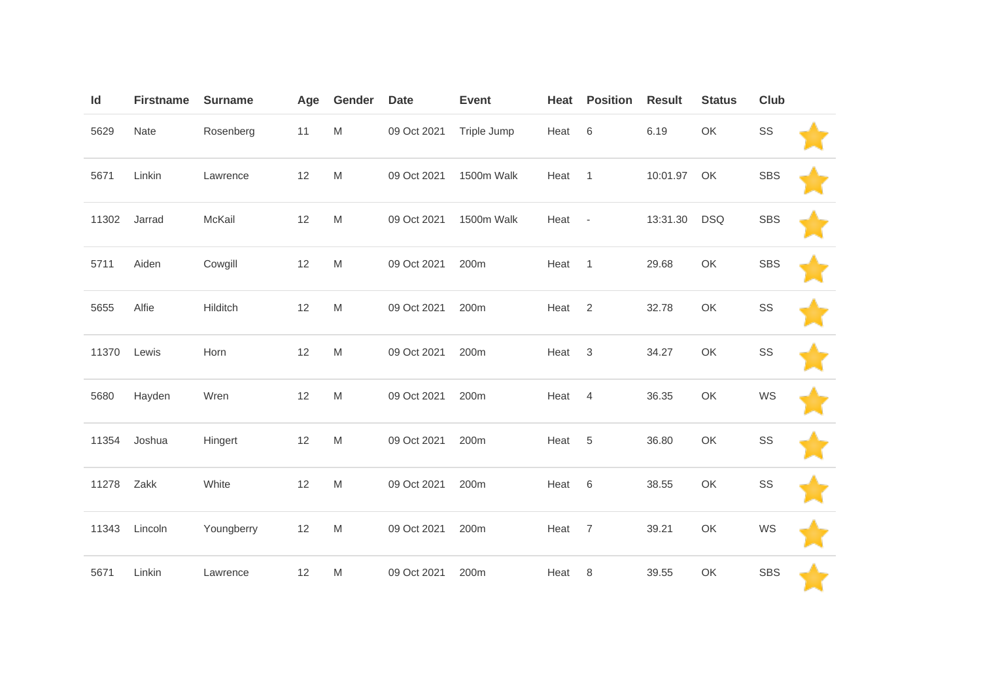| Id    | <b>Firstname</b> | <b>Surname</b> | Age | Gender                                                                                                     | <b>Date</b> | <b>Event</b> | Heat | <b>Position</b>          | <b>Result</b> | <b>Status</b> | Club       |  |
|-------|------------------|----------------|-----|------------------------------------------------------------------------------------------------------------|-------------|--------------|------|--------------------------|---------------|---------------|------------|--|
| 5629  | Nate             | Rosenberg      | 11  | M                                                                                                          | 09 Oct 2021 | Triple Jump  | Heat | $\,6\,$                  | 6.19          | OK            | SS         |  |
| 5671  | Linkin           | Lawrence       | 12  | M                                                                                                          | 09 Oct 2021 | 1500m Walk   | Heat | $\mathbf{1}$             | 10:01.97      | OK            | <b>SBS</b> |  |
| 11302 | Jarrad           | McKail         | 12  | M                                                                                                          | 09 Oct 2021 | 1500m Walk   | Heat | $\overline{\phantom{a}}$ | 13:31.30      | <b>DSQ</b>    | <b>SBS</b> |  |
| 5711  | Aiden            | Cowgill        | 12  | M                                                                                                          | 09 Oct 2021 | 200m         | Heat | $\overline{1}$           | 29.68         | OK            | <b>SBS</b> |  |
| 5655  | Alfie            | Hilditch       | 12  | $\mathsf{M}% _{T}=\mathsf{M}_{T}\!\left( a,b\right) ,\ \mathsf{M}_{T}=\mathsf{M}_{T}\!\left( a,b\right) ,$ | 09 Oct 2021 | 200m         | Heat | $\overline{2}$           | 32.78         | OK            | SS         |  |
| 11370 | Lewis            | Horn           | 12  | $\mathsf{M}% _{T}=\mathsf{M}_{T}\!\left( a,b\right) ,\ \mathsf{M}_{T}=\mathsf{M}_{T}\!\left( a,b\right) ,$ | 09 Oct 2021 | 200m         | Heat | $\sqrt{3}$               | 34.27         | OK            | SS         |  |
| 5680  | Hayden           | Wren           | 12  | M                                                                                                          | 09 Oct 2021 | 200m         | Heat | $\overline{4}$           | 36.35         | OK            | WS         |  |
| 11354 | Joshua           | Hingert        | 12  | $\mathsf{M}% _{T}=\mathsf{M}_{T}\!\left( a,b\right) ,\ \mathsf{M}_{T}=\mathsf{M}_{T}\!\left( a,b\right) ,$ | 09 Oct 2021 | 200m         | Heat | 5                        | 36.80         | OK            | SS         |  |
| 11278 | Zakk             | White          | 12  | M                                                                                                          | 09 Oct 2021 | 200m         | Heat | $\,6\,$                  | 38.55         | OK            | SS         |  |
| 11343 | Lincoln          | Youngberry     | 12  | M                                                                                                          | 09 Oct 2021 | 200m         | Heat | $\overline{7}$           | 39.21         | OK            | WS         |  |
| 5671  | Linkin           | Lawrence       | 12  | M                                                                                                          | 09 Oct 2021 | 200m         | Heat | 8                        | 39.55         | OK            | <b>SBS</b> |  |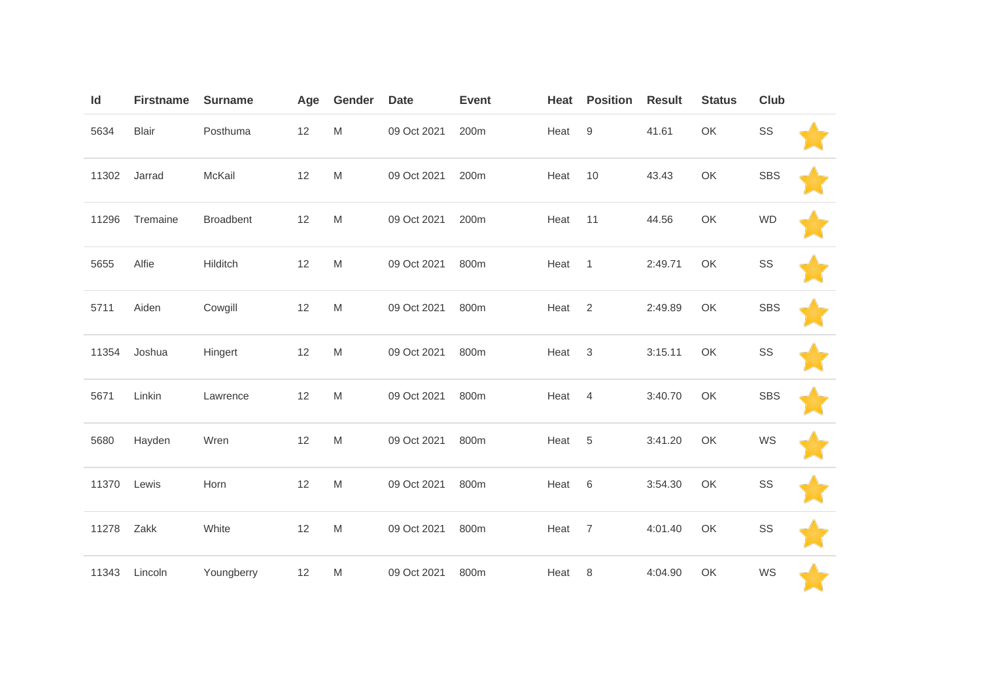| Id    | <b>Firstname</b> | <b>Surname</b>   | Age | Gender                                                                                                     | <b>Date</b> | <b>Event</b> | Heat | <b>Position</b>           | <b>Result</b> | <b>Status</b> | Club       |  |
|-------|------------------|------------------|-----|------------------------------------------------------------------------------------------------------------|-------------|--------------|------|---------------------------|---------------|---------------|------------|--|
| 5634  | <b>Blair</b>     | Posthuma         | 12  | M                                                                                                          | 09 Oct 2021 | 200m         | Heat | $\boldsymbol{9}$          | 41.61         | OK            | SS         |  |
| 11302 | Jarrad           | McKail           | 12  | M                                                                                                          | 09 Oct 2021 | 200m         | Heat | 10                        | 43.43         | OK            | <b>SBS</b> |  |
| 11296 | Tremaine         | <b>Broadbent</b> | 12  | M                                                                                                          | 09 Oct 2021 | 200m         | Heat | 11                        | 44.56         | OK            | <b>WD</b>  |  |
| 5655  | Alfie            | Hilditch         | 12  | M                                                                                                          | 09 Oct 2021 | 800m         | Heat | $\mathbf{1}$              | 2:49.71       | OK            | SS         |  |
| 5711  | Aiden            | Cowgill          | 12  | $\mathsf{M}% _{T}=\mathsf{M}_{T}\!\left( a,b\right) ,\ \mathsf{M}_{T}=\mathsf{M}_{T}\!\left( a,b\right) ,$ | 09 Oct 2021 | 800m         | Heat | $\overline{2}$            | 2:49.89       | OK            | <b>SBS</b> |  |
| 11354 | Joshua           | Hingert          | 12  | M                                                                                                          | 09 Oct 2021 | 800m         | Heat | $\ensuremath{\mathsf{3}}$ | 3:15.11       | OK            | SS         |  |
| 5671  | Linkin           | Lawrence         | 12  | M                                                                                                          | 09 Oct 2021 | 800m         | Heat | $\overline{4}$            | 3:40.70       | OK            | <b>SBS</b> |  |
| 5680  | Hayden           | Wren             | 12  | M                                                                                                          | 09 Oct 2021 | 800m         | Heat | 5                         | 3:41.20       | OK            | WS         |  |
| 11370 | Lewis            | Horn             | 12  | M                                                                                                          | 09 Oct 2021 | 800m         | Heat | $\,6\,$                   | 3:54.30       | OK            | SS         |  |
| 11278 | Zakk             | White            | 12  | $\mathsf{M}% _{T}=\mathsf{M}_{T}\!\left( a,b\right) ,\ \mathsf{M}_{T}=\mathsf{M}_{T}\!\left( a,b\right) ,$ | 09 Oct 2021 | 800m         | Heat | $\overline{7}$            | 4:01.40       | OK            | SS         |  |
| 11343 | Lincoln          | Youngberry       | 12  | M                                                                                                          | 09 Oct 2021 | 800m         | Heat | 8                         | 4:04.90       | OK            | WS         |  |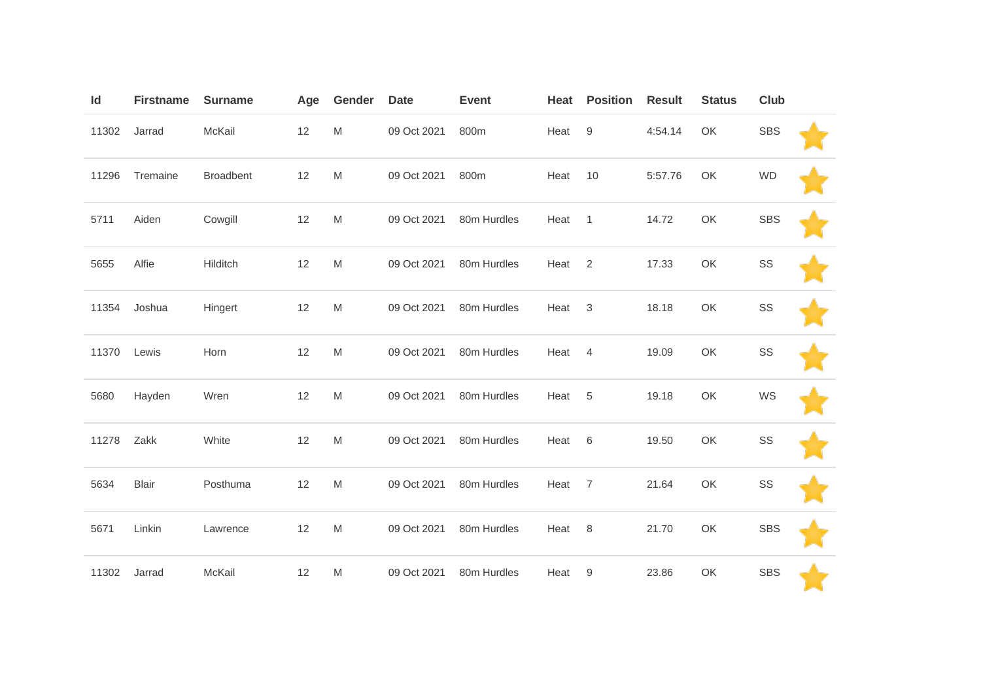| Id    | <b>Firstname</b> | <b>Surname</b>   | Age | Gender                                                                                                     | <b>Date</b> | <b>Event</b> | Heat | <b>Position</b>  | <b>Result</b> | <b>Status</b> | Club       |  |
|-------|------------------|------------------|-----|------------------------------------------------------------------------------------------------------------|-------------|--------------|------|------------------|---------------|---------------|------------|--|
| 11302 | Jarrad           | McKail           | 12  | M                                                                                                          | 09 Oct 2021 | 800m         | Heat | $\boldsymbol{9}$ | 4:54.14       | OK            | <b>SBS</b> |  |
| 11296 | Tremaine         | <b>Broadbent</b> | 12  | M                                                                                                          | 09 Oct 2021 | 800m         | Heat | 10               | 5:57.76       | OK            | <b>WD</b>  |  |
| 5711  | Aiden            | Cowgill          | 12  | M                                                                                                          | 09 Oct 2021 | 80m Hurdles  | Heat | $\mathbf{1}$     | 14.72         | OK            | <b>SBS</b> |  |
| 5655  | Alfie            | Hilditch         | 12  | M                                                                                                          | 09 Oct 2021 | 80m Hurdles  | Heat | 2                | 17.33         | OK            | SS         |  |
| 11354 | Joshua           | Hingert          | 12  | $\mathsf{M}% _{T}=\mathsf{M}_{T}\!\left( a,b\right) ,\ \mathsf{M}_{T}=\mathsf{M}_{T}\!\left( a,b\right) ,$ | 09 Oct 2021 | 80m Hurdles  | Heat | $\sqrt{3}$       | 18.18         | OK            | SS         |  |
| 11370 | Lewis            | Horn             | 12  | M                                                                                                          | 09 Oct 2021 | 80m Hurdles  | Heat | $\overline{4}$   | 19.09         | OK            | SS         |  |
| 5680  | Hayden           | Wren             | 12  | M                                                                                                          | 09 Oct 2021 | 80m Hurdles  | Heat | 5                | 19.18         | OK            | WS         |  |
| 11278 | Zakk             | White            | 12  | M                                                                                                          | 09 Oct 2021 | 80m Hurdles  | Heat | 6                | 19.50         | OK            | SS         |  |
| 5634  | <b>Blair</b>     | Posthuma         | 12  | M                                                                                                          | 09 Oct 2021 | 80m Hurdles  | Heat | $\overline{7}$   | 21.64         | OK            | SS         |  |
| 5671  | Linkin           | Lawrence         | 12  | M                                                                                                          | 09 Oct 2021 | 80m Hurdles  | Heat | 8                | 21.70         | OK            | <b>SBS</b> |  |
| 11302 | Jarrad           | McKail           | 12  | M                                                                                                          | 09 Oct 2021 | 80m Hurdles  | Heat | 9                | 23.86         | OK            | <b>SBS</b> |  |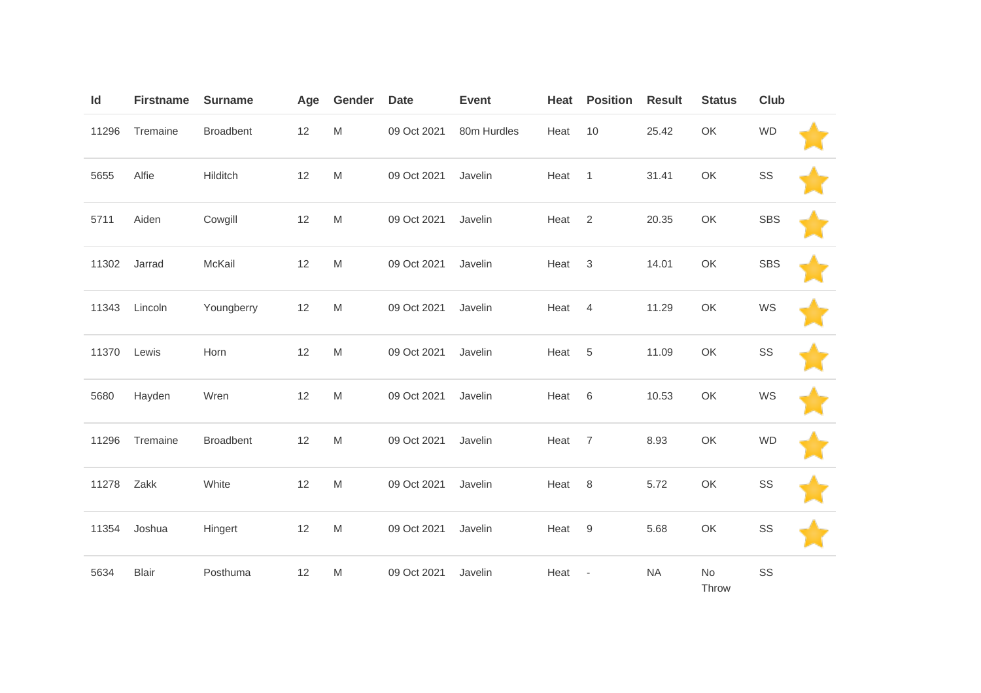| Id    | <b>Firstname</b> | <b>Surname</b>   | Age  | Gender                                                                                                     | <b>Date</b> | <b>Event</b> | Heat | <b>Position</b>          | <b>Result</b> | <b>Status</b> | <b>Club</b> |  |
|-------|------------------|------------------|------|------------------------------------------------------------------------------------------------------------|-------------|--------------|------|--------------------------|---------------|---------------|-------------|--|
| 11296 | Tremaine         | <b>Broadbent</b> | 12   | M                                                                                                          | 09 Oct 2021 | 80m Hurdles  | Heat | 10                       | 25.42         | OK            | <b>WD</b>   |  |
| 5655  | Alfie            | Hilditch         | 12   | M                                                                                                          | 09 Oct 2021 | Javelin      | Heat | $\mathbf{1}$             | 31.41         | OK            | SS          |  |
| 5711  | Aiden            | Cowgill          | 12   | M                                                                                                          | 09 Oct 2021 | Javelin      | Heat | $\overline{2}$           | 20.35         | OK            | <b>SBS</b>  |  |
| 11302 | Jarrad           | McKail           | 12   | M                                                                                                          | 09 Oct 2021 | Javelin      | Heat | $\mathbf{3}$             | 14.01         | OK            | <b>SBS</b>  |  |
| 11343 | Lincoln          | Youngberry       | 12   | M                                                                                                          | 09 Oct 2021 | Javelin      | Heat | $\overline{4}$           | 11.29         | OK            | WS          |  |
| 11370 | Lewis            | Horn             | 12   | M                                                                                                          | 09 Oct 2021 | Javelin      | Heat | $\overline{5}$           | 11.09         | OK            | SS          |  |
| 5680  | Hayden           | Wren             | 12   | M                                                                                                          | 09 Oct 2021 | Javelin      | Heat | 6                        | 10.53         | OK            | WS          |  |
| 11296 | Tremaine         | <b>Broadbent</b> | 12   | M                                                                                                          | 09 Oct 2021 | Javelin      | Heat | $\overline{7}$           | 8.93          | OK            | <b>WD</b>   |  |
| 11278 | Zakk             | White            | $12$ | $\mathsf{M}% _{T}=\mathsf{M}_{T}\!\left( a,b\right) ,\ \mathsf{M}_{T}=\mathsf{M}_{T}\!\left( a,b\right) ,$ | 09 Oct 2021 | Javelin      | Heat | $\,8\,$                  | 5.72          | OK            | SS          |  |
| 11354 | Joshua           | Hingert          | 12   | M                                                                                                          | 09 Oct 2021 | Javelin      | Heat | 9                        | 5.68          | OK            | SS          |  |
| 5634  | <b>Blair</b>     | Posthuma         | 12   | M                                                                                                          | 09 Oct 2021 | Javelin      | Heat | $\overline{\phantom{a}}$ | <b>NA</b>     | No<br>Throw   | SS          |  |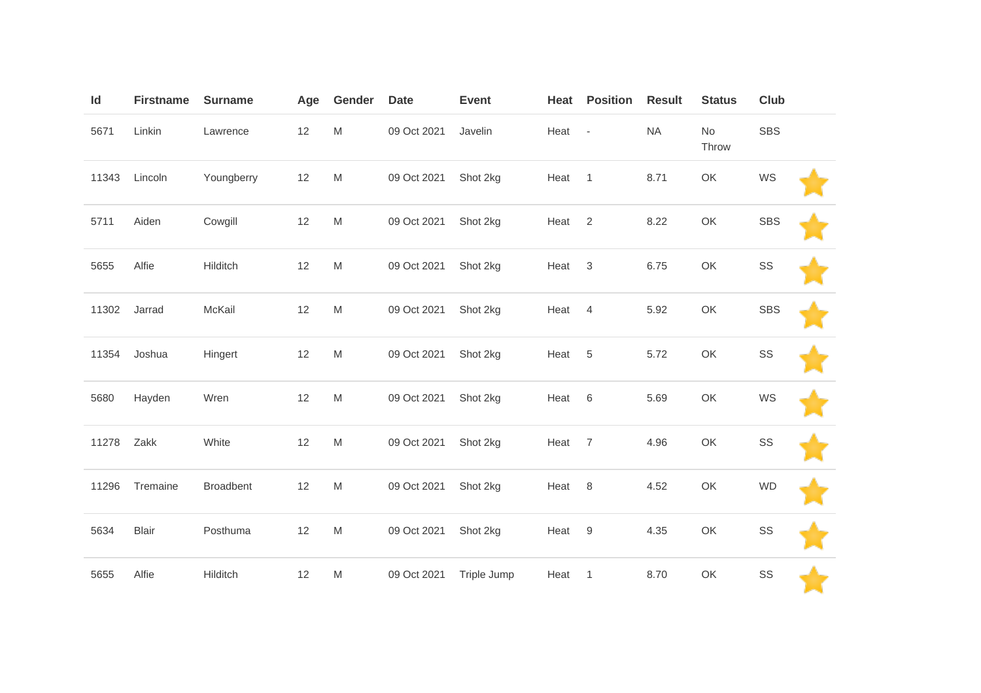| Id    | <b>Firstname</b> | <b>Surname</b>   | Age  | Gender    | <b>Date</b> | <b>Event</b> | Heat   | <b>Position</b>  | <b>Result</b> | <b>Status</b> | Club       |  |
|-------|------------------|------------------|------|-----------|-------------|--------------|--------|------------------|---------------|---------------|------------|--|
| 5671  | Linkin           | Lawrence         | $12$ | ${\sf M}$ | 09 Oct 2021 | Javelin      | Heat - |                  | NA            | No<br>Throw   | SBS        |  |
| 11343 | Lincoln          | Youngberry       | $12$ | ${\sf M}$ | 09 Oct 2021 | Shot 2kg     | Heat   | $\overline{1}$   | 8.71          | OK            | WS         |  |
| 5711  | Aiden            | Cowgill          | 12   | ${\sf M}$ | 09 Oct 2021 | Shot 2kg     | Heat   | $\overline{2}$   | 8.22          | OK            | <b>SBS</b> |  |
| 5655  | Alfie            | Hilditch         | 12   | ${\sf M}$ | 09 Oct 2021 | Shot 2kg     | Heat   | $\sqrt{3}$       | 6.75          | OK            | SS         |  |
| 11302 | Jarrad           | McKail           | $12$ | ${\sf M}$ | 09 Oct 2021 | Shot 2kg     | Heat   | $\overline{4}$   | 5.92          | OK            | <b>SBS</b> |  |
| 11354 | Joshua           | Hingert          | 12   | M         | 09 Oct 2021 | Shot 2kg     | Heat   | $\sqrt{5}$       | 5.72          | OK            | SS         |  |
| 5680  | Hayden           | Wren             | 12   | M         | 09 Oct 2021 | Shot 2kg     | Heat   | $\,6$            | 5.69          | OK            | WS         |  |
| 11278 | Zakk             | White            | 12   | M         | 09 Oct 2021 | Shot 2kg     | Heat   | $\overline{7}$   | 4.96          | OK            | SS         |  |
| 11296 | Tremaine         | <b>Broadbent</b> | $12$ | M         | 09 Oct 2021 | Shot 2kg     | Heat   | $\,8\,$          | 4.52          | OK            | <b>WD</b>  |  |
| 5634  | <b>Blair</b>     | Posthuma         | 12   | M         | 09 Oct 2021 | Shot 2kg     | Heat   | $\boldsymbol{9}$ | 4.35          | OK            | SS         |  |
| 5655  | Alfie            | Hilditch         | 12   | M         | 09 Oct 2021 | Triple Jump  | Heat   | $\mathbf{1}$     | 8.70          | OK            | SS         |  |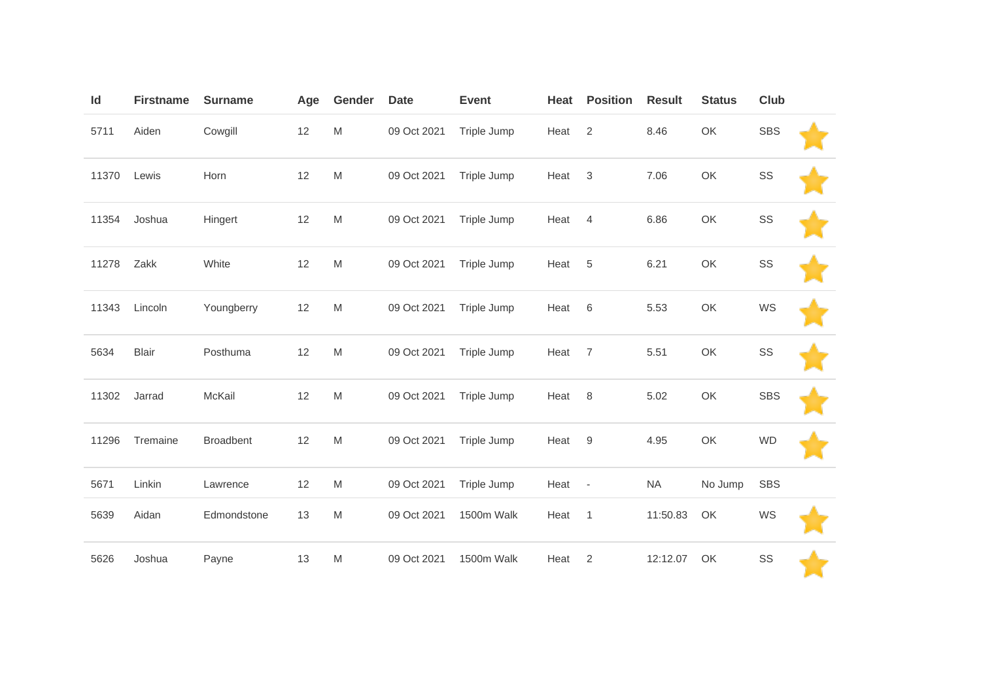| Id    | <b>Firstname</b> | <b>Surname</b>   | Age | Gender    | <b>Date</b> | <b>Event</b> | Heat | <b>Position</b>          | <b>Result</b> | <b>Status</b> | <b>Club</b> |  |
|-------|------------------|------------------|-----|-----------|-------------|--------------|------|--------------------------|---------------|---------------|-------------|--|
| 5711  | Aiden            | Cowgill          | 12  | ${\sf M}$ | 09 Oct 2021 | Triple Jump  | Heat | $\mathbf{2}$             | 8.46          | OK            | <b>SBS</b>  |  |
| 11370 | Lewis            | Horn             | 12  | ${\sf M}$ | 09 Oct 2021 | Triple Jump  | Heat | $\mathsf 3$              | 7.06          | OK            | SS          |  |
| 11354 | Joshua           | Hingert          | 12  | M         | 09 Oct 2021 | Triple Jump  | Heat | $\overline{4}$           | 6.86          | OK            | SS          |  |
| 11278 | Zakk             | White            | 12  | ${\sf M}$ | 09 Oct 2021 | Triple Jump  | Heat | $\,$ 5 $\,$              | 6.21          | OK            | SS          |  |
| 11343 | Lincoln          | Youngberry       | 12  | ${\sf M}$ | 09 Oct 2021 | Triple Jump  | Heat | 6                        | 5.53          | OK            | WS          |  |
| 5634  | <b>Blair</b>     | Posthuma         | 12  | M         | 09 Oct 2021 | Triple Jump  | Heat | $\overline{7}$           | 5.51          | OK            | SS          |  |
| 11302 | Jarrad           | McKail           | 12  | ${\sf M}$ | 09 Oct 2021 | Triple Jump  | Heat | 8                        | 5.02          | OK            | <b>SBS</b>  |  |
| 11296 | Tremaine         | <b>Broadbent</b> | 12  | M         | 09 Oct 2021 | Triple Jump  | Heat | 9                        | 4.95          | OK            | <b>WD</b>   |  |
| 5671  | Linkin           | Lawrence         | 12  | ${\sf M}$ | 09 Oct 2021 | Triple Jump  | Heat | $\overline{\phantom{a}}$ | <b>NA</b>     | No Jump       | <b>SBS</b>  |  |
| 5639  | Aidan            | Edmondstone      | 13  | M         | 09 Oct 2021 | 1500m Walk   | Heat | $\overline{1}$           | 11:50.83      | OK            | WS          |  |
| 5626  | Joshua           | Payne            | 13  | M         | 09 Oct 2021 | 1500m Walk   | Heat | $\overline{2}$           | 12:12.07      | OK            | SS          |  |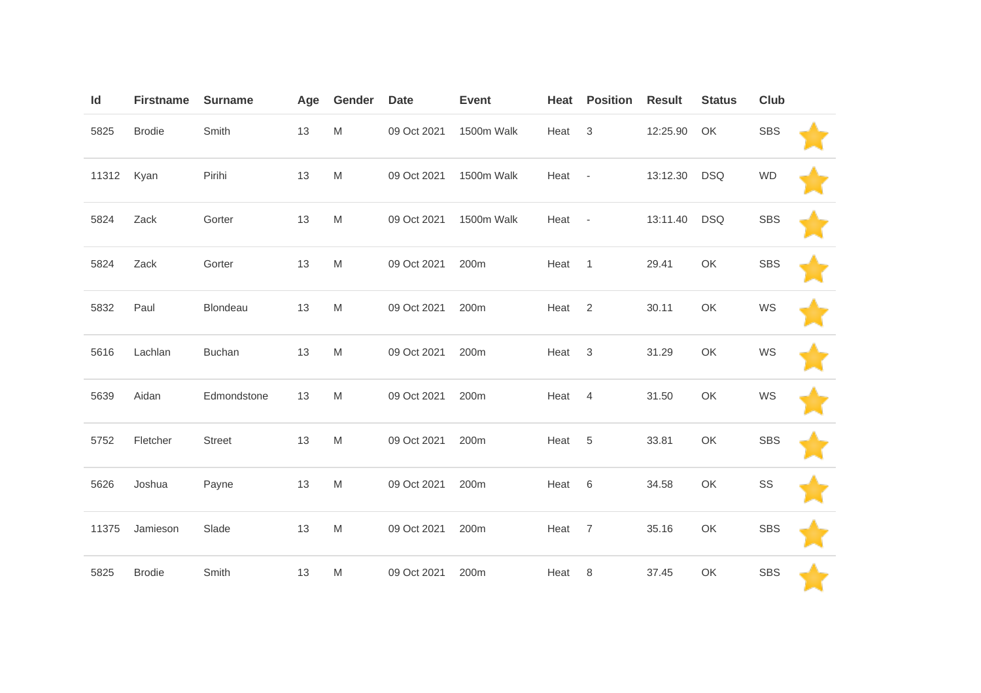| Id    | <b>Firstname</b> | <b>Surname</b> | Age | Gender | <b>Date</b> | <b>Event</b> | Heat | <b>Position</b>          | <b>Result</b> | <b>Status</b> | Club       |  |
|-------|------------------|----------------|-----|--------|-------------|--------------|------|--------------------------|---------------|---------------|------------|--|
| 5825  | <b>Brodie</b>    | Smith          | 13  | M      | 09 Oct 2021 | 1500m Walk   | Heat | 3                        | 12:25.90      | OK            | <b>SBS</b> |  |
| 11312 | Kyan             | Pirihi         | 13  | M      | 09 Oct 2021 | 1500m Walk   | Heat | $\overline{\phantom{a}}$ | 13:12.30      | <b>DSQ</b>    | <b>WD</b>  |  |
| 5824  | Zack             | Gorter         | 13  | M      | 09 Oct 2021 | 1500m Walk   | Heat | $\overline{\phantom{a}}$ | 13:11.40      | <b>DSQ</b>    | <b>SBS</b> |  |
| 5824  | Zack             | Gorter         | 13  | M      | 09 Oct 2021 | 200m         | Heat | $\overline{1}$           | 29.41         | OK            | <b>SBS</b> |  |
| 5832  | Paul             | Blondeau       | 13  | M      | 09 Oct 2021 | 200m         | Heat | 2                        | 30.11         | OK            | WS         |  |
| 5616  | Lachlan          | <b>Buchan</b>  | 13  | M      | 09 Oct 2021 | 200m         | Heat | 3                        | 31.29         | OK            | WS         |  |
| 5639  | Aidan            | Edmondstone    | 13  | M      | 09 Oct 2021 | 200m         | Heat | $\overline{4}$           | 31.50         | OK            | WS         |  |
| 5752  | Fletcher         | Street         | 13  | M      | 09 Oct 2021 | 200m         | Heat | 5                        | 33.81         | OK            | <b>SBS</b> |  |
| 5626  | Joshua           | Payne          | 13  | M      | 09 Oct 2021 | 200m         | Heat | $6\,$                    | 34.58         | OK            | SS         |  |
| 11375 | Jamieson         | Slade          | 13  | M      | 09 Oct 2021 | 200m         | Heat | $\overline{7}$           | 35.16         | OK            | <b>SBS</b> |  |
| 5825  | <b>Brodie</b>    | Smith          | 13  | M      | 09 Oct 2021 | 200m         | Heat | 8                        | 37.45         | OK            | SBS        |  |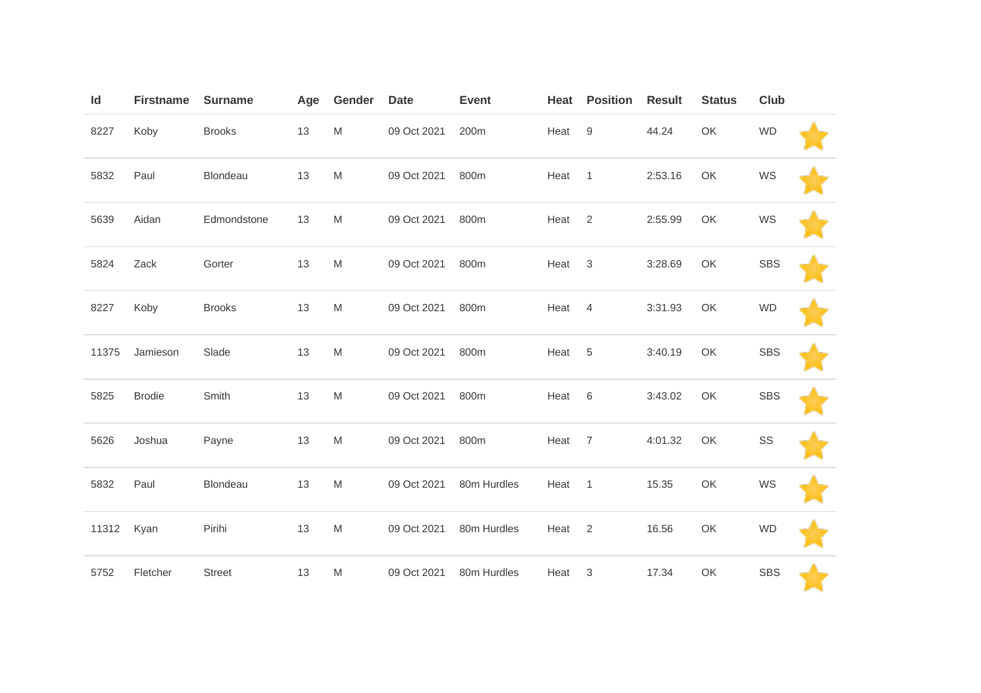| Id    | <b>Firstname</b> | <b>Surname</b> | Age | Gender | <b>Date</b> | <b>Event</b> | Heat | <b>Position</b>  | <b>Result</b> | <b>Status</b> | Club       |  |
|-------|------------------|----------------|-----|--------|-------------|--------------|------|------------------|---------------|---------------|------------|--|
| 8227  | Koby             | <b>Brooks</b>  | 13  | M      | 09 Oct 2021 | 200m         | Heat | $\boldsymbol{9}$ | 44.24         | OK            | <b>WD</b>  |  |
| 5832  | Paul             | Blondeau       | 13  | M      | 09 Oct 2021 | 800m         | Heat | $\mathbf{1}$     | 2:53.16       | OK            | WS         |  |
| 5639  | Aidan            | Edmondstone    | 13  | M      | 09 Oct 2021 | 800m         | Heat | 2                | 2:55.99       | OK            | WS         |  |
| 5824  | Zack             | Gorter         | 13  | M      | 09 Oct 2021 | 800m         | Heat | $\mathbf{3}$     | 3:28.69       | OK            | <b>SBS</b> |  |
| 8227  | Koby             | <b>Brooks</b>  | 13  | M      | 09 Oct 2021 | 800m         | Heat | $\overline{4}$   | 3:31.93       | OK            | <b>WD</b>  |  |
| 11375 | Jamieson         | Slade          | 13  | M      | 09 Oct 2021 | 800m         | Heat | $\overline{5}$   | 3:40.19       | OK            | <b>SBS</b> |  |
| 5825  | <b>Brodie</b>    | Smith          | 13  | M      | 09 Oct 2021 | 800m         | Heat | $6\,$            | 3:43.02       | OK            | <b>SBS</b> |  |
| 5626  | Joshua           | Payne          | 13  | M      | 09 Oct 2021 | 800m         | Heat | $\overline{7}$   | 4:01.32       | OK            | SS         |  |
| 5832  | Paul             | Blondeau       | 13  | M      | 09 Oct 2021 | 80m Hurdles  | Heat | $\mathbf{1}$     | 15.35         | OK            | WS         |  |
| 11312 | Kyan             | Pirihi         | 13  | M      | 09 Oct 2021 | 80m Hurdles  | Heat | $\overline{2}$   | 16.56         | OK            | <b>WD</b>  |  |
| 5752  | Fletcher         | <b>Street</b>  | 13  | M      | 09 Oct 2021 | 80m Hurdles  | Heat | $\sqrt{3}$       | 17.34         | OK            | <b>SBS</b> |  |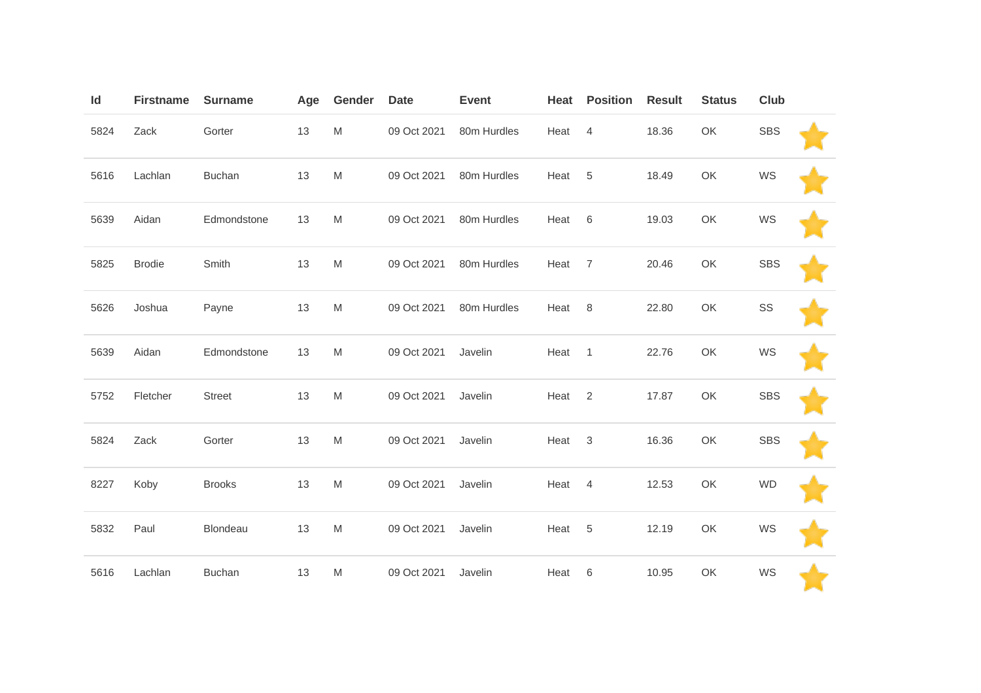| Id   | <b>Firstname</b> | <b>Surname</b> | Age | Gender    | <b>Date</b> | <b>Event</b> | Heat | <b>Position</b> | <b>Result</b> | <b>Status</b> | Club       |  |
|------|------------------|----------------|-----|-----------|-------------|--------------|------|-----------------|---------------|---------------|------------|--|
| 5824 | Zack             | Gorter         | 13  | M         | 09 Oct 2021 | 80m Hurdles  | Heat | $\overline{4}$  | 18.36         | OK            | <b>SBS</b> |  |
| 5616 | Lachlan          | <b>Buchan</b>  | 13  | ${\sf M}$ | 09 Oct 2021 | 80m Hurdles  | Heat | 5               | 18.49         | OK            | WS         |  |
| 5639 | Aidan            | Edmondstone    | 13  | M         | 09 Oct 2021 | 80m Hurdles  | Heat | 6               | 19.03         | OK            | WS         |  |
| 5825 | <b>Brodie</b>    | Smith          | 13  | ${\sf M}$ | 09 Oct 2021 | 80m Hurdles  | Heat | $\overline{7}$  | 20.46         | OK            | <b>SBS</b> |  |
| 5626 | Joshua           | Payne          | 13  | ${\sf M}$ | 09 Oct 2021 | 80m Hurdles  | Heat | 8               | 22.80         | OK            | SS         |  |
| 5639 | Aidan            | Edmondstone    | 13  | ${\sf M}$ | 09 Oct 2021 | Javelin      | Heat | $\mathbf{1}$    | 22.76         | OK            | WS         |  |
| 5752 | Fletcher         | <b>Street</b>  | 13  | ${\sf M}$ | 09 Oct 2021 | Javelin      | Heat | $\overline{2}$  | 17.87         | OK            | <b>SBS</b> |  |
| 5824 | Zack             | Gorter         | 13  | ${\sf M}$ | 09 Oct 2021 | Javelin      | Heat | $\mathbf{3}$    | 16.36         | OK            | <b>SBS</b> |  |
| 8227 | Koby             | <b>Brooks</b>  | 13  | ${\sf M}$ | 09 Oct 2021 | Javelin      | Heat | $\overline{4}$  | 12.53         | OK            | <b>WD</b>  |  |
| 5832 | Paul             | Blondeau       | 13  | M         | 09 Oct 2021 | Javelin      | Heat | 5               | 12.19         | OK            | WS         |  |
| 5616 | Lachlan          | <b>Buchan</b>  | 13  | ${\sf M}$ | 09 Oct 2021 | Javelin      | Heat | 6               | 10.95         | OK            | WS         |  |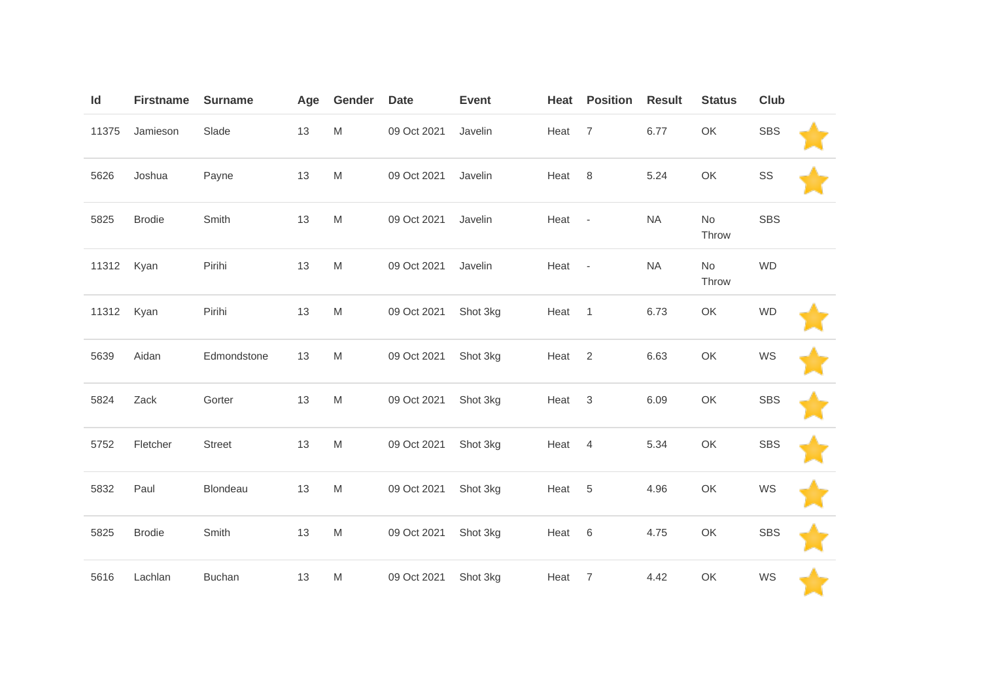| Id    | <b>Firstname</b> | <b>Surname</b> | Age | Gender                                                                                                     | <b>Date</b> | <b>Event</b> | Heat   | <b>Position</b> | <b>Result</b> | <b>Status</b> | Club       |  |
|-------|------------------|----------------|-----|------------------------------------------------------------------------------------------------------------|-------------|--------------|--------|-----------------|---------------|---------------|------------|--|
| 11375 | Jamieson         | Slade          | 13  | ${\sf M}$                                                                                                  | 09 Oct 2021 | Javelin      | Heat   | $\overline{7}$  | 6.77          | OK            | <b>SBS</b> |  |
| 5626  | Joshua           | Payne          | 13  | ${\sf M}$                                                                                                  | 09 Oct 2021 | Javelin      | Heat   | 8               | 5.24          | OK            | SS         |  |
| 5825  | <b>Brodie</b>    | Smith          | 13  | M                                                                                                          | 09 Oct 2021 | Javelin      | Heat   | $\sim$ $\sim$   | <b>NA</b>     | No<br>Throw   | <b>SBS</b> |  |
| 11312 | Kyan             | Pirihi         | 13  | M                                                                                                          | 09 Oct 2021 | Javelin      | Heat - |                 | <b>NA</b>     | No<br>Throw   | <b>WD</b>  |  |
| 11312 | Kyan             | Pirihi         | 13  | ${\sf M}$                                                                                                  | 09 Oct 2021 | Shot 3kg     | Heat   | $\mathbf{1}$    | 6.73          | OK            | <b>WD</b>  |  |
| 5639  | Aidan            | Edmondstone    | 13  | ${\sf M}$                                                                                                  | 09 Oct 2021 | Shot 3kg     | Heat   | $\overline{2}$  | 6.63          | OK            | WS         |  |
| 5824  | Zack             | Gorter         | 13  | M                                                                                                          | 09 Oct 2021 | Shot 3kg     | Heat   | $\mathbf{3}$    | 6.09          | OK            | <b>SBS</b> |  |
| 5752  | Fletcher         | Street         | 13  | $\mathsf{M}% _{T}=\mathsf{M}_{T}\!\left( a,b\right) ,\ \mathsf{M}_{T}=\mathsf{M}_{T}\!\left( a,b\right) ,$ | 09 Oct 2021 | Shot 3kg     | Heat   | $\overline{4}$  | 5.34          | OK            | <b>SBS</b> |  |
| 5832  | Paul             | Blondeau       | 13  | ${\sf M}$                                                                                                  | 09 Oct 2021 | Shot 3kg     | Heat   | 5               | 4.96          | OK            | WS         |  |
| 5825  | <b>Brodie</b>    | Smith          | 13  | ${\sf M}$                                                                                                  | 09 Oct 2021 | Shot 3kg     | Heat   | $\,6$           | 4.75          | OK            | <b>SBS</b> |  |
| 5616  | Lachlan          | <b>Buchan</b>  | 13  | M                                                                                                          | 09 Oct 2021 | Shot 3kg     | Heat   | $\overline{7}$  | 4.42          | OK            | WS         |  |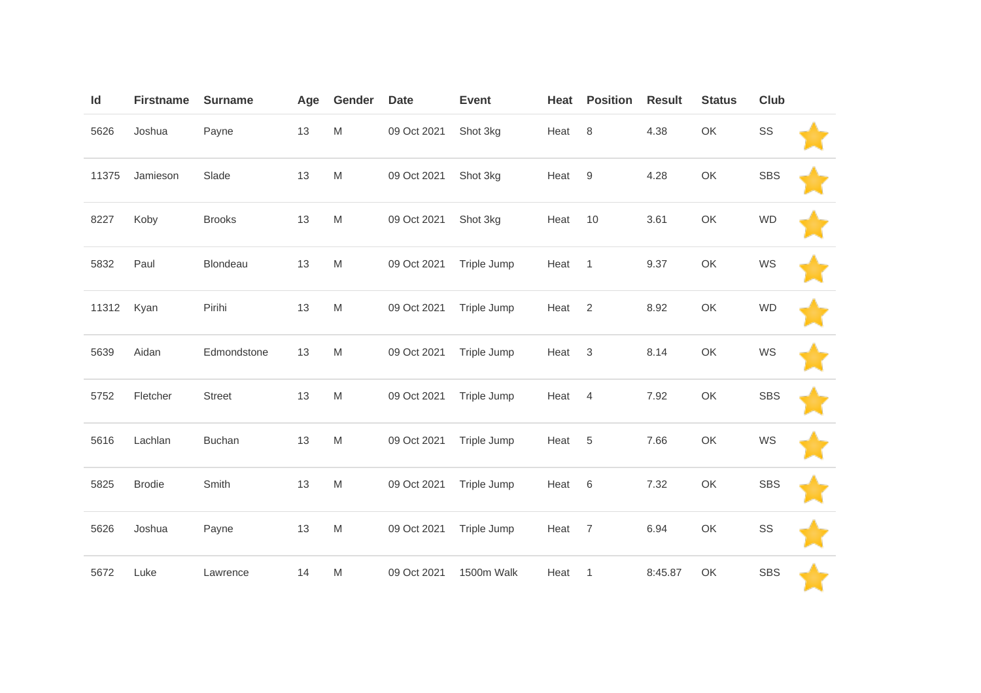| Id    | <b>Firstname</b> | <b>Surname</b> | Age  | Gender | <b>Date</b> | <b>Event</b> | Heat | <b>Position</b> | <b>Result</b> | <b>Status</b> | Club       |  |
|-------|------------------|----------------|------|--------|-------------|--------------|------|-----------------|---------------|---------------|------------|--|
| 5626  | Joshua           | Payne          | $13$ | M      | 09 Oct 2021 | Shot 3kg     | Heat | 8               | 4.38          | OK            | SS         |  |
| 11375 | Jamieson         | Slade          | 13   | M      | 09 Oct 2021 | Shot 3kg     | Heat | $9\,$           | 4.28          | OK            | <b>SBS</b> |  |
| 8227  | Koby             | <b>Brooks</b>  | 13   | M      | 09 Oct 2021 | Shot 3kg     | Heat | 10              | 3.61          | OK            | <b>WD</b>  |  |
| 5832  | Paul             | Blondeau       | 13   | M      | 09 Oct 2021 | Triple Jump  | Heat | $\mathbf{1}$    | 9.37          | OK            | WS         |  |
| 11312 | Kyan             | Pirihi         | 13   | M      | 09 Oct 2021 | Triple Jump  | Heat | $\overline{2}$  | 8.92          | OK            | <b>WD</b>  |  |
| 5639  | Aidan            | Edmondstone    | 13   | M      | 09 Oct 2021 | Triple Jump  | Heat | 3               | 8.14          | OK            | WS         |  |
| 5752  | Fletcher         | Street         | 13   | M      | 09 Oct 2021 | Triple Jump  | Heat | $\overline{4}$  | 7.92          | OK            | <b>SBS</b> |  |
| 5616  | Lachlan          | <b>Buchan</b>  | 13   | M      | 09 Oct 2021 | Triple Jump  | Heat | 5               | 7.66          | OK            | WS         |  |
| 5825  | <b>Brodie</b>    | Smith          | 13   | M      | 09 Oct 2021 | Triple Jump  | Heat | $6\,$           | 7.32          | OK            | <b>SBS</b> |  |
| 5626  | Joshua           | Payne          | 13   | M      | 09 Oct 2021 | Triple Jump  | Heat | $\overline{7}$  | 6.94          | OK            | SS         |  |
| 5672  | Luke             | Lawrence       | 14   | M      | 09 Oct 2021 | 1500m Walk   | Heat | $\mathbf{1}$    | 8:45.87       | OK            | <b>SBS</b> |  |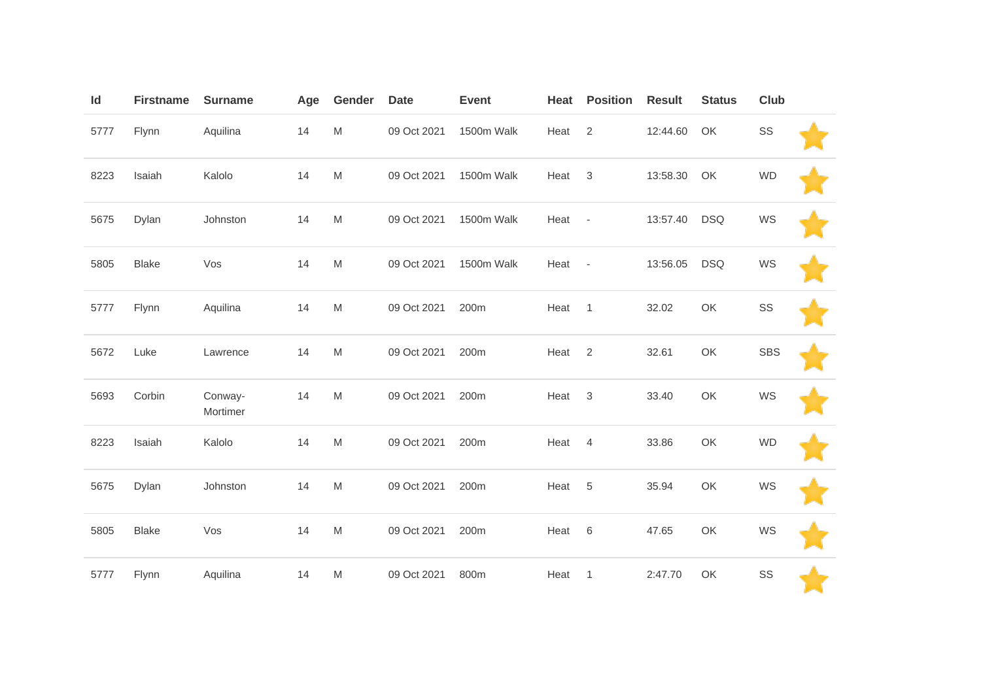| Id   | <b>Firstname</b> | <b>Surname</b>      | Age | Gender | <b>Date</b> | <b>Event</b> | Heat | <b>Position</b>          | <b>Result</b> | <b>Status</b> | Club       |  |
|------|------------------|---------------------|-----|--------|-------------|--------------|------|--------------------------|---------------|---------------|------------|--|
| 5777 | Flynn            | Aquilina            | 14  | M      | 09 Oct 2021 | 1500m Walk   | Heat | 2                        | 12:44.60      | OK            | SS         |  |
| 8223 | Isaiah           | Kalolo              | 14  | M      | 09 Oct 2021 | 1500m Walk   | Heat | $\mathfrak{Z}$           | 13:58.30      | OK            | <b>WD</b>  |  |
| 5675 | Dylan            | Johnston            | 14  | M      | 09 Oct 2021 | 1500m Walk   | Heat | $\overline{\phantom{a}}$ | 13:57.40      | <b>DSQ</b>    | WS         |  |
| 5805 | <b>Blake</b>     | Vos                 | 14  | M      | 09 Oct 2021 | 1500m Walk   | Heat | $\overline{\phantom{a}}$ | 13:56.05      | <b>DSQ</b>    | WS         |  |
| 5777 | Flynn            | Aquilina            | 14  | M      | 09 Oct 2021 | 200m         | Heat | $\mathbf{1}$             | 32.02         | OK            | SS         |  |
| 5672 | Luke             | Lawrence            | 14  | M      | 09 Oct 2021 | 200m         | Heat | 2                        | 32.61         | OK            | <b>SBS</b> |  |
| 5693 | Corbin           | Conway-<br>Mortimer | 14  | M      | 09 Oct 2021 | 200m         | Heat | $\sqrt{3}$               | 33.40         | OK            | WS         |  |
| 8223 | Isaiah           | Kalolo              | 14  | M      | 09 Oct 2021 | 200m         | Heat | $\overline{4}$           | 33.86         | OK            | <b>WD</b>  |  |
| 5675 | Dylan            | Johnston            | 14  | M      | 09 Oct 2021 | 200m         | Heat | $\sqrt{5}$               | 35.94         | OK            | WS         |  |
| 5805 | <b>Blake</b>     | Vos                 | 14  | M      | 09 Oct 2021 | 200m         | Heat | $6\,$                    | 47.65         | OK            | WS         |  |
| 5777 | Flynn            | Aquilina            | 14  | M      | 09 Oct 2021 | 800m         | Heat | $\mathbf{1}$             | 2:47.70       | OK            | SS         |  |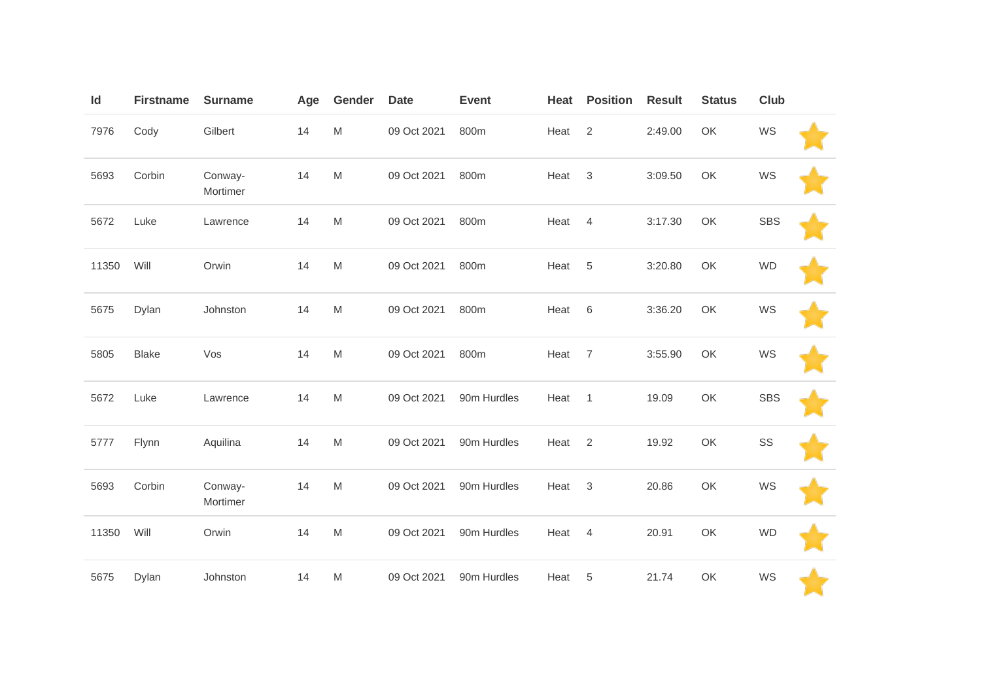| Id    | <b>Firstname</b> | <b>Surname</b>      | Age | Gender                                                                                                     | <b>Date</b> | <b>Event</b> | Heat | <b>Position</b> | <b>Result</b> | <b>Status</b> | Club       |  |
|-------|------------------|---------------------|-----|------------------------------------------------------------------------------------------------------------|-------------|--------------|------|-----------------|---------------|---------------|------------|--|
| 7976  | Cody             | Gilbert             | 14  | M                                                                                                          | 09 Oct 2021 | 800m         | Heat | $\overline{2}$  | 2:49.00       | OK            | WS         |  |
| 5693  | Corbin           | Conway-<br>Mortimer | 14  | $\mathsf{M}% _{T}=\mathsf{M}_{T}\!\left( a,b\right) ,\ \mathsf{M}_{T}=\mathsf{M}_{T}\!\left( a,b\right) ,$ | 09 Oct 2021 | 800m         | Heat | $\mathfrak{Z}$  | 3:09.50       | OK            | WS         |  |
| 5672  | Luke             | Lawrence            | 14  | M                                                                                                          | 09 Oct 2021 | 800m         | Heat | $\overline{4}$  | 3:17.30       | OK            | <b>SBS</b> |  |
| 11350 | Will             | Orwin               | 14  | M                                                                                                          | 09 Oct 2021 | 800m         | Heat | 5               | 3:20.80       | OK            | <b>WD</b>  |  |
| 5675  | Dylan            | Johnston            | 14  | M                                                                                                          | 09 Oct 2021 | 800m         | Heat | 6               | 3:36.20       | OK            | WS         |  |
| 5805  | <b>Blake</b>     | Vos                 | 14  | M                                                                                                          | 09 Oct 2021 | 800m         | Heat | $\overline{7}$  | 3:55.90       | OK            | WS         |  |
| 5672  | Luke             | Lawrence            | 14  | $\mathsf{M}% _{T}=\mathsf{M}_{T}\!\left( a,b\right) ,\ \mathsf{M}_{T}=\mathsf{M}_{T}\!\left( a,b\right) ,$ | 09 Oct 2021 | 90m Hurdles  | Heat | $\mathbf{1}$    | 19.09         | OK            | <b>SBS</b> |  |
| 5777  | Flynn            | Aquilina            | 14  | M                                                                                                          | 09 Oct 2021 | 90m Hurdles  | Heat | 2               | 19.92         | OK            | SS         |  |
| 5693  | Corbin           | Conway-<br>Mortimer | 14  | M                                                                                                          | 09 Oct 2021 | 90m Hurdles  | Heat | $\sqrt{3}$      | 20.86         | OK            | WS         |  |
| 11350 | Will             | Orwin               | 14  | M                                                                                                          | 09 Oct 2021 | 90m Hurdles  | Heat | $\overline{4}$  | 20.91         | OK            | <b>WD</b>  |  |
| 5675  | Dylan            | Johnston            | 14  | M                                                                                                          | 09 Oct 2021 | 90m Hurdles  | Heat | 5               | 21.74         | OK            | WS         |  |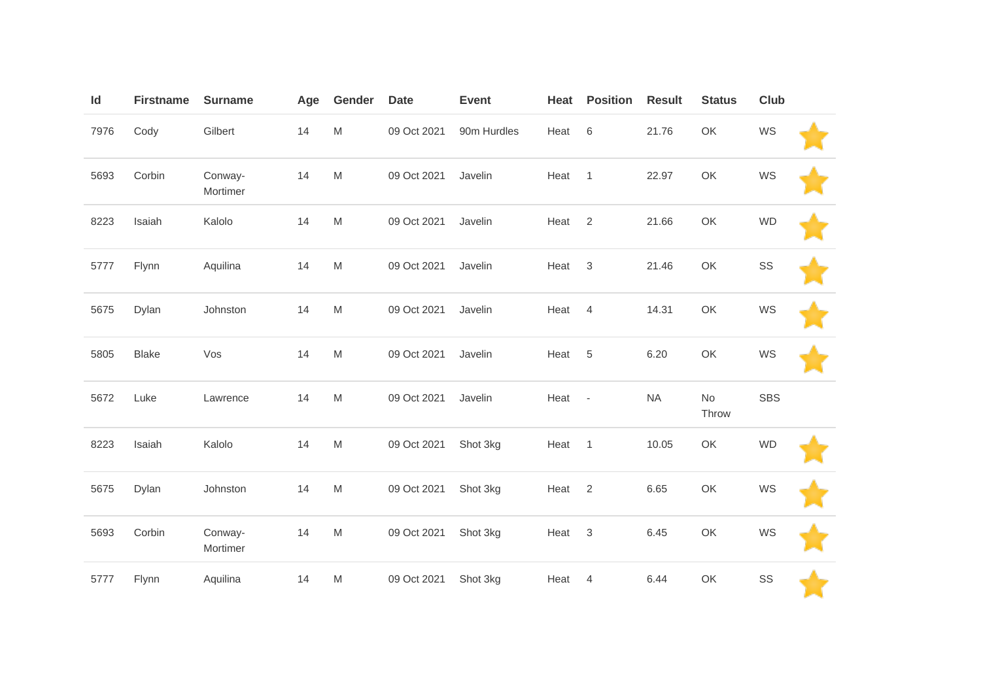| Id   | <b>Firstname</b> | <b>Surname</b>      | Age | Gender                                                                                                     | <b>Date</b> | Event       | Heat | <b>Position</b>          | <b>Result</b> | <b>Status</b>                                                                                      | <b>Club</b> |  |
|------|------------------|---------------------|-----|------------------------------------------------------------------------------------------------------------|-------------|-------------|------|--------------------------|---------------|----------------------------------------------------------------------------------------------------|-------------|--|
| 7976 | Cody             | Gilbert             | 14  | $\mathsf{M}% _{T}=\mathsf{M}_{T}\!\left( a,b\right) ,\ \mathsf{M}_{T}=\mathsf{M}_{T}\!\left( a,b\right) ,$ | 09 Oct 2021 | 90m Hurdles | Heat | $\,6\,$                  | 21.76         | OK                                                                                                 | WS          |  |
| 5693 | Corbin           | Conway-<br>Mortimer | 14  | $\mathsf{M}% _{T}=\mathsf{M}_{T}\!\left( a,b\right) ,\ \mathsf{M}_{T}=\mathsf{M}_{T}\!\left( a,b\right) ,$ | 09 Oct 2021 | Javelin     | Heat | $\mathbf{1}$             | 22.97         | OK                                                                                                 | WS          |  |
| 8223 | Isaiah           | Kalolo              | 14  | $\mathsf{M}% _{T}=\mathsf{M}_{T}\!\left( a,b\right) ,\ \mathsf{M}_{T}=\mathsf{M}_{T}\!\left( a,b\right) ,$ | 09 Oct 2021 | Javelin     | Heat | 2                        | 21.66         | OK                                                                                                 | <b>WD</b>   |  |
| 5777 | Flynn            | Aquilina            | 14  | M                                                                                                          | 09 Oct 2021 | Javelin     | Heat | 3                        | 21.46         | OK                                                                                                 | SS          |  |
| 5675 | Dylan            | Johnston            | 14  | $\mathsf{M}% _{T}=\mathsf{M}_{T}\!\left( a,b\right) ,\ \mathsf{M}_{T}=\mathsf{M}_{T}\!\left( a,b\right) ,$ | 09 Oct 2021 | Javelin     | Heat | $\overline{4}$           | 14.31         | OK                                                                                                 | WS          |  |
| 5805 | <b>Blake</b>     | Vos                 | 14  | $\mathsf{M}% _{T}=\mathsf{M}_{T}\!\left( a,b\right) ,\ \mathsf{M}_{T}=\mathsf{M}_{T}\!\left( a,b\right) ,$ | 09 Oct 2021 | Javelin     | Heat | 5                        | 6.20          | OK                                                                                                 | WS          |  |
| 5672 | Luke             | Lawrence            | 14  | $\mathsf{M}% _{T}=\mathsf{M}_{T}\!\left( a,b\right) ,\ \mathsf{M}_{T}=\mathsf{M}_{T}\!\left( a,b\right) ,$ | 09 Oct 2021 | Javelin     | Heat | $\overline{\phantom{a}}$ | <b>NA</b>     | No<br>Throw                                                                                        | <b>SBS</b>  |  |
| 8223 | Isaiah           | Kalolo              | 14  | M                                                                                                          | 09 Oct 2021 | Shot 3kg    | Heat | $\mathbf{1}$             | 10.05         | OK                                                                                                 | <b>WD</b>   |  |
| 5675 | Dylan            | Johnston            | 14  | $\mathsf{M}% _{T}=\mathsf{M}_{T}\!\left( a,b\right) ,\ \mathsf{M}_{T}=\mathsf{M}_{T}\!\left( a,b\right) ,$ | 09 Oct 2021 | Shot 3kg    | Heat | $\overline{2}$           | 6.65          | OK                                                                                                 | WS          |  |
| 5693 | Corbin           | Conway-<br>Mortimer | 14  | $\mathsf{M}% _{T}=\mathsf{M}_{T}\!\left( a,b\right) ,\ \mathsf{M}_{T}=\mathsf{M}_{T}\!\left( a,b\right) ,$ | 09 Oct 2021 | Shot 3kg    | Heat | $\sqrt{3}$               | 6.45          | $\mathsf{OK}% \left( \mathcal{M}\right) \equiv\mathsf{OK}(\mathcal{M}_{\mathrm{CL}}(\mathcal{M}))$ | WS          |  |
| 5777 | Flynn            | Aquilina            | 14  | M                                                                                                          | 09 Oct 2021 | Shot 3kg    | Heat | 4                        | 6.44          | OK                                                                                                 | SS          |  |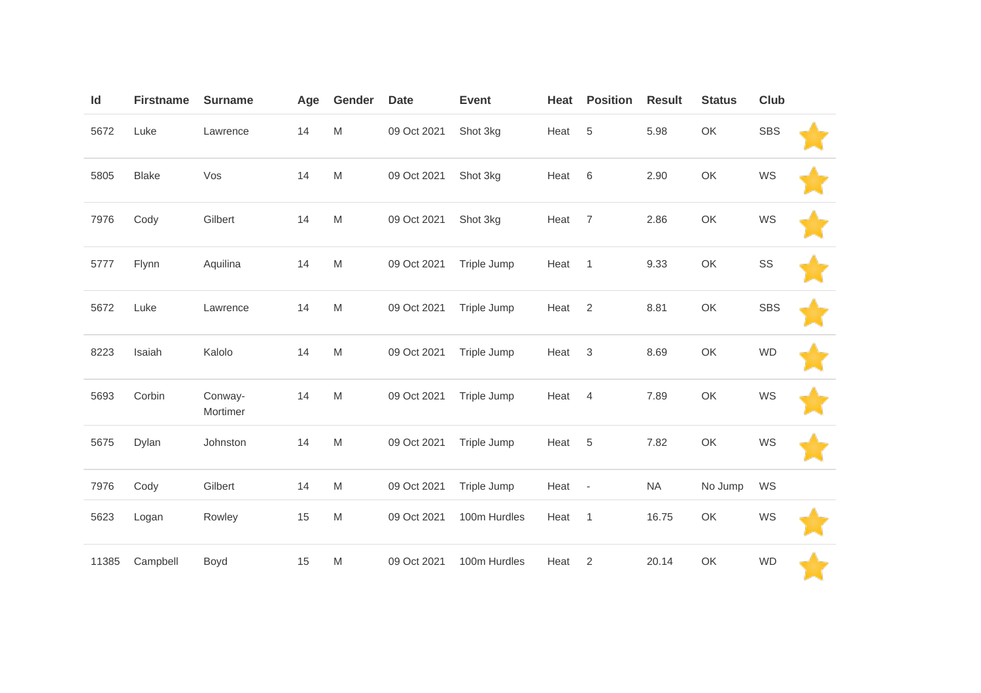| Id    | <b>Firstname</b> | <b>Surname</b>      | Age | Gender    | <b>Date</b> | <b>Event</b> | Heat | <b>Position</b> | <b>Result</b> | <b>Status</b> | <b>Club</b> |  |
|-------|------------------|---------------------|-----|-----------|-------------|--------------|------|-----------------|---------------|---------------|-------------|--|
| 5672  | Luke             | Lawrence            | 14  | M         | 09 Oct 2021 | Shot 3kg     | Heat | 5               | 5.98          | OK            | <b>SBS</b>  |  |
| 5805  | <b>Blake</b>     | Vos                 | 14  | M         | 09 Oct 2021 | Shot 3kg     | Heat | 6               | 2.90          | OK            | WS          |  |
| 7976  | Cody             | Gilbert             | 14  | ${\sf M}$ | 09 Oct 2021 | Shot 3kg     | Heat | $\overline{7}$  | 2.86          | OK            | WS          |  |
| 5777  | Flynn            | Aquilina            | 14  | M         | 09 Oct 2021 | Triple Jump  | Heat | $\overline{1}$  | 9.33          | OK            | SS          |  |
| 5672  | Luke             | Lawrence            | 14  | M         | 09 Oct 2021 | Triple Jump  | Heat | $\overline{2}$  | 8.81          | OK            | <b>SBS</b>  |  |
| 8223  | Isaiah           | Kalolo              | 14  | M         | 09 Oct 2021 | Triple Jump  | Heat | $\mathsf 3$     | 8.69          | OK            | <b>WD</b>   |  |
| 5693  | Corbin           | Conway-<br>Mortimer | 14  | M         | 09 Oct 2021 | Triple Jump  | Heat | $\overline{4}$  | 7.89          | OK            | WS          |  |
| 5675  | Dylan            | Johnston            | 14  | M         | 09 Oct 2021 | Triple Jump  | Heat | $\sqrt{5}$      | 7.82          | OK            | WS          |  |
| 7976  | Cody             | Gilbert             | 14  | M         | 09 Oct 2021 | Triple Jump  | Heat | $\sim$          | <b>NA</b>     | No Jump       | WS          |  |
| 5623  | Logan            | Rowley              | 15  | M         | 09 Oct 2021 | 100m Hurdles | Heat | $\overline{1}$  | 16.75         | OK            | WS          |  |
| 11385 | Campbell         | Boyd                | 15  | M         | 09 Oct 2021 | 100m Hurdles | Heat | 2               | 20.14         | OK            | <b>WD</b>   |  |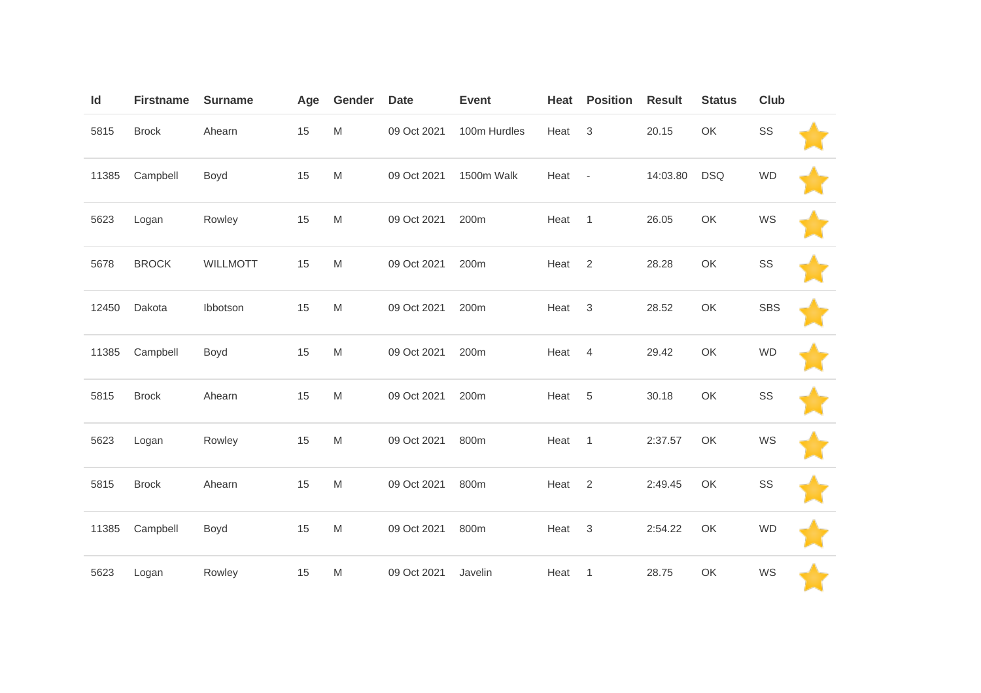| Id    | <b>Firstname</b> | <b>Surname</b>  | Age | Gender | <b>Date</b> | <b>Event</b> | Heat | <b>Position</b>           | <b>Result</b> | <b>Status</b> | Club       |  |
|-------|------------------|-----------------|-----|--------|-------------|--------------|------|---------------------------|---------------|---------------|------------|--|
| 5815  | <b>Brock</b>     | Ahearn          | 15  | M      | 09 Oct 2021 | 100m Hurdles | Heat | $\ensuremath{\mathsf{3}}$ | 20.15         | OK            | SS         |  |
| 11385 | Campbell         | Boyd            | 15  | M      | 09 Oct 2021 | 1500m Walk   | Heat | $\overline{\phantom{a}}$  | 14:03.80      | <b>DSQ</b>    | <b>WD</b>  |  |
| 5623  | Logan            | Rowley          | 15  | M      | 09 Oct 2021 | 200m         | Heat | $\mathbf{1}$              | 26.05         | OK            | WS         |  |
| 5678  | <b>BROCK</b>     | <b>WILLMOTT</b> | 15  | M      | 09 Oct 2021 | 200m         | Heat | $\overline{2}$            | 28.28         | OK            | SS         |  |
| 12450 | Dakota           | Ibbotson        | 15  | M      | 09 Oct 2021 | 200m         | Heat | $\mathbf 3$               | 28.52         | OK            | <b>SBS</b> |  |
| 11385 | Campbell         | Boyd            | 15  | M      | 09 Oct 2021 | 200m         | Heat | $\overline{4}$            | 29.42         | OK            | <b>WD</b>  |  |
| 5815  | <b>Brock</b>     | Ahearn          | 15  | M      | 09 Oct 2021 | 200m         | Heat | $\sqrt{5}$                | 30.18         | OK            | SS         |  |
| 5623  | Logan            | Rowley          | 15  | M      | 09 Oct 2021 | 800m         | Heat | $\overline{1}$            | 2:37.57       | OK            | WS         |  |
| 5815  | <b>Brock</b>     | Ahearn          | 15  | M      | 09 Oct 2021 | 800m         | Heat | $\overline{2}$            | 2:49.45       | OK            | SS         |  |
| 11385 | Campbell         | Boyd            | 15  | M      | 09 Oct 2021 | 800m         | Heat | $\sqrt{3}$                | 2:54.22       | OK            | <b>WD</b>  |  |
| 5623  | Logan            | Rowley          | 15  | M      | 09 Oct 2021 | Javelin      | Heat | $\mathbf{1}$              | 28.75         | OK            | WS         |  |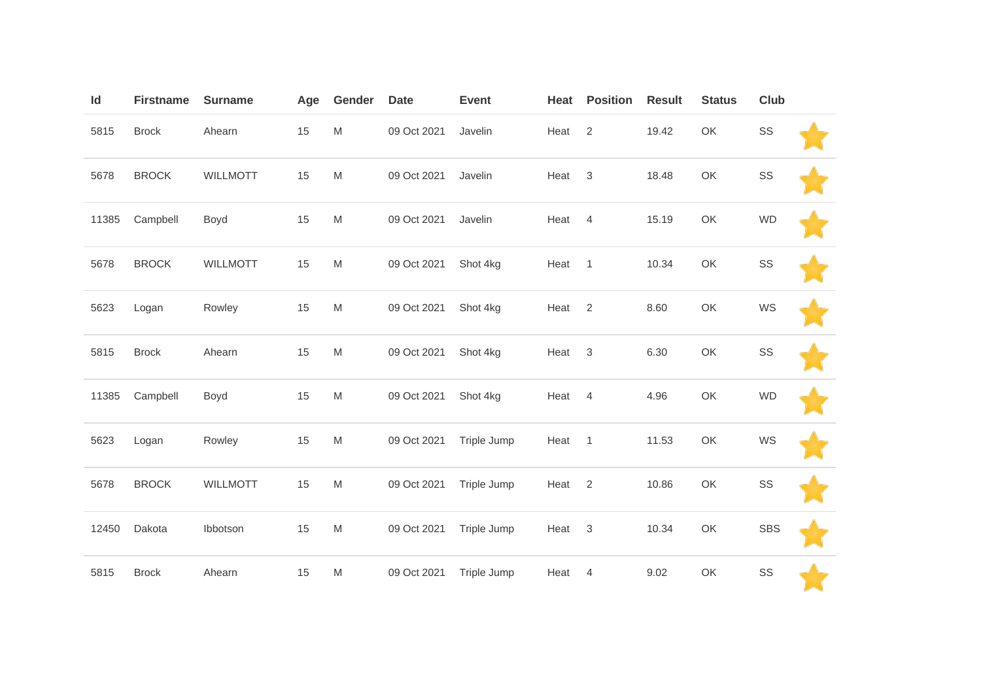| Id    | <b>Firstname</b> | <b>Surname</b>  | Age | Gender                                                                                | <b>Date</b> | <b>Event</b> | Heat | <b>Position</b>           | <b>Result</b> | <b>Status</b> | Club       |  |
|-------|------------------|-----------------|-----|---------------------------------------------------------------------------------------|-------------|--------------|------|---------------------------|---------------|---------------|------------|--|
| 5815  | <b>Brock</b>     | Ahearn          | 15  | ${\sf M}$                                                                             | 09 Oct 2021 | Javelin      | Heat | 2                         | 19.42         | OK            | SS         |  |
| 5678  | <b>BROCK</b>     | <b>WILLMOTT</b> | 15  | $\mathsf{M}% _{T}=\mathsf{M}_{T}\!\left( a,b\right) ,\ \mathsf{M}_{T}=\mathsf{M}_{T}$ | 09 Oct 2021 | Javelin      | Heat | $\sqrt{3}$                | 18.48         | OK            | SS         |  |
| 11385 | Campbell         | Boyd            | 15  | ${\sf M}$                                                                             | 09 Oct 2021 | Javelin      | Heat | $\overline{4}$            | 15.19         | OK            | <b>WD</b>  |  |
| 5678  | <b>BROCK</b>     | <b>WILLMOTT</b> | 15  | ${\sf M}$                                                                             | 09 Oct 2021 | Shot 4kg     | Heat | $\overline{1}$            | 10.34         | OK            | SS         |  |
| 5623  | Logan            | Rowley          | 15  | ${\sf M}$                                                                             | 09 Oct 2021 | Shot 4kg     | Heat | $\overline{2}$            | 8.60          | OK            | WS         |  |
| 5815  | <b>Brock</b>     | Ahearn          | 15  | ${\sf M}$                                                                             | 09 Oct 2021 | Shot 4kg     | Heat | $\ensuremath{\mathsf{3}}$ | 6.30          | OK            | SS         |  |
| 11385 | Campbell         | Boyd            | 15  | ${\sf M}$                                                                             | 09 Oct 2021 | Shot 4kg     | Heat | $\overline{4}$            | 4.96          | OK            | <b>WD</b>  |  |
| 5623  | Logan            | Rowley          | 15  | ${\sf M}$                                                                             | 09 Oct 2021 | Triple Jump  | Heat | $\mathbf{1}$              | 11.53         | OK            | WS         |  |
| 5678  | <b>BROCK</b>     | <b>WILLMOTT</b> | 15  | ${\sf M}$                                                                             | 09 Oct 2021 | Triple Jump  | Heat | $\sqrt{2}$                | 10.86         | OK            | SS         |  |
| 12450 | Dakota           | Ibbotson        | 15  | ${\sf M}$                                                                             | 09 Oct 2021 | Triple Jump  | Heat | $\mathbf 3$               | 10.34         | OK            | <b>SBS</b> |  |
| 5815  | <b>Brock</b>     | Ahearn          | 15  | ${\sf M}$                                                                             | 09 Oct 2021 | Triple Jump  | Heat | $\overline{4}$            | 9.02          | OK            | SS         |  |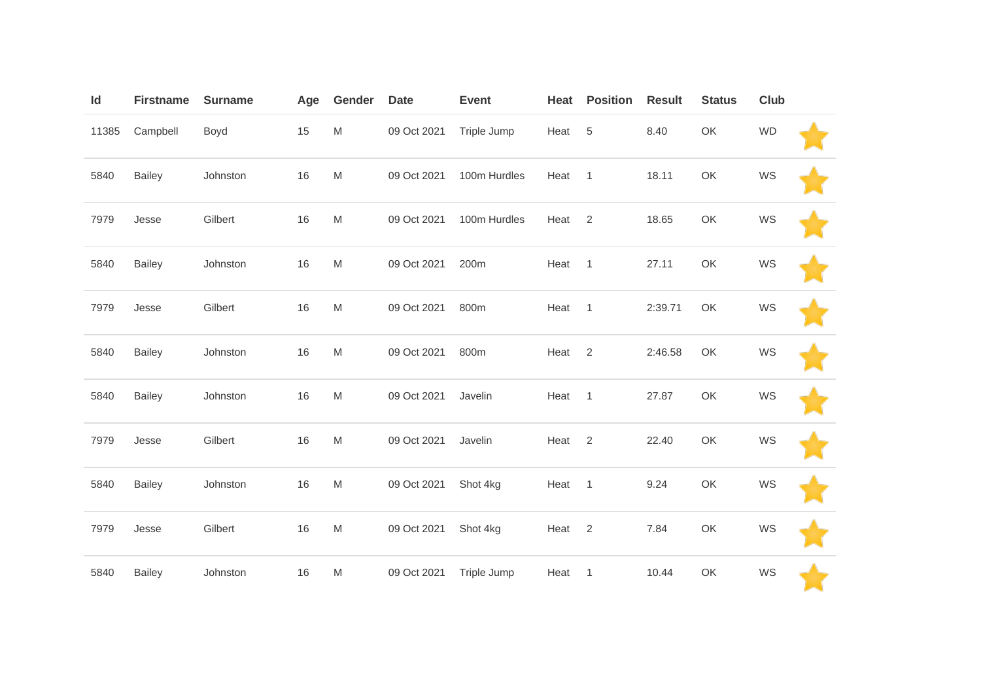| Id    | <b>Firstname</b> | <b>Surname</b> | Age | Gender | <b>Date</b> | <b>Event</b> | Heat | <b>Position</b> | <b>Result</b> | <b>Status</b> | Club      |  |
|-------|------------------|----------------|-----|--------|-------------|--------------|------|-----------------|---------------|---------------|-----------|--|
| 11385 | Campbell         | Boyd           | 15  | M      | 09 Oct 2021 | Triple Jump  | Heat | $\sqrt{5}$      | 8.40          | OK            | <b>WD</b> |  |
| 5840  | <b>Bailey</b>    | Johnston       | 16  | M      | 09 Oct 2021 | 100m Hurdles | Heat | $\mathbf{1}$    | 18.11         | OK            | WS        |  |
| 7979  | Jesse            | Gilbert        | 16  | M      | 09 Oct 2021 | 100m Hurdles | Heat | 2               | 18.65         | OK            | WS        |  |
| 5840  | <b>Bailey</b>    | Johnston       | 16  | M      | 09 Oct 2021 | 200m         | Heat | $\overline{1}$  | 27.11         | OK            | WS        |  |
| 7979  | Jesse            | Gilbert        | 16  | M      | 09 Oct 2021 | 800m         | Heat | $\mathbf{1}$    | 2:39.71       | OK            | WS        |  |
| 5840  | <b>Bailey</b>    | Johnston       | 16  | M      | 09 Oct 2021 | 800m         | Heat | $\overline{2}$  | 2:46.58       | OK            | WS        |  |
| 5840  | <b>Bailey</b>    | Johnston       | 16  | M      | 09 Oct 2021 | Javelin      | Heat | $\mathbf{1}$    | 27.87         | OK            | WS        |  |
| 7979  | Jesse            | Gilbert        | 16  | M      | 09 Oct 2021 | Javelin      | Heat | 2               | 22.40         | OK            | WS        |  |
| 5840  | <b>Bailey</b>    | Johnston       | 16  | M      | 09 Oct 2021 | Shot 4kg     | Heat | $\mathbf{1}$    | 9.24          | OK            | WS        |  |
| 7979  | Jesse            | Gilbert        | 16  | M      | 09 Oct 2021 | Shot 4kg     | Heat | $\overline{2}$  | 7.84          | OK            | WS        |  |
| 5840  | <b>Bailey</b>    | Johnston       | 16  | M      | 09 Oct 2021 | Triple Jump  | Heat | $\mathbf{1}$    | 10.44         | OK            | WS        |  |